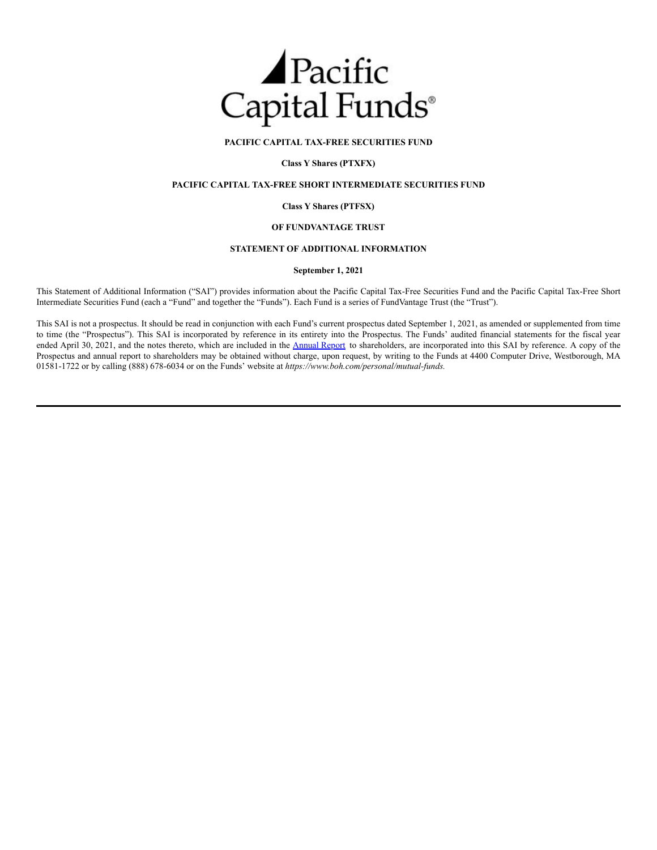

# **PACIFIC CAPITAL TAX-FREE SECURITIES FUND**

#### **Class Y Shares (PTXFX)**

# **PACIFIC CAPITAL TAX-FREE SHORT INTERMEDIATE SECURITIES FUND**

#### **Class Y Shares (PTFSX)**

# **OF FUNDVANTAGE TRUST**

### **STATEMENT OF ADDITIONAL INFORMATION**

## **September 1, 2021**

This Statement of Additional Information ("SAI") provides information about the Pacific Capital Tax-Free Securities Fund and the Pacific Capital Tax-Free Short Intermediate Securities Fund (each a "Fund" and together the "Funds"). Each Fund is a series of FundVantage Trust (the "Trust").

This SAI is not a prospectus. It should be read in conjunction with each Fund's current prospectus dated September 1, 2021, as amended or supplemented from time to time (the "Prospectus"). This SAI is incorporated by reference in its entirety into the Prospectus. The Funds' audited financial statements for the fiscal year ended April 30, 2021, and the notes thereto, which are included in the [Annual](http://www.sec.gov/Archives/edgar/data/0001388485/000119312521205938/d178720dncsr.htm) Report to shareholders, are incorporated into this SAI by reference. A copy of the Prospectus and annual report to shareholders may be obtained without charge, upon request, by writing to the Funds at 4400 Computer Drive, Westborough, MA 01581-1722 or by calling (888) 678-6034 or on the Funds' website at *https://www.boh.com/personal/mutual-funds.*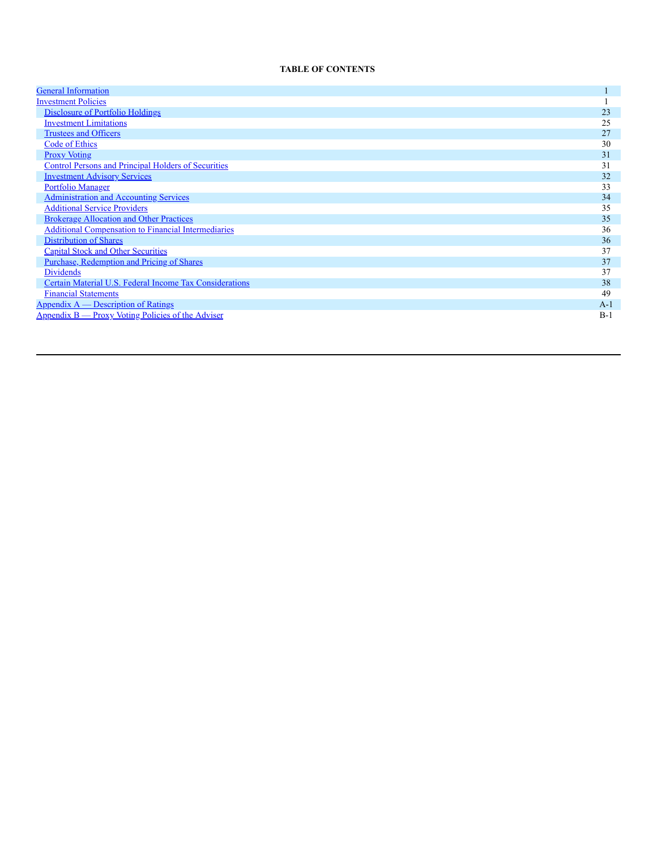### **TABLE OF CONTENTS**

| <b>General Information</b>                                      |       |
|-----------------------------------------------------------------|-------|
| <b>Investment Policies</b>                                      |       |
| Disclosure of Portfolio Holdings                                | 23    |
| <b>Investment Limitations</b>                                   | 25    |
| <b>Trustees and Officers</b>                                    | 27    |
| Code of Ethics                                                  | 30    |
| <b>Proxy Voting</b>                                             | 31    |
| <b>Control Persons and Principal Holders of Securities</b>      | 31    |
| <b>Investment Advisory Services</b>                             | 32    |
| <b>Portfolio Manager</b>                                        | 33    |
| <b>Administration and Accounting Services</b>                   | 34    |
| <b>Additional Service Providers</b>                             | 35    |
| <b>Brokerage Allocation and Other Practices</b>                 | 35    |
| <b>Additional Compensation to Financial Intermediaries</b>      | 36    |
| <b>Distribution of Shares</b>                                   | 36    |
| <b>Capital Stock and Other Securities</b>                       | 37    |
| Purchase, Redemption and Pricing of Shares                      | 37    |
| <b>Dividends</b>                                                | 37    |
| Certain Material U.S. Federal Income Tax Considerations         | 38    |
| <b>Financial Statements</b>                                     | 49    |
| $\Delta$ ppendix $A$ — Description of Ratings                   | $A-1$ |
| Appendix $B \rightarrow P$ Proxy Voting Policies of the Adviser | $B-1$ |
|                                                                 |       |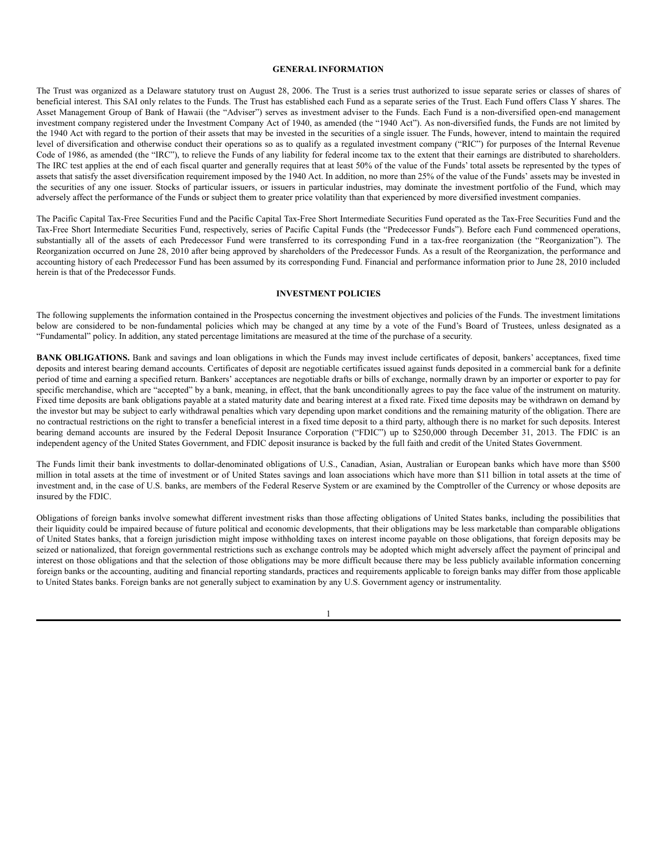### **GENERAL INFORMATION**

<span id="page-2-0"></span>The Trust was organized as a Delaware statutory trust on August 28, 2006. The Trust is a series trust authorized to issue separate series or classes of shares of beneficial interest. This SAI only relates to the Funds. The Trust has established each Fund as a separate series of the Trust. Each Fund offers Class Y shares. The Asset Management Group of Bank of Hawaii (the "Adviser") serves as investment adviser to the Funds. Each Fund is a non-diversified open-end management investment company registered under the Investment Company Act of 1940, as amended (the "1940 Act"). As non-diversified funds, the Funds are not limited by the 1940 Act with regard to the portion of their assets that may be invested in the securities of a single issuer. The Funds, however, intend to maintain the required level of diversification and otherwise conduct their operations so as to qualify as a regulated investment company ("RIC") for purposes of the Internal Revenue Code of 1986, as amended (the "IRC"), to relieve the Funds of any liability for federal income tax to the extent that their earnings are distributed to shareholders. The IRC test applies at the end of each fiscal quarter and generally requires that at least 50% of the value of the Funds' total assets be represented by the types of assets that satisfy the asset diversification requirement imposed by the 1940 Act. In addition, no more than 25% of the value of the Funds' assets may be invested in the securities of any one issuer. Stocks of particular issuers, or issuers in particular industries, may dominate the investment portfolio of the Fund, which may adversely affect the performance of the Funds or subject them to greater price volatility than that experienced by more diversified investment companies.

The Pacific Capital Tax-Free Securities Fund and the Pacific Capital Tax-Free Short Intermediate Securities Fund operated as the Tax-Free Securities Fund and the Tax-Free Short Intermediate Securities Fund, respectively, series of Pacific Capital Funds (the "Predecessor Funds"). Before each Fund commenced operations, substantially all of the assets of each Predecessor Fund were transferred to its corresponding Fund in a tax-free reorganization (the "Reorganization"). The Reorganization occurred on June 28, 2010 after being approved by shareholders of the Predecessor Funds. As a result of the Reorganization, the performance and accounting history of each Predecessor Fund has been assumed by its corresponding Fund. Financial and performance information prior to June 28, 2010 included herein is that of the Predecessor Funds.

# **INVESTMENT POLICIES**

<span id="page-2-1"></span>The following supplements the information contained in the Prospectus concerning the investment objectives and policies of the Funds. The investment limitations below are considered to be non-fundamental policies which may be changed at any time by a vote of the Fund's Board of Trustees, unless designated as a "Fundamental" policy. In addition, any stated percentage limitations are measured at the time of the purchase of a security.

**BANK OBLIGATIONS.** Bank and savings and loan obligations in which the Funds may invest include certificates of deposit, bankers' acceptances, fixed time deposits and interest bearing demand accounts. Certificates of deposit are negotiable certificates issued against funds deposited in a commercial bank for a definite period of time and earning a specified return. Bankers' acceptances are negotiable drafts or bills of exchange, normally drawn by an importer or exporter to pay for specific merchandise, which are "accepted" by a bank, meaning, in effect, that the bank unconditionally agrees to pay the face value of the instrument on maturity. Fixed time deposits are bank obligations payable at a stated maturity date and bearing interest at a fixed rate. Fixed time deposits may be withdrawn on demand by the investor but may be subject to early withdrawal penalties which vary depending upon market conditions and the remaining maturity of the obligation. There are no contractual restrictions on the right to transfer a beneficial interest in a fixed time deposit to a third party, although there is no market for such deposits. Interest bearing demand accounts are insured by the Federal Deposit Insurance Corporation ("FDIC") up to \$250,000 through December 31, 2013. The FDIC is an independent agency of the United States Government, and FDIC deposit insurance is backed by the full faith and credit of the United States Government.

The Funds limit their bank investments to dollar-denominated obligations of U.S., Canadian, Asian, Australian or European banks which have more than \$500 million in total assets at the time of investment or of United States savings and loan associations which have more than \$11 billion in total assets at the time of investment and, in the case of U.S. banks, are members of the Federal Reserve System or are examined by the Comptroller of the Currency or whose deposits are insured by the FDIC.

Obligations of foreign banks involve somewhat different investment risks than those affecting obligations of United States banks, including the possibilities that their liquidity could be impaired because of future political and economic developments, that their obligations may be less marketable than comparable obligations of United States banks, that a foreign jurisdiction might impose withholding taxes on interest income payable on those obligations, that foreign deposits may be seized or nationalized, that foreign governmental restrictions such as exchange controls may be adopted which might adversely affect the payment of principal and interest on those obligations and that the selection of those obligations may be more difficult because there may be less publicly available information concerning foreign banks or the accounting, auditing and financial reporting standards, practices and requirements applicable to foreign banks may differ from those applicable to United States banks. Foreign banks are not generally subject to examination by any U.S. Government agency or instrumentality.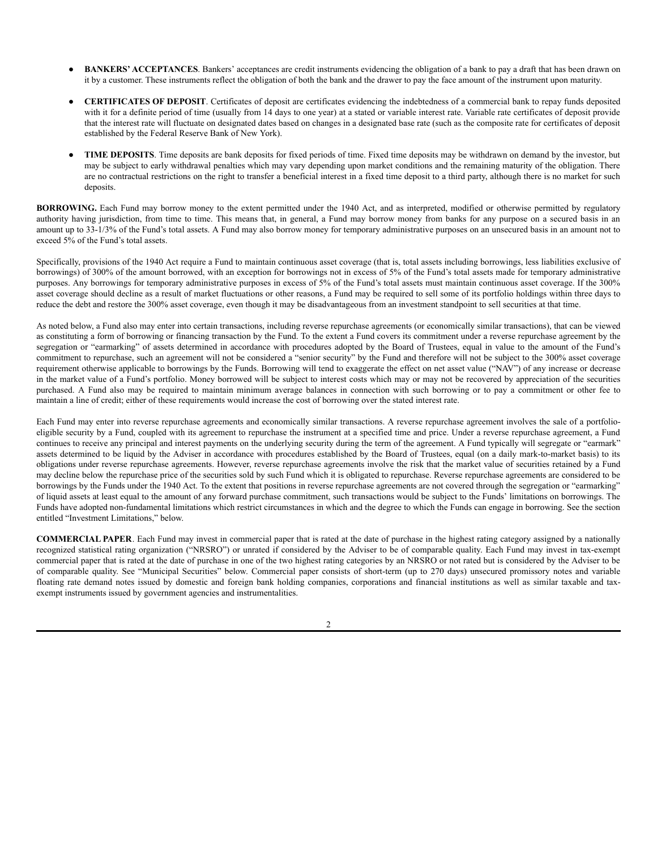- **BANKERS' ACCEPTANCES**. Bankers' acceptances are credit instruments evidencing the obligation of a bank to pay a draft that has been drawn on it by a customer. These instruments reflect the obligation of both the bank and the drawer to pay the face amount of the instrument upon maturity.
- **CERTIFICATES OF DEPOSIT**. Certificates of deposit are certificates evidencing the indebtedness of a commercial bank to repay funds deposited with it for a definite period of time (usually from 14 days to one year) at a stated or variable interest rate. Variable rate certificates of deposit provide that the interest rate will fluctuate on designated dates based on changes in a designated base rate (such as the composite rate for certificates of deposit established by the Federal Reserve Bank of New York).
- TIME DEPOSITS. Time deposits are bank deposits for fixed periods of time. Fixed time deposits may be withdrawn on demand by the investor, but may be subject to early withdrawal penalties which may vary depending upon market conditions and the remaining maturity of the obligation. There are no contractual restrictions on the right to transfer a beneficial interest in a fixed time deposit to a third party, although there is no market for such deposits.

**BORROWING.** Each Fund may borrow money to the extent permitted under the 1940 Act, and as interpreted, modified or otherwise permitted by regulatory authority having jurisdiction, from time to time. This means that, in general, a Fund may borrow money from banks for any purpose on a secured basis in an amount up to 33-1/3% of the Fund's total assets. A Fund may also borrow money for temporary administrative purposes on an unsecured basis in an amount not to exceed 5% of the Fund's total assets.

Specifically, provisions of the 1940 Act require a Fund to maintain continuous asset coverage (that is, total assets including borrowings, less liabilities exclusive of borrowings) of 300% of the amount borrowed, with an exception for borrowings not in excess of 5% of the Fund's total assets made for temporary administrative purposes. Any borrowings for temporary administrative purposes in excess of 5% of the Fund's total assets must maintain continuous asset coverage. If the 300% asset coverage should decline as a result of market fluctuations or other reasons, a Fund may be required to sell some of its portfolio holdings within three days to reduce the debt and restore the 300% asset coverage, even though it may be disadvantageous from an investment standpoint to sell securities at that time.

As noted below, a Fund also may enter into certain transactions, including reverse repurchase agreements (or economically similar transactions), that can be viewed as constituting a form of borrowing or financing transaction by the Fund. To the extent a Fund covers its commitment under a reverse repurchase agreement by the segregation or "earmarking" of assets determined in accordance with procedures adopted by the Board of Trustees, equal in value to the amount of the Fund's commitment to repurchase, such an agreement will not be considered a "senior security" by the Fund and therefore will not be subject to the 300% asset coverage requirement otherwise applicable to borrowings by the Funds. Borrowing will tend to exaggerate the effect on net asset value ("NAV") of any increase or decrease in the market value of a Fund's portfolio. Money borrowed will be subject to interest costs which may or may not be recovered by appreciation of the securities purchased. A Fund also may be required to maintain minimum average balances in connection with such borrowing or to pay a commitment or other fee to maintain a line of credit; either of these requirements would increase the cost of borrowing over the stated interest rate.

Each Fund may enter into reverse repurchase agreements and economically similar transactions. A reverse repurchase agreement involves the sale of a portfolioeligible security by a Fund, coupled with its agreement to repurchase the instrument at a specified time and price. Under a reverse repurchase agreement, a Fund continues to receive any principal and interest payments on the underlying security during the term of the agreement. A Fund typically will segregate or "earmark" assets determined to be liquid by the Adviser in accordance with procedures established by the Board of Trustees, equal (on a daily mark-to-market basis) to its obligations under reverse repurchase agreements. However, reverse repurchase agreements involve the risk that the market value of securities retained by a Fund may decline below the repurchase price of the securities sold by such Fund which it is obligated to repurchase. Reverse repurchase agreements are considered to be borrowings by the Funds under the 1940 Act. To the extent that positions in reverse repurchase agreements are not covered through the segregation or "earmarking" of liquid assets at least equal to the amount of any forward purchase commitment, such transactions would be subject to the Funds' limitations on borrowings. The Funds have adopted non-fundamental limitations which restrict circumstances in which and the degree to which the Funds can engage in borrowing. See the section entitled "Investment Limitations," below.

**COMMERCIAL PAPER**. Each Fund may invest in commercial paper that is rated at the date of purchase in the highest rating category assigned by a nationally recognized statistical rating organization ("NRSRO") or unrated if considered by the Adviser to be of comparable quality. Each Fund may invest in tax-exempt commercial paper that is rated at the date of purchase in one of the two highest rating categories by an NRSRO or not rated but is considered by the Adviser to be of comparable quality. See "Municipal Securities" below. Commercial paper consists of short-term (up to 270 days) unsecured promissory notes and variable floating rate demand notes issued by domestic and foreign bank holding companies, corporations and financial institutions as well as similar taxable and taxexempt instruments issued by government agencies and instrumentalities.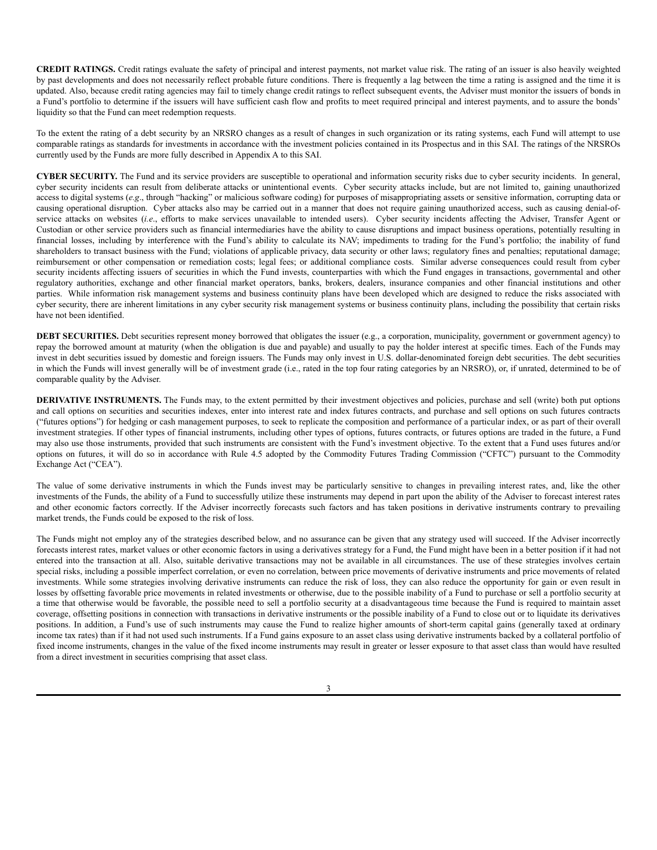**CREDIT RATINGS.** Credit ratings evaluate the safety of principal and interest payments, not market value risk. The rating of an issuer is also heavily weighted by past developments and does not necessarily reflect probable future conditions. There is frequently a lag between the time a rating is assigned and the time it is updated. Also, because credit rating agencies may fail to timely change credit ratings to reflect subsequent events, the Adviser must monitor the issuers of bonds in a Fund's portfolio to determine if the issuers will have sufficient cash flow and profits to meet required principal and interest payments, and to assure the bonds' liquidity so that the Fund can meet redemption requests.

To the extent the rating of a debt security by an NRSRO changes as a result of changes in such organization or its rating systems, each Fund will attempt to use comparable ratings as standards for investments in accordance with the investment policies contained in its Prospectus and in this SAI. The ratings of the NRSROs currently used by the Funds are more fully described in Appendix A to this SAI.

**CYBER SECURITY.** The Fund and its service providers are susceptible to operational and information security risks due to cyber security incidents. In general, cyber security incidents can result from deliberate attacks or unintentional events. Cyber security attacks include, but are not limited to, gaining unauthorized access to digital systems (e.g., through "hacking" or malicious software coding) for purposes of misappropriating assets or sensitive information, corrupting data or causing operational disruption. Cyber attacks also may be carried out in a manner that does not require gaining unauthorized access, such as causing denial-ofservice attacks on websites (*i.e.*, efforts to make services unavailable to intended users). Cyber security incidents affecting the Adviser, Transfer Agent or Custodian or other service providers such as financial intermediaries have the ability to cause disruptions and impact business operations, potentially resulting in financial losses, including by interference with the Fund's ability to calculate its NAV; impediments to trading for the Fund's portfolio; the inability of fund shareholders to transact business with the Fund; violations of applicable privacy, data security or other laws; regulatory fines and penalties; reputational damage; reimbursement or other compensation or remediation costs; legal fees; or additional compliance costs. Similar adverse consequences could result from cyber security incidents affecting issuers of securities in which the Fund invests, counterparties with which the Fund engages in transactions, governmental and other regulatory authorities, exchange and other financial market operators, banks, brokers, dealers, insurance companies and other financial institutions and other parties. While information risk management systems and business continuity plans have been developed which are designed to reduce the risks associated with cyber security, there are inherent limitations in any cyber security risk management systems or business continuity plans, including the possibility that certain risks have not been identified.

**DEBT SECURITIES.** Debt securities represent money borrowed that obligates the issuer (e.g., a corporation, municipality, government or government agency) to repay the borrowed amount at maturity (when the obligation is due and payable) and usually to pay the holder interest at specific times. Each of the Funds may invest in debt securities issued by domestic and foreign issuers. The Funds may only invest in U.S. dollar-denominated foreign debt securities. The debt securities in which the Funds will invest generally will be of investment grade (i.e., rated in the top four rating categories by an NRSRO), or, if unrated, determined to be of comparable quality by the Adviser.

**DERIVATIVE INSTRUMENTS.** The Funds may, to the extent permitted by their investment objectives and policies, purchase and sell (write) both put options and call options on securities and securities indexes, enter into interest rate and index futures contracts, and purchase and sell options on such futures contracts ("futures options") for hedging or cash management purposes, to seek to replicate the composition and performance of a particular index, or as part of their overall investment strategies. If other types of financial instruments, including other types of options, futures contracts, or futures options are traded in the future, a Fund may also use those instruments, provided that such instruments are consistent with the Fund's investment objective. To the extent that a Fund uses futures and/or options on futures, it will do so in accordance with Rule 4.5 adopted by the Commodity Futures Trading Commission ("CFTC") pursuant to the Commodity Exchange Act ("CEA").

The value of some derivative instruments in which the Funds invest may be particularly sensitive to changes in prevailing interest rates, and, like the other investments of the Funds, the ability of a Fund to successfully utilize these instruments may depend in part upon the ability of the Adviser to forecast interest rates and other economic factors correctly. If the Adviser incorrectly forecasts such factors and has taken positions in derivative instruments contrary to prevailing market trends, the Funds could be exposed to the risk of loss.

The Funds might not employ any of the strategies described below, and no assurance can be given that any strategy used will succeed. If the Adviser incorrectly forecasts interest rates, market values or other economic factors in using a derivatives strategy for a Fund, the Fund might have been in a better position if it had not entered into the transaction at all. Also, suitable derivative transactions may not be available in all circumstances. The use of these strategies involves certain special risks, including a possible imperfect correlation, or even no correlation, between price movements of derivative instruments and price movements of related investments. While some strategies involving derivative instruments can reduce the risk of loss, they can also reduce the opportunity for gain or even result in losses by offsetting favorable price movements in related investments or otherwise, due to the possible inability of a Fund to purchase or sell a portfolio security at a time that otherwise would be favorable, the possible need to sell a portfolio security at a disadvantageous time because the Fund is required to maintain asset coverage, offsetting positions in connection with transactions in derivative instruments or the possible inability of a Fund to close out or to liquidate its derivatives positions. In addition, a Fund's use of such instruments may cause the Fund to realize higher amounts of short-term capital gains (generally taxed at ordinary income tax rates) than if it had not used such instruments. If a Fund gains exposure to an asset class using derivative instruments backed by a collateral portfolio of fixed income instruments, changes in the value of the fixed income instruments may result in greater or lesser exposure to that asset class than would have resulted from a direct investment in securities comprising that asset class.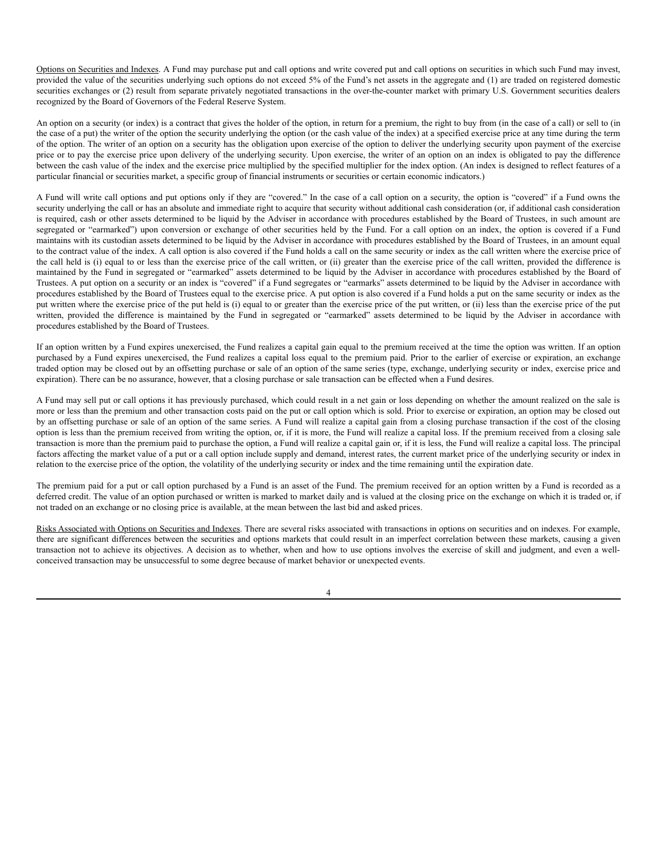Options on Securities and Indexes. A Fund may purchase put and call options and write covered put and call options on securities in which such Fund may invest, provided the value of the securities underlying such options do not exceed 5% of the Fund's net assets in the aggregate and (1) are traded on registered domestic securities exchanges or (2) result from separate privately negotiated transactions in the over-the-counter market with primary U.S. Government securities dealers recognized by the Board of Governors of the Federal Reserve System.

An option on a security (or index) is a contract that gives the holder of the option, in return for a premium, the right to buy from (in the case of a call) or sell to (in the case of a put) the writer of the option the security underlying the option (or the cash value of the index) at a specified exercise price at any time during the term of the option. The writer of an option on a security has the obligation upon exercise of the option to deliver the underlying security upon payment of the exercise price or to pay the exercise price upon delivery of the underlying security. Upon exercise, the writer of an option on an index is obligated to pay the difference between the cash value of the index and the exercise price multiplied by the specified multiplier for the index option. (An index is designed to reflect features of a particular financial or securities market, a specific group of financial instruments or securities or certain economic indicators.)

A Fund will write call options and put options only if they are "covered." In the case of a call option on a security, the option is "covered" if a Fund owns the security underlying the call or has an absolute and immediate right to acquire that security without additional cash consideration (or, if additional cash consideration is required, cash or other assets determined to be liquid by the Adviser in accordance with procedures established by the Board of Trustees, in such amount are segregated or "earmarked") upon conversion or exchange of other securities held by the Fund. For a call option on an index, the option is covered if a Fund maintains with its custodian assets determined to be liquid by the Adviser in accordance with procedures established by the Board of Trustees, in an amount equal to the contract value of the index. A call option is also covered if the Fund holds a call on the same security or index as the call written where the exercise price of the call held is (i) equal to or less than the exercise price of the call written, or (ii) greater than the exercise price of the call written, provided the difference is maintained by the Fund in segregated or "earmarked" assets determined to be liquid by the Adviser in accordance with procedures established by the Board of Trustees. A put option on a security or an index is "covered" if a Fund segregates or "earmarks" assets determined to be liquid by the Adviser in accordance with procedures established by the Board of Trustees equal to the exercise price. A put option is also covered if a Fund holds a put on the same security or index as the put written where the exercise price of the put held is (i) equal to or greater than the exercise price of the put written, or (ii) less than the exercise price of the put written, provided the difference is maintained by the Fund in segregated or "earmarked" assets determined to be liquid by the Adviser in accordance with procedures established by the Board of Trustees.

If an option written by a Fund expires unexercised, the Fund realizes a capital gain equal to the premium received at the time the option was written. If an option purchased by a Fund expires unexercised, the Fund realizes a capital loss equal to the premium paid. Prior to the earlier of exercise or expiration, an exchange traded option may be closed out by an offsetting purchase or sale of an option of the same series (type, exchange, underlying security or index, exercise price and expiration). There can be no assurance, however, that a closing purchase or sale transaction can be effected when a Fund desires.

A Fund may sell put or call options it has previously purchased, which could result in a net gain or loss depending on whether the amount realized on the sale is more or less than the premium and other transaction costs paid on the put or call option which is sold. Prior to exercise or expiration, an option may be closed out by an offsetting purchase or sale of an option of the same series. A Fund will realize a capital gain from a closing purchase transaction if the cost of the closing option is less than the premium received from writing the option, or, if it is more, the Fund will realize a capital loss. If the premium received from a closing sale transaction is more than the premium paid to purchase the option, a Fund will realize a capital gain or, if it is less, the Fund will realize a capital loss. The principal factors affecting the market value of a put or a call option include supply and demand, interest rates, the current market price of the underlying security or index in relation to the exercise price of the option, the volatility of the underlying security or index and the time remaining until the expiration date.

The premium paid for a put or call option purchased by a Fund is an asset of the Fund. The premium received for an option written by a Fund is recorded as a deferred credit. The value of an option purchased or written is marked to market daily and is valued at the closing price on the exchange on which it is traded or, if not traded on an exchange or no closing price is available, at the mean between the last bid and asked prices.

Risks Associated with Options on Securities and Indexes. There are several risks associated with transactions in options on securities and on indexes. For example, there are significant differences between the securities and options markets that could result in an imperfect correlation between these markets, causing a given transaction not to achieve its objectives. A decision as to whether, when and how to use options involves the exercise of skill and judgment, and even a wellconceived transaction may be unsuccessful to some degree because of market behavior or unexpected events.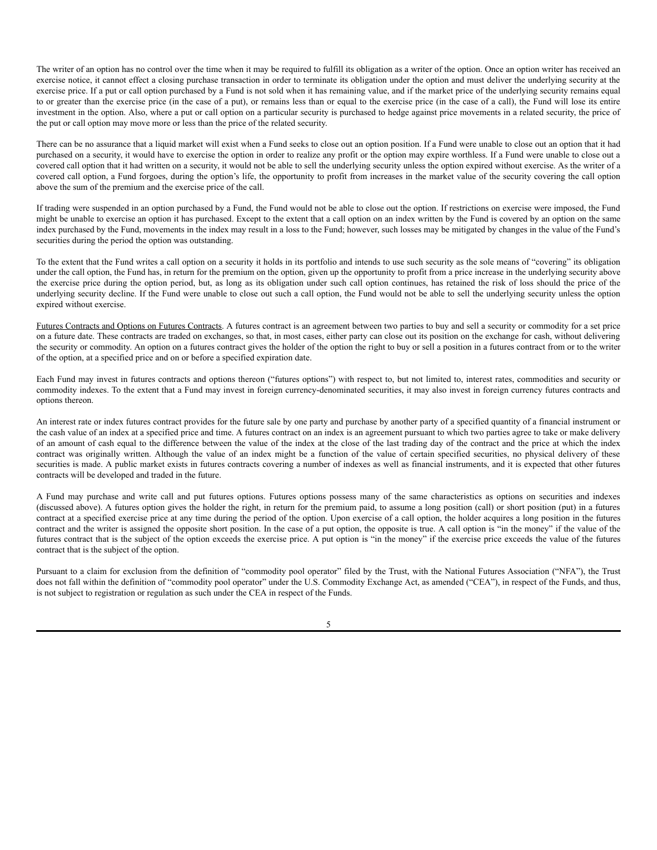The writer of an option has no control over the time when it may be required to fulfill its obligation as a writer of the option. Once an option writer has received an exercise notice, it cannot effect a closing purchase transaction in order to terminate its obligation under the option and must deliver the underlying security at the exercise price. If a put or call option purchased by a Fund is not sold when it has remaining value, and if the market price of the underlying security remains equal to or greater than the exercise price (in the case of a put), or remains less than or equal to the exercise price (in the case of a call), the Fund will lose its entire investment in the option. Also, where a put or call option on a particular security is purchased to hedge against price movements in a related security, the price of the put or call option may move more or less than the price of the related security.

There can be no assurance that a liquid market will exist when a Fund seeks to close out an option position. If a Fund were unable to close out an option that it had purchased on a security, it would have to exercise the option in order to realize any profit or the option may expire worthless. If a Fund were unable to close out a covered call option that it had written on a security, it would not be able to sell the underlying security unless the option expired without exercise. As the writer of a covered call option, a Fund forgoes, during the option's life, the opportunity to profit from increases in the market value of the security covering the call option above the sum of the premium and the exercise price of the call.

If trading were suspended in an option purchased by a Fund, the Fund would not be able to close out the option. If restrictions on exercise were imposed, the Fund might be unable to exercise an option it has purchased. Except to the extent that a call option on an index written by the Fund is covered by an option on the same index purchased by the Fund, movements in the index may result in a loss to the Fund; however, such losses may be mitigated by changes in the value of the Fund's securities during the period the option was outstanding.

To the extent that the Fund writes a call option on a security it holds in its portfolio and intends to use such security as the sole means of "covering" its obligation under the call option, the Fund has, in return for the premium on the option, given up the opportunity to profit from a price increase in the underlying security above the exercise price during the option period, but, as long as its obligation under such call option continues, has retained the risk of loss should the price of the underlying security decline. If the Fund were unable to close out such a call option, the Fund would not be able to sell the underlying security unless the option expired without exercise.

Futures Contracts and Options on Futures Contracts. A futures contract is an agreement between two parties to buy and sell a security or commodity for a set price on a future date. These contracts are traded on exchanges, so that, in most cases, either party can close out its position on the exchange for cash, without delivering the security or commodity. An option on a futures contract gives the holder of the option the right to buy or sell a position in a futures contract from or to the writer of the option, at a specified price and on or before a specified expiration date.

Each Fund may invest in futures contracts and options thereon ("futures options") with respect to, but not limited to, interest rates, commodities and security or commodity indexes. To the extent that a Fund may invest in foreign currency-denominated securities, it may also invest in foreign currency futures contracts and options thereon.

An interest rate or index futures contract provides for the future sale by one party and purchase by another party of a specified quantity of a financial instrument or the cash value of an index at a specified price and time. A futures contract on an index is an agreement pursuant to which two parties agree to take or make delivery of an amount of cash equal to the difference between the value of the index at the close of the last trading day of the contract and the price at which the index contract was originally written. Although the value of an index might be a function of the value of certain specified securities, no physical delivery of these securities is made. A public market exists in futures contracts covering a number of indexes as well as financial instruments, and it is expected that other futures contracts will be developed and traded in the future.

A Fund may purchase and write call and put futures options. Futures options possess many of the same characteristics as options on securities and indexes (discussed above). A futures option gives the holder the right, in return for the premium paid, to assume a long position (call) or short position (put) in a futures contract at a specified exercise price at any time during the period of the option. Upon exercise of a call option, the holder acquires a long position in the futures contract and the writer is assigned the opposite short position. In the case of a put option, the opposite is true. A call option is "in the money" if the value of the futures contract that is the subject of the option exceeds the exercise price. A put option is "in the money" if the exercise price exceeds the value of the futures contract that is the subject of the option.

Pursuant to a claim for exclusion from the definition of "commodity pool operator" filed by the Trust, with the National Futures Association ("NFA"), the Trust does not fall within the definition of "commodity pool operator" under the U.S. Commodity Exchange Act, as amended ("CEA"), in respect of the Funds, and thus, is not subject to registration or regulation as such under the CEA in respect of the Funds.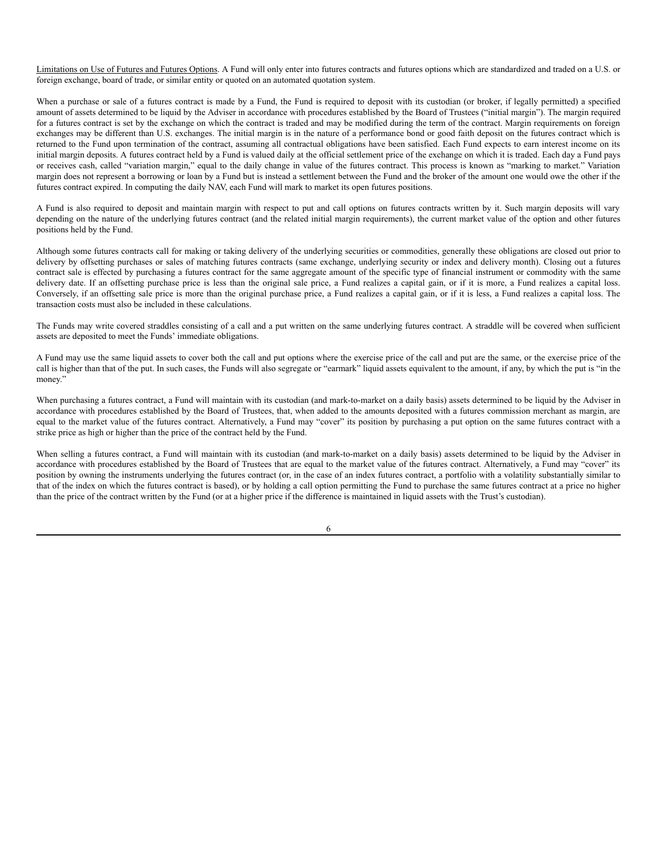Limitations on Use of Futures and Futures Options. A Fund will only enter into futures contracts and futures options which are standardized and traded on a U.S. or foreign exchange, board of trade, or similar entity or quoted on an automated quotation system.

When a purchase or sale of a futures contract is made by a Fund, the Fund is required to deposit with its custodian (or broker, if legally permitted) a specified amount of assets determined to be liquid by the Adviser in accordance with procedures established by the Board of Trustees ("initial margin"). The margin required for a futures contract is set by the exchange on which the contract is traded and may be modified during the term of the contract. Margin requirements on foreign exchanges may be different than U.S. exchanges. The initial margin is in the nature of a performance bond or good faith deposit on the futures contract which is returned to the Fund upon termination of the contract, assuming all contractual obligations have been satisfied. Each Fund expects to earn interest income on its initial margin deposits. A futures contract held by a Fund is valued daily at the official settlement price of the exchange on which it is traded. Each day a Fund pays or receives cash, called "variation margin," equal to the daily change in value of the futures contract. This process is known as "marking to market." Variation margin does not represent a borrowing or loan by a Fund but is instead a settlement between the Fund and the broker of the amount one would owe the other if the futures contract expired. In computing the daily NAV, each Fund will mark to market its open futures positions.

A Fund is also required to deposit and maintain margin with respect to put and call options on futures contracts written by it. Such margin deposits will vary depending on the nature of the underlying futures contract (and the related initial margin requirements), the current market value of the option and other futures positions held by the Fund.

Although some futures contracts call for making or taking delivery of the underlying securities or commodities, generally these obligations are closed out prior to delivery by offsetting purchases or sales of matching futures contracts (same exchange, underlying security or index and delivery month). Closing out a futures contract sale is effected by purchasing a futures contract for the same aggregate amount of the specific type of financial instrument or commodity with the same delivery date. If an offsetting purchase price is less than the original sale price, a Fund realizes a capital gain, or if it is more, a Fund realizes a capital loss. Conversely, if an offsetting sale price is more than the original purchase price, a Fund realizes a capital gain, or if it is less, a Fund realizes a capital loss. The transaction costs must also be included in these calculations.

The Funds may write covered straddles consisting of a call and a put written on the same underlying futures contract. A straddle will be covered when sufficient assets are deposited to meet the Funds' immediate obligations.

A Fund may use the same liquid assets to cover both the call and put options where the exercise price of the call and put are the same, or the exercise price of the call is higher than that of the put. In such cases, the Funds will also segregate or "earmark" liquid assets equivalent to the amount, if any, by which the put is "in the money."

When purchasing a futures contract, a Fund will maintain with its custodian (and mark-to-market on a daily basis) assets determined to be liquid by the Adviser in accordance with procedures established by the Board of Trustees, that, when added to the amounts deposited with a futures commission merchant as margin, are equal to the market value of the futures contract. Alternatively, a Fund may "cover" its position by purchasing a put option on the same futures contract with a strike price as high or higher than the price of the contract held by the Fund.

When selling a futures contract, a Fund will maintain with its custodian (and mark-to-market on a daily basis) assets determined to be liquid by the Adviser in accordance with procedures established by the Board of Trustees that are equal to the market value of the futures contract. Alternatively, a Fund may "cover" its position by owning the instruments underlying the futures contract (or, in the case of an index futures contract, a portfolio with a volatility substantially similar to that of the index on which the futures contract is based), or by holding a call option permitting the Fund to purchase the same futures contract at a price no higher than the price of the contract written by the Fund (or at a higher price if the difference is maintained in liquid assets with the Trust's custodian).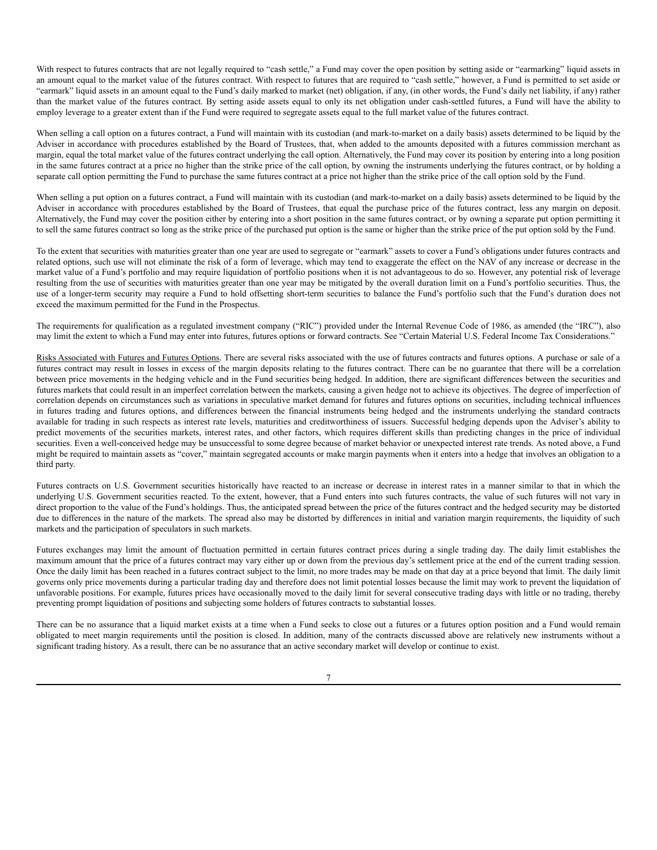With respect to futures contracts that are not legally required to "cash settle," a Fund may cover the open position by setting aside or "earmarking" liquid assets in an amount equal to the market value of the futures contract. With respect to futures that are required to "cash settle," however, a Fund is permitted to set aside or "earmark" liquid assets in an amount equal to the Fund's daily marked to market (net) obligation, if any, (in other words, the Fund's daily net liability, if any) rather than the market value of the futures contract. By setting aside assets equal to only its net obligation under cash-settled futures, a Fund will have the ability to employ leverage to a greater extent than if the Fund were required to segregate assets equal to the full market value of the futures contract.

When selling a call option on a futures contract, a Fund will maintain with its custodian (and mark-to-market on a daily basis) assets determined to be liquid by the Adviser in accordance with procedures established by the Board of Trustees, that, when added to the amounts deposited with a futures commission merchant as margin, equal the total market value of the futures contract underlying the call option. Alternatively, the Fund may cover its position by entering into a long position in the same futures contract at a price no higher than the strike price of the call option, by owning the instruments underlying the futures contract, or by holding a separate call option permitting the Fund to purchase the same futures contract at a price not higher than the strike price of the call option sold by the Fund.

When selling a put option on a futures contract, a Fund will maintain with its custodian (and mark-to-market on a daily basis) assets determined to be liquid by the Adviser in accordance with procedures established by the Board of Trustees, that equal the purchase price of the futures contract, less any margin on deposit. Alternatively, the Fund may cover the position either by entering into a short position in the same futures contract, or by owning a separate put option permitting it to sell the same futures contract so long as the strike price of the purchased put option is the same or higher than the strike price of the put option sold by the Fund.

To the extent that securities with maturities greater than one year are used to segregate or "earmark" assets to cover a Fund's obligations under futures contracts and related options, such use will not eliminate the risk of a form of leverage, which may tend to exaggerate the effect on the NAV of any increase or decrease in the market value of a Fund's portfolio and may require liquidation of portfolio positions when it is not advantageous to do so. However, any potential risk of leverage resulting from the use of securities with maturities greater than one year may be mitigated by the overall duration limit on a Fund's portfolio securities. Thus, the use of a longer-term security may require a Fund to hold offsetting short-term securities to balance the Fund's portfolio such that the Fund's duration does not exceed the maximum permitted for the Fund in the Prospectus.

The requirements for qualification as a regulated investment company ("RIC") provided under the Internal Revenue Code of 1986, as amended (the "IRC"), also may limit the extent to which a Fund may enter into futures, futures options or forward contracts. See "Certain Material U.S. Federal Income Tax Considerations."

Risks Associated with Futures and Futures Options. There are several risks associated with the use of futures contracts and futures options. A purchase or sale of a futures contract may result in losses in excess of the margin deposits relating to the futures contract. There can be no guarantee that there will be a correlation between price movements in the hedging vehicle and in the Fund securities being hedged. In addition, there are significant differences between the securities and futures markets that could result in an imperfect correlation between the markets, causing a given hedge not to achieve its objectives. The degree of imperfection of correlation depends on circumstances such as variations in speculative market demand for futures and futures options on securities, including technical influences in futures trading and futures options, and differences between the financial instruments being hedged and the instruments underlying the standard contracts available for trading in such respects as interest rate levels, maturities and creditworthiness of issuers. Successful hedging depends upon the Adviser's ability to predict movements of the securities markets, interest rates, and other factors, which requires different skills than predicting changes in the price of individual securities. Even a well-conceived hedge may be unsuccessful to some degree because of market behavior or unexpected interest rate trends. As noted above, a Fund might be required to maintain assets as "cover," maintain segregated accounts or make margin payments when it enters into a hedge that involves an obligation to a third party.

Futures contracts on U.S. Government securities historically have reacted to an increase or decrease in interest rates in a manner similar to that in which the underlying U.S. Government securities reacted. To the extent, however, that a Fund enters into such futures contracts, the value of such futures will not vary in direct proportion to the value of the Fund's holdings. Thus, the anticipated spread between the price of the futures contract and the hedged security may be distorted due to differences in the nature of the markets. The spread also may be distorted by differences in initial and variation margin requirements, the liquidity of such markets and the participation of speculators in such markets.

Futures exchanges may limit the amount of fluctuation permitted in certain futures contract prices during a single trading day. The daily limit establishes the maximum amount that the price of a futures contract may vary either up or down from the previous day's settlement price at the end of the current trading session. Once the daily limit has been reached in a futures contract subject to the limit, no more trades may be made on that day at a price beyond that limit. The daily limit governs only price movements during a particular trading day and therefore does not limit potential losses because the limit may work to prevent the liquidation of unfavorable positions. For example, futures prices have occasionally moved to the daily limit for several consecutive trading days with little or no trading, thereby preventing prompt liquidation of positions and subjecting some holders of futures contracts to substantial losses.

There can be no assurance that a liquid market exists at a time when a Fund seeks to close out a futures or a futures option position and a Fund would remain obligated to meet margin requirements until the position is closed. In addition, many of the contracts discussed above are relatively new instruments without a significant trading history. As a result, there can be no assurance that an active secondary market will develop or continue to exist.

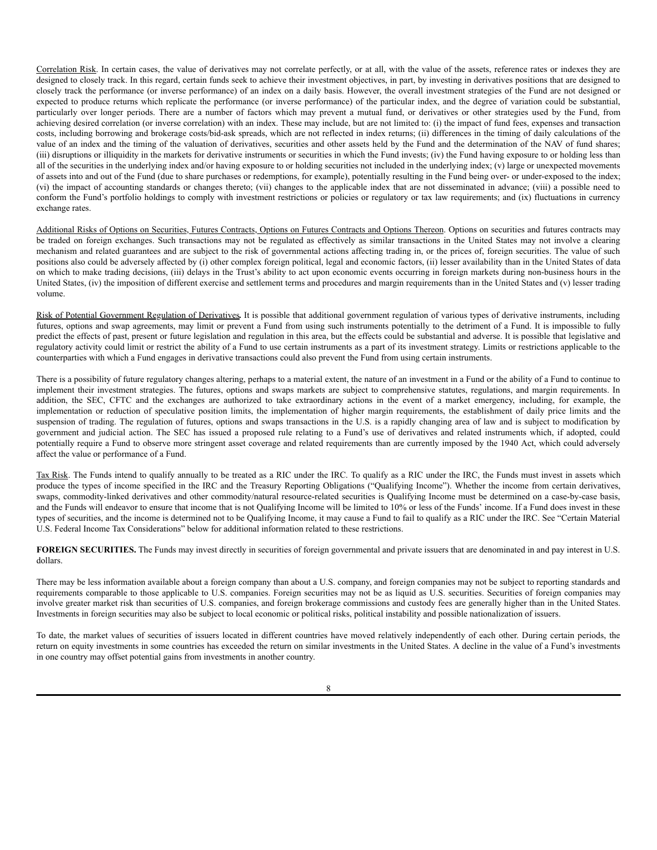Correlation Risk. In certain cases, the value of derivatives may not correlate perfectly, or at all, with the value of the assets, reference rates or indexes they are designed to closely track. In this regard, certain funds seek to achieve their investment objectives, in part, by investing in derivatives positions that are designed to closely track the performance (or inverse performance) of an index on a daily basis. However, the overall investment strategies of the Fund are not designed or expected to produce returns which replicate the performance (or inverse performance) of the particular index, and the degree of variation could be substantial, particularly over longer periods. There are a number of factors which may prevent a mutual fund, or derivatives or other strategies used by the Fund, from achieving desired correlation (or inverse correlation) with an index. These may include, but are not limited to: (i) the impact of fund fees, expenses and transaction costs, including borrowing and brokerage costs/bid-ask spreads, which are not reflected in index returns; (ii) differences in the timing of daily calculations of the value of an index and the timing of the valuation of derivatives, securities and other assets held by the Fund and the determination of the NAV of fund shares; (iii) disruptions or illiquidity in the markets for derivative instruments or securities in which the Fund invests; (iv) the Fund having exposure to or holding less than all of the securities in the underlying index and/or having exposure to or holding securities not included in the underlying index; (v) large or unexpected movements of assets into and out of the Fund (due to share purchases or redemptions, for example), potentially resulting in the Fund being over- or under-exposed to the index; (vi) the impact of accounting standards or changes thereto; (vii) changes to the applicable index that are not disseminated in advance; (viii) a possible need to conform the Fund's portfolio holdings to comply with investment restrictions or policies or regulatory or tax law requirements; and (ix) fluctuations in currency exchange rates.

Additional Risks of Options on Securities, Futures Contracts, Options on Futures Contracts and Options Thereon. Options on securities and futures contracts may be traded on foreign exchanges. Such transactions may not be regulated as effectively as similar transactions in the United States may not involve a clearing mechanism and related guarantees and are subject to the risk of governmental actions affecting trading in, or the prices of, foreign securities. The value of such positions also could be adversely affected by (i) other complex foreign political, legal and economic factors, (ii) lesser availability than in the United States of data on which to make trading decisions, (iii) delays in the Trust's ability to act upon economic events occurring in foreign markets during non-business hours in the United States, (iv) the imposition of different exercise and settlement terms and procedures and margin requirements than in the United States and (v) lesser trading volume.

Risk of Potential Government Regulation of Derivatives*.* It is possible that additional government regulation of various types of derivative instruments, including futures, options and swap agreements, may limit or prevent a Fund from using such instruments potentially to the detriment of a Fund. It is impossible to fully predict the effects of past, present or future legislation and regulation in this area, but the effects could be substantial and adverse. It is possible that legislative and regulatory activity could limit or restrict the ability of a Fund to use certain instruments as a part of its investment strategy. Limits or restrictions applicable to the counterparties with which a Fund engages in derivative transactions could also prevent the Fund from using certain instruments.

There is a possibility of future regulatory changes altering, perhaps to a material extent, the nature of an investment in a Fund or the ability of a Fund to continue to implement their investment strategies. The futures, options and swaps markets are subject to comprehensive statutes, regulations, and margin requirements. In addition, the SEC, CFTC and the exchanges are authorized to take extraordinary actions in the event of a market emergency, including, for example, the implementation or reduction of speculative position limits, the implementation of higher margin requirements, the establishment of daily price limits and the suspension of trading. The regulation of futures, options and swaps transactions in the U.S. is a rapidly changing area of law and is subject to modification by government and judicial action. The SEC has issued a proposed rule relating to a Fund's use of derivatives and related instruments which, if adopted, could potentially require a Fund to observe more stringent asset coverage and related requirements than are currently imposed by the 1940 Act, which could adversely affect the value or performance of a Fund.

Tax Risk. The Funds intend to qualify annually to be treated as a RIC under the IRC. To qualify as a RIC under the IRC, the Funds must invest in assets which produce the types of income specified in the IRC and the Treasury Reporting Obligations ("Qualifying Income"). Whether the income from certain derivatives, swaps, commodity-linked derivatives and other commodity/natural resource-related securities is Qualifying Income must be determined on a case-by-case basis, and the Funds will endeavor to ensure that income that is not Qualifying Income will be limited to 10% or less of the Funds' income. If a Fund does invest in these types of securities, and the income is determined not to be Qualifying Income, it may cause a Fund to fail to qualify as a RIC under the IRC. See "Certain Material U.S. Federal Income Tax Considerations" below for additional information related to these restrictions.

**FOREIGN SECURITIES.** The Funds may invest directly in securities of foreign governmental and private issuers that are denominated in and pay interest in U.S. dollars.

There may be less information available about a foreign company than about a U.S. company, and foreign companies may not be subject to reporting standards and requirements comparable to those applicable to U.S. companies. Foreign securities may not be as liquid as U.S. securities. Securities of foreign companies may involve greater market risk than securities of U.S. companies, and foreign brokerage commissions and custody fees are generally higher than in the United States. Investments in foreign securities may also be subject to local economic or political risks, political instability and possible nationalization of issuers.

To date, the market values of securities of issuers located in different countries have moved relatively independently of each other. During certain periods, the return on equity investments in some countries has exceeded the return on similar investments in the United States. A decline in the value of a Fund's investments in one country may offset potential gains from investments in another country.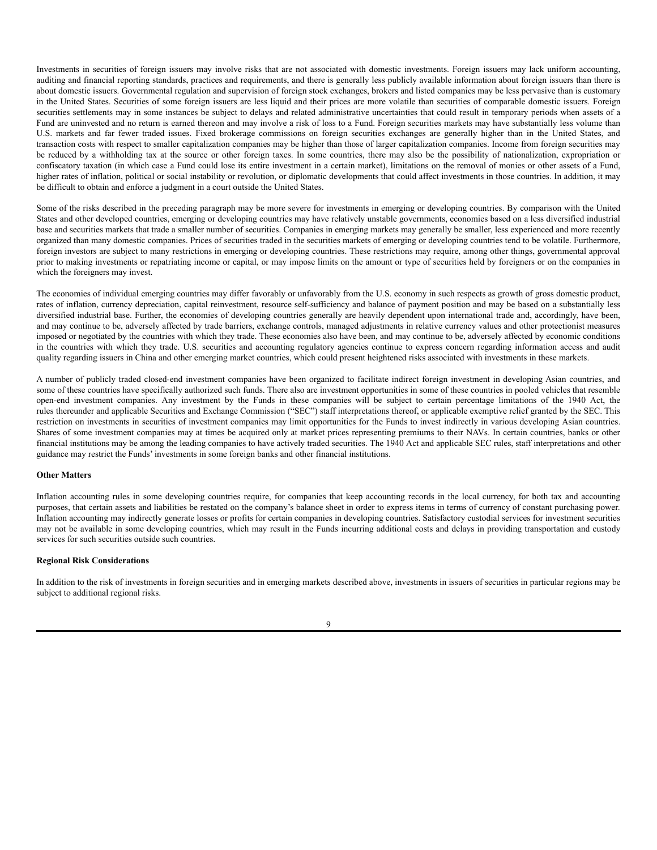Investments in securities of foreign issuers may involve risks that are not associated with domestic investments. Foreign issuers may lack uniform accounting, auditing and financial reporting standards, practices and requirements, and there is generally less publicly available information about foreign issuers than there is about domestic issuers. Governmental regulation and supervision of foreign stock exchanges, brokers and listed companies may be less pervasive than is customary in the United States. Securities of some foreign issuers are less liquid and their prices are more volatile than securities of comparable domestic issuers. Foreign securities settlements may in some instances be subject to delays and related administrative uncertainties that could result in temporary periods when assets of a Fund are uninvested and no return is earned thereon and may involve a risk of loss to a Fund. Foreign securities markets may have substantially less volume than U.S. markets and far fewer traded issues. Fixed brokerage commissions on foreign securities exchanges are generally higher than in the United States, and transaction costs with respect to smaller capitalization companies may be higher than those of larger capitalization companies. Income from foreign securities may be reduced by a withholding tax at the source or other foreign taxes. In some countries, there may also be the possibility of nationalization, expropriation or confiscatory taxation (in which case a Fund could lose its entire investment in a certain market), limitations on the removal of monies or other assets of a Fund, higher rates of inflation, political or social instability or revolution, or diplomatic developments that could affect investments in those countries. In addition, it may be difficult to obtain and enforce a judgment in a court outside the United States.

Some of the risks described in the preceding paragraph may be more severe for investments in emerging or developing countries. By comparison with the United States and other developed countries, emerging or developing countries may have relatively unstable governments, economies based on a less diversified industrial base and securities markets that trade a smaller number of securities. Companies in emerging markets may generally be smaller, less experienced and more recently organized than many domestic companies. Prices of securities traded in the securities markets of emerging or developing countries tend to be volatile. Furthermore, foreign investors are subject to many restrictions in emerging or developing countries. These restrictions may require, among other things, governmental approval prior to making investments or repatriating income or capital, or may impose limits on the amount or type of securities held by foreigners or on the companies in which the foreigners may invest.

The economies of individual emerging countries may differ favorably or unfavorably from the U.S. economy in such respects as growth of gross domestic product, rates of inflation, currency depreciation, capital reinvestment, resource self-sufficiency and balance of payment position and may be based on a substantially less diversified industrial base. Further, the economies of developing countries generally are heavily dependent upon international trade and, accordingly, have been, and may continue to be, adversely affected by trade barriers, exchange controls, managed adjustments in relative currency values and other protectionist measures imposed or negotiated by the countries with which they trade. These economies also have been, and may continue to be, adversely affected by economic conditions in the countries with which they trade. U.S. securities and accounting regulatory agencies continue to express concern regarding information access and audit quality regarding issuers in China and other emerging market countries, which could present heightened risks associated with investments in these markets.

A number of publicly traded closed-end investment companies have been organized to facilitate indirect foreign investment in developing Asian countries, and some of these countries have specifically authorized such funds. There also are investment opportunities in some of these countries in pooled vehicles that resemble open-end investment companies. Any investment by the Funds in these companies will be subject to certain percentage limitations of the 1940 Act, the rules thereunder and applicable Securities and Exchange Commission ("SEC") staff interpretations thereof, or applicable exemptive relief granted by the SEC. This restriction on investments in securities of investment companies may limit opportunities for the Funds to invest indirectly in various developing Asian countries. Shares of some investment companies may at times be acquired only at market prices representing premiums to their NAVs. In certain countries, banks or other financial institutions may be among the leading companies to have actively traded securities. The 1940 Act and applicable SEC rules, staff interpretations and other guidance may restrict the Funds' investments in some foreign banks and other financial institutions.

#### **Other Matters**

Inflation accounting rules in some developing countries require, for companies that keep accounting records in the local currency, for both tax and accounting purposes, that certain assets and liabilities be restated on the company's balance sheet in order to express items in terms of currency of constant purchasing power. Inflation accounting may indirectly generate losses or profits for certain companies in developing countries. Satisfactory custodial services for investment securities may not be available in some developing countries, which may result in the Funds incurring additional costs and delays in providing transportation and custody services for such securities outside such countries.

#### **Regional Risk Considerations**

In addition to the risk of investments in foreign securities and in emerging markets described above, investments in issuers of securities in particular regions may be subject to additional regional risks.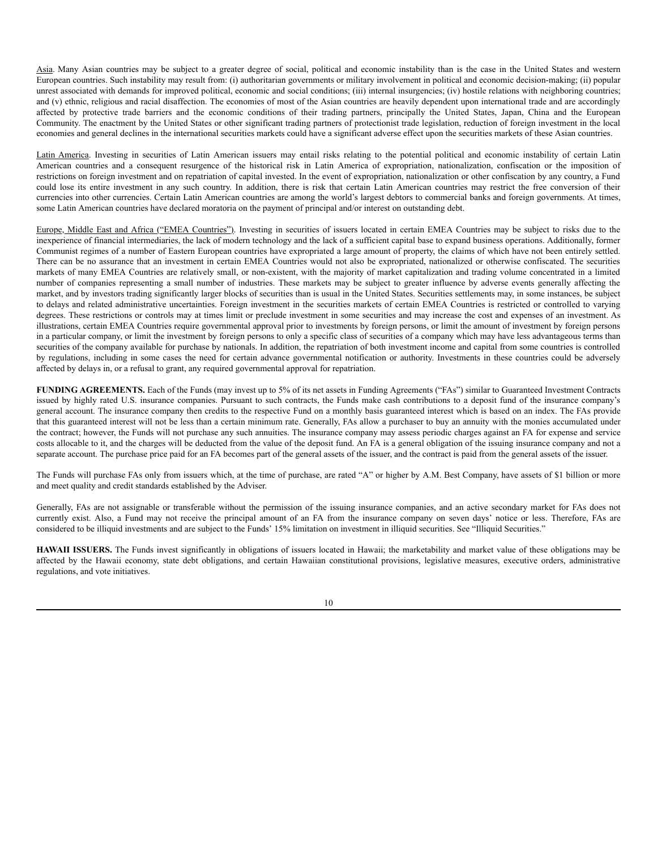Asia. Many Asian countries may be subject to a greater degree of social, political and economic instability than is the case in the United States and western European countries. Such instability may result from: (i) authoritarian governments or military involvement in political and economic decision-making; (ii) popular unrest associated with demands for improved political, economic and social conditions; (iii) internal insurgencies; (iv) hostile relations with neighboring countries; and (v) ethnic, religious and racial disaffection. The economies of most of the Asian countries are heavily dependent upon international trade and are accordingly affected by protective trade barriers and the economic conditions of their trading partners, principally the United States, Japan, China and the European Community. The enactment by the United States or other significant trading partners of protectionist trade legislation, reduction of foreign investment in the local economies and general declines in the international securities markets could have a significant adverse effect upon the securities markets of these Asian countries.

Latin America. Investing in securities of Latin American issuers may entail risks relating to the potential political and economic instability of certain Latin American countries and a consequent resurgence of the historical risk in Latin America of expropriation, nationalization, confiscation or the imposition of restrictions on foreign investment and on repatriation of capital invested. In the event of expropriation, nationalization or other confiscation by any country, a Fund could lose its entire investment in any such country. In addition, there is risk that certain Latin American countries may restrict the free conversion of their currencies into other currencies. Certain Latin American countries are among the world's largest debtors to commercial banks and foreign governments. At times, some Latin American countries have declared moratoria on the payment of principal and/or interest on outstanding debt.

Europe, Middle East and Africa ("EMEA Countries"). Investing in securities of issuers located in certain EMEA Countries may be subject to risks due to the inexperience of financial intermediaries, the lack of modern technology and the lack of a sufficient capital base to expand business operations. Additionally, former Communist regimes of a number of Eastern European countries have expropriated a large amount of property, the claims of which have not been entirely settled. There can be no assurance that an investment in certain EMEA Countries would not also be expropriated, nationalized or otherwise confiscated. The securities markets of many EMEA Countries are relatively small, or non-existent, with the majority of market capitalization and trading volume concentrated in a limited number of companies representing a small number of industries. These markets may be subject to greater influence by adverse events generally affecting the market, and by investors trading significantly larger blocks of securities than is usual in the United States. Securities settlements may, in some instances, be subject to delays and related administrative uncertainties. Foreign investment in the securities markets of certain EMEA Countries is restricted or controlled to varying degrees. These restrictions or controls may at times limit or preclude investment in some securities and may increase the cost and expenses of an investment. As illustrations, certain EMEA Countries require governmental approval prior to investments by foreign persons, or limit the amount of investment by foreign persons in a particular company, or limit the investment by foreign persons to only a specific class of securities of a company which may have less advantageous terms than securities of the company available for purchase by nationals. In addition, the repatriation of both investment income and capital from some countries is controlled by regulations, including in some cases the need for certain advance governmental notification or authority. Investments in these countries could be adversely affected by delays in, or a refusal to grant, any required governmental approval for repatriation.

**FUNDING AGREEMENTS.** Each of the Funds (may invest up to 5% of its net assets in Funding Agreements ("FAs") similar to Guaranteed Investment Contracts issued by highly rated U.S. insurance companies. Pursuant to such contracts, the Funds make cash contributions to a deposit fund of the insurance company's general account. The insurance company then credits to the respective Fund on a monthly basis guaranteed interest which is based on an index. The FAs provide that this guaranteed interest will not be less than a certain minimum rate. Generally, FAs allow a purchaser to buy an annuity with the monies accumulated under the contract; however, the Funds will not purchase any such annuities. The insurance company may assess periodic charges against an FA for expense and service costs allocable to it, and the charges will be deducted from the value of the deposit fund. An FA is a general obligation of the issuing insurance company and not a separate account. The purchase price paid for an FA becomes part of the general assets of the issuer, and the contract is paid from the general assets of the issuer.

The Funds will purchase FAs only from issuers which, at the time of purchase, are rated "A" or higher by A.M. Best Company, have assets of \$1 billion or more and meet quality and credit standards established by the Adviser.

Generally, FAs are not assignable or transferable without the permission of the issuing insurance companies, and an active secondary market for FAs does not currently exist. Also, a Fund may not receive the principal amount of an FA from the insurance company on seven days' notice or less. Therefore, FAs are considered to be illiquid investments and are subject to the Funds' 15% limitation on investment in illiquid securities. See "Illiquid Securities."

**HAWAII ISSUERS.** The Funds invest significantly in obligations of issuers located in Hawaii; the marketability and market value of these obligations may be affected by the Hawaii economy, state debt obligations, and certain Hawaiian constitutional provisions, legislative measures, executive orders, administrative regulations, and vote initiatives.

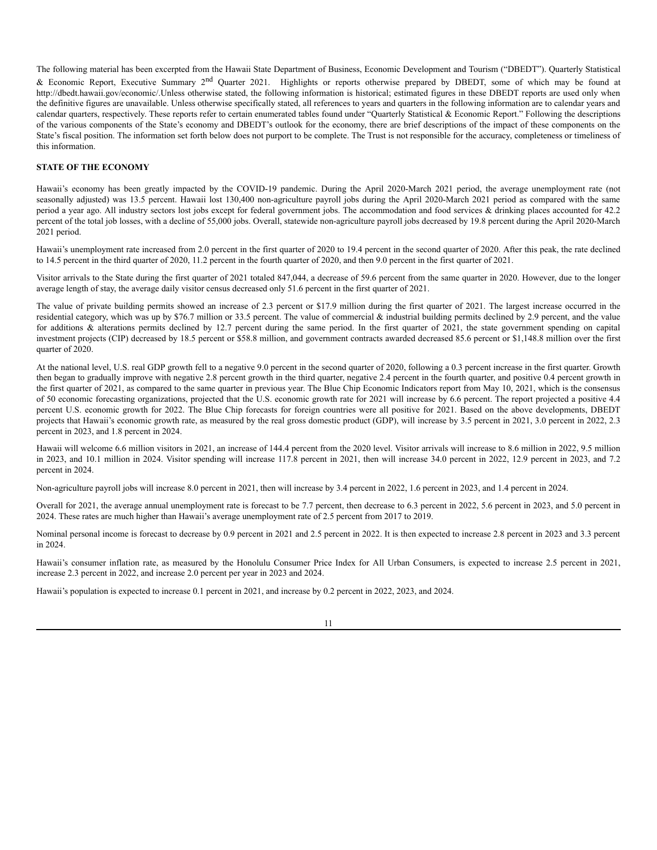The following material has been excerpted from the Hawaii State Department of Business, Economic Development and Tourism ("DBEDT"). Quarterly Statistical & Economic Report, Executive Summary 2<sup>nd</sup> Quarter 2021. Highlights or reports otherwise prepared by DBEDT, some of which may be found at http://dbedt.hawaii.gov/economic/.Unless otherwise stated, the following information is historical; estimated figures in these DBEDT reports are used only when the definitive figures are unavailable. Unless otherwise specifically stated, all references to years and quarters in the following information are to calendar years and calendar quarters, respectively. These reports refer to certain enumerated tables found under "Quarterly Statistical & Economic Report." Following the descriptions of the various components of the State's economy and DBEDT's outlook for the economy, there are brief descriptions of the impact of these components on the State's fiscal position. The information set forth below does not purport to be complete. The Trust is not responsible for the accuracy, completeness or timeliness of this information.

# **STATE OF THE ECONOMY**

Hawaii's economy has been greatly impacted by the COVID-19 pandemic. During the April 2020-March 2021 period, the average unemployment rate (not seasonally adjusted) was 13.5 percent. Hawaii lost 130,400 non-agriculture payroll jobs during the April 2020-March 2021 period as compared with the same period a year ago. All industry sectors lost jobs except for federal government jobs. The accommodation and food services & drinking places accounted for 42.2 percent of the total job losses, with a decline of 55,000 jobs. Overall, statewide non-agriculture payroll jobs decreased by 19.8 percent during the April 2020-March 2021 period.

Hawaii's unemployment rate increased from 2.0 percent in the first quarter of 2020 to 19.4 percent in the second quarter of 2020. After this peak, the rate declined to 14.5 percent in the third quarter of 2020, 11.2 percent in the fourth quarter of 2020, and then 9.0 percent in the first quarter of 2021.

Visitor arrivals to the State during the first quarter of 2021 totaled 847,044, a decrease of 59.6 percent from the same quarter in 2020. However, due to the longer average length of stay, the average daily visitor census decreased only 51.6 percent in the first quarter of 2021.

The value of private building permits showed an increase of 2.3 percent or \$17.9 million during the first quarter of 2021. The largest increase occurred in the residential category, which was up by \$76.7 million or 33.5 percent. The value of commercial  $\&$  industrial building permits declined by 2.9 percent, and the value for additions & alterations permits declined by 12.7 percent during the same period. In the first quarter of 2021, the state government spending on capital investment projects (CIP) decreased by 18.5 percent or \$58.8 million, and government contracts awarded decreased 85.6 percent or \$1,148.8 million over the first quarter of 2020.

At the national level, U.S. real GDP growth fell to a negative 9.0 percent in the second quarter of 2020, following a 0.3 percent increase in the first quarter. Growth then began to gradually improve with negative 2.8 percent growth in the third quarter, negative 2.4 percent in the fourth quarter, and positive 0.4 percent growth in the first quarter of 2021, as compared to the same quarter in previous year. The Blue Chip Economic Indicators report from May 10, 2021, which is the consensus of 50 economic forecasting organizations, projected that the U.S. economic growth rate for 2021 will increase by 6.6 percent. The report projected a positive 4.4 percent U.S. economic growth for 2022. The Blue Chip forecasts for foreign countries were all positive for 2021. Based on the above developments, DBEDT projects that Hawaii's economic growth rate, as measured by the real gross domestic product (GDP), will increase by 3.5 percent in 2021, 3.0 percent in 2022, 2.3 percent in 2023, and 1.8 percent in 2024.

Hawaii will welcome 6.6 million visitors in 2021, an increase of 144.4 percent from the 2020 level. Visitor arrivals will increase to 8.6 million in 2022, 9.5 million in 2023, and 10.1 million in 2024. Visitor spending will increase 117.8 percent in 2021, then will increase 34.0 percent in 2022, 12.9 percent in 2023, and 7.2 percent in 2024.

Non-agriculture payroll jobs will increase 8.0 percent in 2021, then will increase by 3.4 percent in 2022, 1.6 percent in 2023, and 1.4 percent in 2024.

Overall for 2021, the average annual unemployment rate is forecast to be 7.7 percent, then decrease to 6.3 percent in 2022, 5.6 percent in 2023, and 5.0 percent in 2024. These rates are much higher than Hawaii's average unemployment rate of 2.5 percent from 2017 to 2019.

Nominal personal income is forecast to decrease by 0.9 percent in 2021 and 2.5 percent in 2022. It is then expected to increase 2.8 percent in 2023 and 3.3 percent in 2024.

Hawaii's consumer inflation rate, as measured by the Honolulu Consumer Price Index for All Urban Consumers, is expected to increase 2.5 percent in 2021, increase 2.3 percent in 2022, and increase 2.0 percent per year in 2023 and 2024.

Hawaii's population is expected to increase 0.1 percent in 2021, and increase by 0.2 percent in 2022, 2023, and 2024.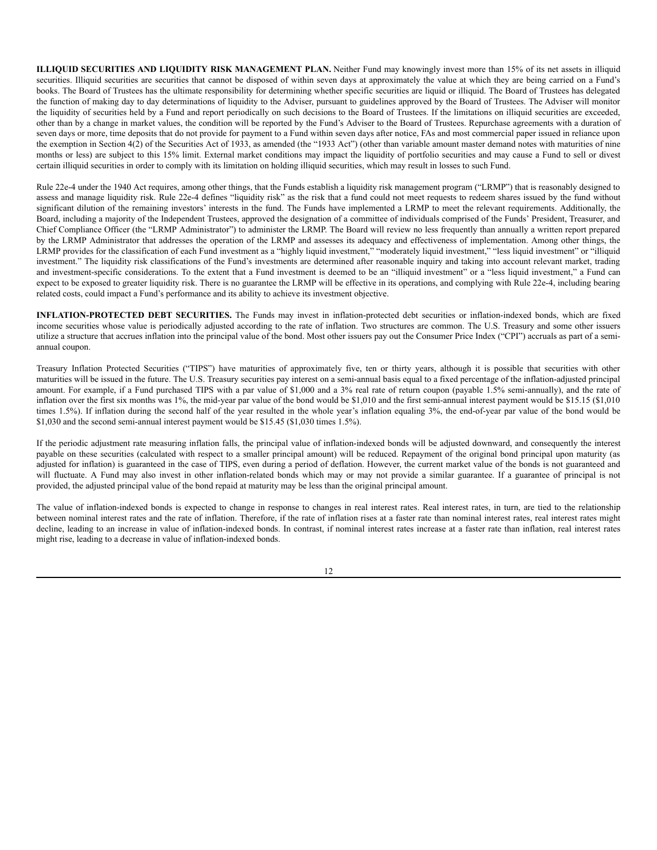**ILLIQUID SECURITIES AND LIQUIDITY RISK MANAGEMENT PLAN.** Neither Fund may knowingly invest more than 15% of its net assets in illiquid securities. Illiquid securities are securities that cannot be disposed of within seven days at approximately the value at which they are being carried on a Fund's books. The Board of Trustees has the ultimate responsibility for determining whether specific securities are liquid or illiquid. The Board of Trustees has delegated the function of making day to day determinations of liquidity to the Adviser, pursuant to guidelines approved by the Board of Trustees. The Adviser will monitor the liquidity of securities held by a Fund and report periodically on such decisions to the Board of Trustees. If the limitations on illiquid securities are exceeded, other than by a change in market values, the condition will be reported by the Fund's Adviser to the Board of Trustees. Repurchase agreements with a duration of seven days or more, time deposits that do not provide for payment to a Fund within seven days after notice, FAs and most commercial paper issued in reliance upon the exemption in Section 4(2) of the Securities Act of 1933, as amended (the "1933 Act") (other than variable amount master demand notes with maturities of nine months or less) are subject to this 15% limit. External market conditions may impact the liquidity of portfolio securities and may cause a Fund to sell or divest certain illiquid securities in order to comply with its limitation on holding illiquid securities, which may result in losses to such Fund.

Rule 22e-4 under the 1940 Act requires, among other things, that the Funds establish a liquidity risk management program ("LRMP") that is reasonably designed to assess and manage liquidity risk. Rule 22e-4 defines "liquidity risk" as the risk that a fund could not meet requests to redeem shares issued by the fund without significant dilution of the remaining investors' interests in the fund. The Funds have implemented a LRMP to meet the relevant requirements. Additionally, the Board, including a majority of the Independent Trustees, approved the designation of a committee of individuals comprised of the Funds' President, Treasurer, and Chief Compliance Officer (the "LRMP Administrator") to administer the LRMP. The Board will review no less frequently than annually a written report prepared by the LRMP Administrator that addresses the operation of the LRMP and assesses its adequacy and effectiveness of implementation. Among other things, the LRMP provides for the classification of each Fund investment as a "highly liquid investment," "moderately liquid investment," "less liquid investment" or "illiquid investment." The liquidity risk classifications of the Fund's investments are determined after reasonable inquiry and taking into account relevant market, trading and investment-specific considerations. To the extent that a Fund investment is deemed to be an "illiquid investment" or a "less liquid investment," a Fund can expect to be exposed to greater liquidity risk. There is no guarantee the LRMP will be effective in its operations, and complying with Rule 22e-4, including bearing related costs, could impact a Fund's performance and its ability to achieve its investment objective.

**INFLATION-PROTECTED DEBT SECURITIES.** The Funds may invest in inflation-protected debt securities or inflation-indexed bonds, which are fixed income securities whose value is periodically adjusted according to the rate of inflation. Two structures are common. The U.S. Treasury and some other issuers utilize a structure that accrues inflation into the principal value of the bond. Most other issuers pay out the Consumer Price Index ("CPI") accruals as part of a semiannual coupon.

Treasury Inflation Protected Securities ("TIPS") have maturities of approximately five, ten or thirty years, although it is possible that securities with other maturities will be issued in the future. The U.S. Treasury securities pay interest on a semi-annual basis equal to a fixed percentage of the inflation-adjusted principal amount. For example, if a Fund purchased TIPS with a par value of \$1,000 and a 3% real rate of return coupon (payable 1.5% semi-annually), and the rate of inflation over the first six months was 1%, the mid-year par value of the bond would be \$1,010 and the first semi-annual interest payment would be \$15.15 (\$1,010 times 1.5%). If inflation during the second half of the year resulted in the whole year's inflation equaling 3%, the end-of-year par value of the bond would be \$1,030 and the second semi-annual interest payment would be \$15.45 (\$1,030 times 1.5%).

If the periodic adjustment rate measuring inflation falls, the principal value of inflation-indexed bonds will be adjusted downward, and consequently the interest payable on these securities (calculated with respect to a smaller principal amount) will be reduced. Repayment of the original bond principal upon maturity (as adjusted for inflation) is guaranteed in the case of TIPS, even during a period of deflation. However, the current market value of the bonds is not guaranteed and will fluctuate. A Fund may also invest in other inflation-related bonds which may or may not provide a similar guarantee. If a guarantee of principal is not provided, the adjusted principal value of the bond repaid at maturity may be less than the original principal amount.

The value of inflation-indexed bonds is expected to change in response to changes in real interest rates. Real interest rates, in turn, are tied to the relationship between nominal interest rates and the rate of inflation. Therefore, if the rate of inflation rises at a faster rate than nominal interest rates, real interest rates might decline, leading to an increase in value of inflation-indexed bonds. In contrast, if nominal interest rates increase at a faster rate than inflation, real interest rates might rise, leading to a decrease in value of inflation-indexed bonds.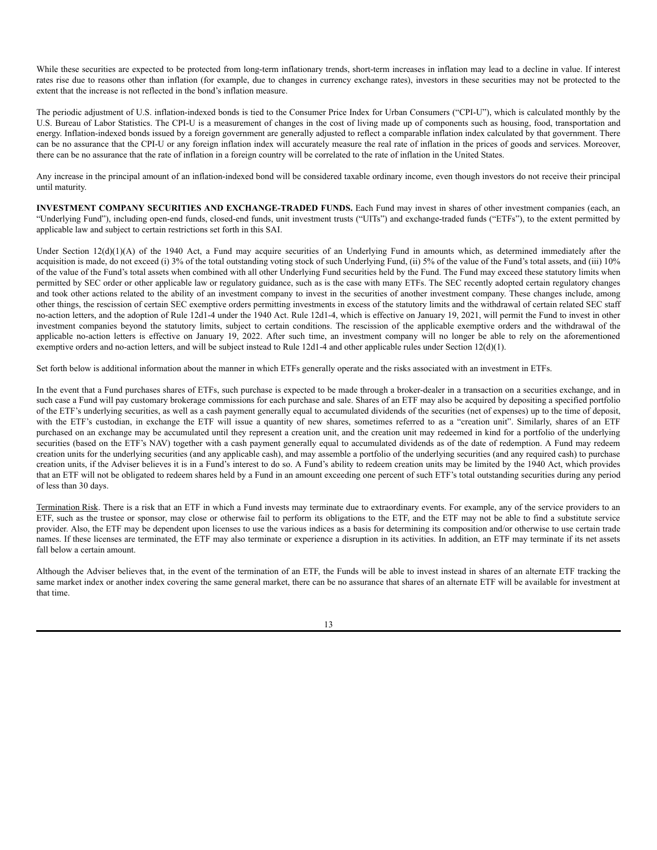While these securities are expected to be protected from long-term inflationary trends, short-term increases in inflation may lead to a decline in value. If interest rates rise due to reasons other than inflation (for example, due to changes in currency exchange rates), investors in these securities may not be protected to the extent that the increase is not reflected in the bond's inflation measure.

The periodic adjustment of U.S. inflation-indexed bonds is tied to the Consumer Price Index for Urban Consumers ("CPI-U"), which is calculated monthly by the U.S. Bureau of Labor Statistics. The CPI-U is a measurement of changes in the cost of living made up of components such as housing, food, transportation and energy. Inflation-indexed bonds issued by a foreign government are generally adjusted to reflect a comparable inflation index calculated by that government. There can be no assurance that the CPI-U or any foreign inflation index will accurately measure the real rate of inflation in the prices of goods and services. Moreover, there can be no assurance that the rate of inflation in a foreign country will be correlated to the rate of inflation in the United States.

Any increase in the principal amount of an inflation-indexed bond will be considered taxable ordinary income, even though investors do not receive their principal until maturity.

**INVESTMENT COMPANY SECURITIES AND EXCHANGE-TRADED FUNDS.** Each Fund may invest in shares of other investment companies (each, an "Underlying Fund"), including open-end funds, closed-end funds, unit investment trusts ("UITs") and exchange-traded funds ("ETFs"), to the extent permitted by applicable law and subject to certain restrictions set forth in this SAI.

Under Section 12(d)(1)(A) of the 1940 Act, a Fund may acquire securities of an Underlying Fund in amounts which, as determined immediately after the acquisition is made, do not exceed (i) 3% of the total outstanding voting stock of such Underlying Fund, (ii) 5% of the value of the Fund's total assets, and (iii) 10% of the value of the Fund's total assets when combined with all other Underlying Fund securities held by the Fund. The Fund may exceed these statutory limits when permitted by SEC order or other applicable law or regulatory guidance, such as is the case with many ETFs. The SEC recently adopted certain regulatory changes and took other actions related to the ability of an investment company to invest in the securities of another investment company. These changes include, among other things, the rescission of certain SEC exemptive orders permitting investments in excess of the statutory limits and the withdrawal of certain related SEC staff no-action letters, and the adoption of Rule 12d1-4 under the 1940 Act. Rule 12d1-4, which is effective on January 19, 2021, will permit the Fund to invest in other investment companies beyond the statutory limits, subject to certain conditions. The rescission of the applicable exemptive orders and the withdrawal of the applicable no-action letters is effective on January 19, 2022. After such time, an investment company will no longer be able to rely on the aforementioned exemptive orders and no-action letters, and will be subject instead to Rule 12d1-4 and other applicable rules under Section 12(d)(1).

Set forth below is additional information about the manner in which ETFs generally operate and the risks associated with an investment in ETFs.

In the event that a Fund purchases shares of ETFs, such purchase is expected to be made through a broker-dealer in a transaction on a securities exchange, and in such case a Fund will pay customary brokerage commissions for each purchase and sale. Shares of an ETF may also be acquired by depositing a specified portfolio of the ETF's underlying securities, as well as a cash payment generally equal to accumulated dividends of the securities (net of expenses) up to the time of deposit, with the ETF's custodian, in exchange the ETF will issue a quantity of new shares, sometimes referred to as a "creation unit". Similarly, shares of an ETF purchased on an exchange may be accumulated until they represent a creation unit, and the creation unit may redeemed in kind for a portfolio of the underlying securities (based on the ETF's NAV) together with a cash payment generally equal to accumulated dividends as of the date of redemption. A Fund may redeem creation units for the underlying securities (and any applicable cash), and may assemble a portfolio of the underlying securities (and any required cash) to purchase creation units, if the Adviser believes it is in a Fund's interest to do so. A Fund's ability to redeem creation units may be limited by the 1940 Act, which provides that an ETF will not be obligated to redeem shares held by a Fund in an amount exceeding one percent of such ETF's total outstanding securities during any period of less than 30 days.

Termination Risk. There is a risk that an ETF in which a Fund invests may terminate due to extraordinary events. For example, any of the service providers to an ETF, such as the trustee or sponsor, may close or otherwise fail to perform its obligations to the ETF, and the ETF may not be able to find a substitute service provider. Also, the ETF may be dependent upon licenses to use the various indices as a basis for determining its composition and/or otherwise to use certain trade names. If these licenses are terminated, the ETF may also terminate or experience a disruption in its activities. In addition, an ETF may terminate if its net assets fall below a certain amount.

Although the Adviser believes that, in the event of the termination of an ETF, the Funds will be able to invest instead in shares of an alternate ETF tracking the same market index or another index covering the same general market, there can be no assurance that shares of an alternate ETF will be available for investment at that time.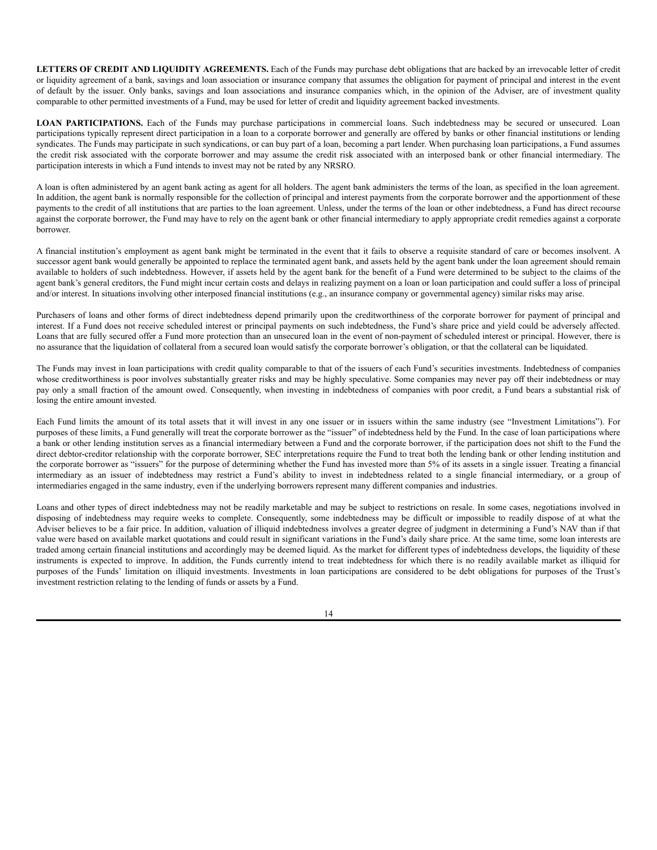**LETTERS OF CREDIT AND LIQUIDITY AGREEMENTS.** Each of the Funds may purchase debt obligations that are backed by an irrevocable letter of credit or liquidity agreement of a bank, savings and loan association or insurance company that assumes the obligation for payment of principal and interest in the event of default by the issuer. Only banks, savings and loan associations and insurance companies which, in the opinion of the Adviser, are of investment quality comparable to other permitted investments of a Fund, may be used for letter of credit and liquidity agreement backed investments.

LOAN PARTICIPATIONS. Each of the Funds may purchase participations in commercial loans. Such indebtedness may be secured or unsecured. Loan participations typically represent direct participation in a loan to a corporate borrower and generally are offered by banks or other financial institutions or lending syndicates. The Funds may participate in such syndications, or can buy part of a loan, becoming a part lender. When purchasing loan participations, a Fund assumes the credit risk associated with the corporate borrower and may assume the credit risk associated with an interposed bank or other financial intermediary. The participation interests in which a Fund intends to invest may not be rated by any NRSRO.

A loan is often administered by an agent bank acting as agent for all holders. The agent bank administers the terms of the loan, as specified in the loan agreement. In addition, the agent bank is normally responsible for the collection of principal and interest payments from the corporate borrower and the apportionment of these payments to the credit of all institutions that are parties to the loan agreement. Unless, under the terms of the loan or other indebtedness, a Fund has direct recourse against the corporate borrower, the Fund may have to rely on the agent bank or other financial intermediary to apply appropriate credit remedies against a corporate borrower.

A financial institution's employment as agent bank might be terminated in the event that it fails to observe a requisite standard of care or becomes insolvent. A successor agent bank would generally be appointed to replace the terminated agent bank, and assets held by the agent bank under the loan agreement should remain available to holders of such indebtedness. However, if assets held by the agent bank for the benefit of a Fund were determined to be subject to the claims of the agent bank's general creditors, the Fund might incur certain costs and delays in realizing payment on a loan or loan participation and could suffer a loss of principal and/or interest. In situations involving other interposed financial institutions (e.g., an insurance company or governmental agency) similar risks may arise.

Purchasers of loans and other forms of direct indebtedness depend primarily upon the creditworthiness of the corporate borrower for payment of principal and interest. If a Fund does not receive scheduled interest or principal payments on such indebtedness, the Fund's share price and yield could be adversely affected. Loans that are fully secured offer a Fund more protection than an unsecured loan in the event of non-payment of scheduled interest or principal. However, there is no assurance that the liquidation of collateral from a secured loan would satisfy the corporate borrower's obligation, or that the collateral can be liquidated.

The Funds may invest in loan participations with credit quality comparable to that of the issuers of each Fund's securities investments. Indebtedness of companies whose creditworthiness is poor involves substantially greater risks and may be highly speculative. Some companies may never pay off their indebtedness or may pay only a small fraction of the amount owed. Consequently, when investing in indebtedness of companies with poor credit, a Fund bears a substantial risk of losing the entire amount invested.

Each Fund limits the amount of its total assets that it will invest in any one issuer or in issuers within the same industry (see "Investment Limitations"). For purposes of these limits, a Fund generally will treat the corporate borrower as the "issuer" of indebtedness held by the Fund. In the case of loan participations where a bank or other lending institution serves as a financial intermediary between a Fund and the corporate borrower, if the participation does not shift to the Fund the direct debtor-creditor relationship with the corporate borrower, SEC interpretations require the Fund to treat both the lending bank or other lending institution and the corporate borrower as "issuers" for the purpose of determining whether the Fund has invested more than 5% of its assets in a single issuer. Treating a financial intermediary as an issuer of indebtedness may restrict a Fund's ability to invest in indebtedness related to a single financial intermediary, or a group of intermediaries engaged in the same industry, even if the underlying borrowers represent many different companies and industries.

Loans and other types of direct indebtedness may not be readily marketable and may be subject to restrictions on resale. In some cases, negotiations involved in disposing of indebtedness may require weeks to complete. Consequently, some indebtedness may be difficult or impossible to readily dispose of at what the Adviser believes to be a fair price. In addition, valuation of illiquid indebtedness involves a greater degree of judgment in determining a Fund's NAV than if that value were based on available market quotations and could result in significant variations in the Fund's daily share price. At the same time, some loan interests are traded among certain financial institutions and accordingly may be deemed liquid. As the market for different types of indebtedness develops, the liquidity of these instruments is expected to improve. In addition, the Funds currently intend to treat indebtedness for which there is no readily available market as illiquid for purposes of the Funds' limitation on illiquid investments. Investments in loan participations are considered to be debt obligations for purposes of the Trust's investment restriction relating to the lending of funds or assets by a Fund.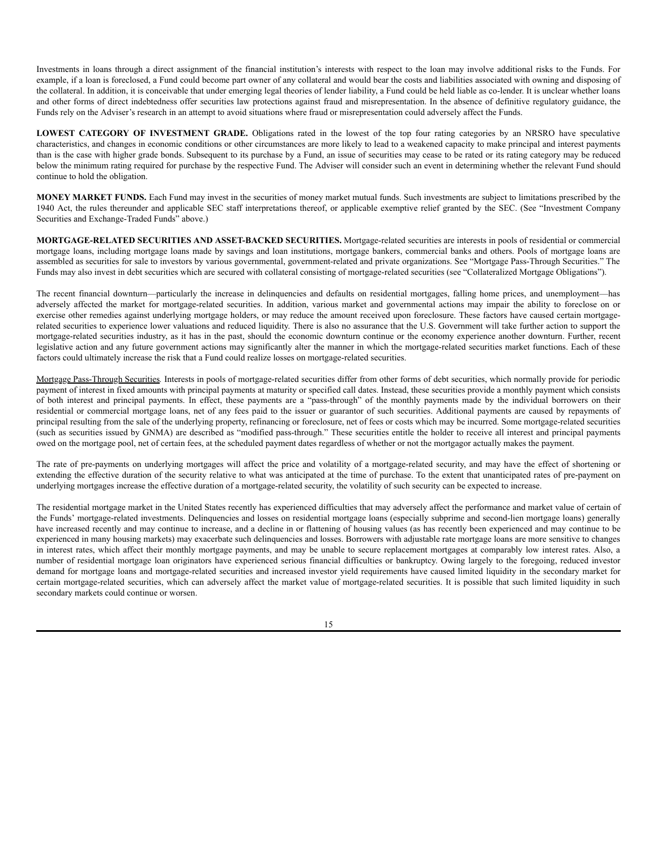Investments in loans through a direct assignment of the financial institution's interests with respect to the loan may involve additional risks to the Funds. For example, if a loan is foreclosed, a Fund could become part owner of any collateral and would bear the costs and liabilities associated with owning and disposing of the collateral. In addition, it is conceivable that under emerging legal theories of lender liability, a Fund could be held liable as co-lender. It is unclear whether loans and other forms of direct indebtedness offer securities law protections against fraud and misrepresentation. In the absence of definitive regulatory guidance, the Funds rely on the Adviser's research in an attempt to avoid situations where fraud or misrepresentation could adversely affect the Funds.

**LOWEST CATEGORY OF INVESTMENT GRADE.** Obligations rated in the lowest of the top four rating categories by an NRSRO have speculative characteristics, and changes in economic conditions or other circumstances are more likely to lead to a weakened capacity to make principal and interest payments than is the case with higher grade bonds. Subsequent to its purchase by a Fund, an issue of securities may cease to be rated or its rating category may be reduced below the minimum rating required for purchase by the respective Fund. The Adviser will consider such an event in determining whether the relevant Fund should continue to hold the obligation.

**MONEY MARKET FUNDS.** Each Fund may invest in the securities of money market mutual funds. Such investments are subject to limitations prescribed by the 1940 Act, the rules thereunder and applicable SEC staff interpretations thereof, or applicable exemptive relief granted by the SEC. (See "Investment Company Securities and Exchange-Traded Funds" above.)

**MORTGAGE-RELATED SECURITIES AND ASSET-BACKED SECURITIES.** Mortgage-related securities are interests in pools of residential or commercial mortgage loans, including mortgage loans made by savings and loan institutions, mortgage bankers, commercial banks and others. Pools of mortgage loans are assembled as securities for sale to investors by various governmental, government-related and private organizations. See "Mortgage Pass-Through Securities." The Funds may also invest in debt securities which are secured with collateral consisting of mortgage-related securities (see "Collateralized Mortgage Obligations").

The recent financial downturn—particularly the increase in delinquencies and defaults on residential mortgages, falling home prices, and unemployment—has adversely affected the market for mortgage-related securities. In addition, various market and governmental actions may impair the ability to foreclose on or exercise other remedies against underlying mortgage holders, or may reduce the amount received upon foreclosure. These factors have caused certain mortgagerelated securities to experience lower valuations and reduced liquidity. There is also no assurance that the U.S. Government will take further action to support the mortgage-related securities industry, as it has in the past, should the economic downturn continue or the economy experience another downturn. Further, recent legislative action and any future government actions may significantly alter the manner in which the mortgage-related securities market functions. Each of these factors could ultimately increase the risk that a Fund could realize losses on mortgage-related securities.

Mortgage Pass-Through Securities*.* Interests in pools of mortgage-related securities differ from other forms of debt securities, which normally provide for periodic payment of interest in fixed amounts with principal payments at maturity or specified call dates. Instead, these securities provide a monthly payment which consists of both interest and principal payments. In effect, these payments are a "pass-through" of the monthly payments made by the individual borrowers on their residential or commercial mortgage loans, net of any fees paid to the issuer or guarantor of such securities. Additional payments are caused by repayments of principal resulting from the sale of the underlying property, refinancing or foreclosure, net of fees or costs which may be incurred. Some mortgage-related securities (such as securities issued by GNMA) are described as "modified pass-through." These securities entitle the holder to receive all interest and principal payments owed on the mortgage pool, net of certain fees, at the scheduled payment dates regardless of whether or not the mortgagor actually makes the payment.

The rate of pre-payments on underlying mortgages will affect the price and volatility of a mortgage-related security, and may have the effect of shortening or extending the effective duration of the security relative to what was anticipated at the time of purchase. To the extent that unanticipated rates of pre-payment on underlying mortgages increase the effective duration of a mortgage-related security, the volatility of such security can be expected to increase.

The residential mortgage market in the United States recently has experienced difficulties that may adversely affect the performance and market value of certain of the Funds' mortgage-related investments. Delinquencies and losses on residential mortgage loans (especially subprime and second-lien mortgage loans) generally have increased recently and may continue to increase, and a decline in or flattening of housing values (as has recently been experienced and may continue to be experienced in many housing markets) may exacerbate such delinquencies and losses. Borrowers with adjustable rate mortgage loans are more sensitive to changes in interest rates, which affect their monthly mortgage payments, and may be unable to secure replacement mortgages at comparably low interest rates. Also, a number of residential mortgage loan originators have experienced serious financial difficulties or bankruptcy. Owing largely to the foregoing, reduced investor demand for mortgage loans and mortgage-related securities and increased investor yield requirements have caused limited liquidity in the secondary market for certain mortgage-related securities, which can adversely affect the market value of mortgage-related securities. It is possible that such limited liquidity in such secondary markets could continue or worsen.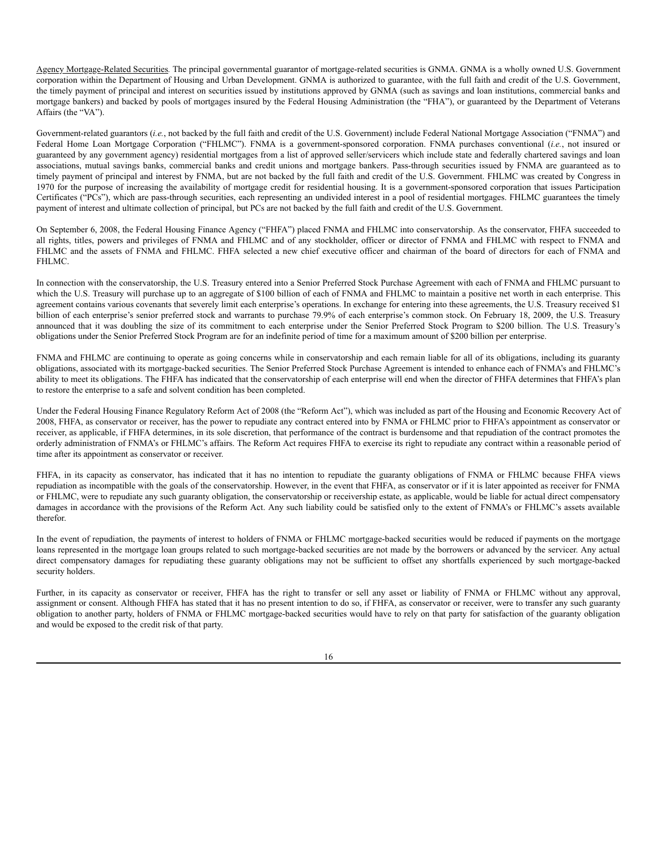Agency Mortgage-Related Securities*.* The principal governmental guarantor of mortgage-related securities is GNMA. GNMA is a wholly owned U.S. Government corporation within the Department of Housing and Urban Development. GNMA is authorized to guarantee, with the full faith and credit of the U.S. Government, the timely payment of principal and interest on securities issued by institutions approved by GNMA (such as savings and loan institutions, commercial banks and mortgage bankers) and backed by pools of mortgages insured by the Federal Housing Administration (the "FHA"), or guaranteed by the Department of Veterans Affairs (the "VA").

Government-related guarantors (*i.e.*, not backed by the full faith and credit of the U.S. Government) include Federal National Mortgage Association ("FNMA") and Federal Home Loan Mortgage Corporation ("FHLMC"). FNMA is a government-sponsored corporation. FNMA purchases conventional (*i.e.*, not insured or guaranteed by any government agency) residential mortgages from a list of approved seller/servicers which include state and federally chartered savings and loan associations, mutual savings banks, commercial banks and credit unions and mortgage bankers. Pass-through securities issued by FNMA are guaranteed as to timely payment of principal and interest by FNMA, but are not backed by the full faith and credit of the U.S. Government. FHLMC was created by Congress in 1970 for the purpose of increasing the availability of mortgage credit for residential housing. It is a government-sponsored corporation that issues Participation Certificates ("PCs"), which are pass-through securities, each representing an undivided interest in a pool of residential mortgages. FHLMC guarantees the timely payment of interest and ultimate collection of principal, but PCs are not backed by the full faith and credit of the U.S. Government.

On September 6, 2008, the Federal Housing Finance Agency ("FHFA") placed FNMA and FHLMC into conservatorship. As the conservator, FHFA succeeded to all rights, titles, powers and privileges of FNMA and FHLMC and of any stockholder, officer or director of FNMA and FHLMC with respect to FNMA and FHLMC and the assets of FNMA and FHLMC. FHFA selected a new chief executive officer and chairman of the board of directors for each of FNMA and FHLMC.

In connection with the conservatorship, the U.S. Treasury entered into a Senior Preferred Stock Purchase Agreement with each of FNMA and FHLMC pursuant to which the U.S. Treasury will purchase up to an aggregate of \$100 billion of each of FNMA and FHLMC to maintain a positive net worth in each enterprise. This agreement contains various covenants that severely limit each enterprise's operations. In exchange for entering into these agreements, the U.S. Treasury received \$1 billion of each enterprise's senior preferred stock and warrants to purchase 79.9% of each enterprise's common stock. On February 18, 2009, the U.S. Treasury announced that it was doubling the size of its commitment to each enterprise under the Senior Preferred Stock Program to \$200 billion. The U.S. Treasury's obligations under the Senior Preferred Stock Program are for an indefinite period of time for a maximum amount of \$200 billion per enterprise.

FNMA and FHLMC are continuing to operate as going concerns while in conservatorship and each remain liable for all of its obligations, including its guaranty obligations, associated with its mortgage-backed securities. The Senior Preferred Stock Purchase Agreement is intended to enhance each of FNMA's and FHLMC's ability to meet its obligations. The FHFA has indicated that the conservatorship of each enterprise will end when the director of FHFA determines that FHFA's plan to restore the enterprise to a safe and solvent condition has been completed.

Under the Federal Housing Finance Regulatory Reform Act of 2008 (the "Reform Act"), which was included as part of the Housing and Economic Recovery Act of 2008, FHFA, as conservator or receiver, has the power to repudiate any contract entered into by FNMA or FHLMC prior to FHFA's appointment as conservator or receiver, as applicable, if FHFA determines, in its sole discretion, that performance of the contract is burdensome and that repudiation of the contract promotes the orderly administration of FNMA's or FHLMC's affairs. The Reform Act requires FHFA to exercise its right to repudiate any contract within a reasonable period of time after its appointment as conservator or receiver.

FHFA, in its capacity as conservator, has indicated that it has no intention to repudiate the guaranty obligations of FNMA or FHLMC because FHFA views repudiation as incompatible with the goals of the conservatorship. However, in the event that FHFA, as conservator or if it is later appointed as receiver for FNMA or FHLMC, were to repudiate any such guaranty obligation, the conservatorship or receivership estate, as applicable, would be liable for actual direct compensatory damages in accordance with the provisions of the Reform Act. Any such liability could be satisfied only to the extent of FNMA's or FHLMC's assets available therefor.

In the event of repudiation, the payments of interest to holders of FNMA or FHLMC mortgage-backed securities would be reduced if payments on the mortgage loans represented in the mortgage loan groups related to such mortgage-backed securities are not made by the borrowers or advanced by the servicer. Any actual direct compensatory damages for repudiating these guaranty obligations may not be sufficient to offset any shortfalls experienced by such mortgage-backed security holders.

Further, in its capacity as conservator or receiver, FHFA has the right to transfer or sell any asset or liability of FNMA or FHLMC without any approval, assignment or consent. Although FHFA has stated that it has no present intention to do so, if FHFA, as conservator or receiver, were to transfer any such guaranty obligation to another party, holders of FNMA or FHLMC mortgage-backed securities would have to rely on that party for satisfaction of the guaranty obligation and would be exposed to the credit risk of that party.

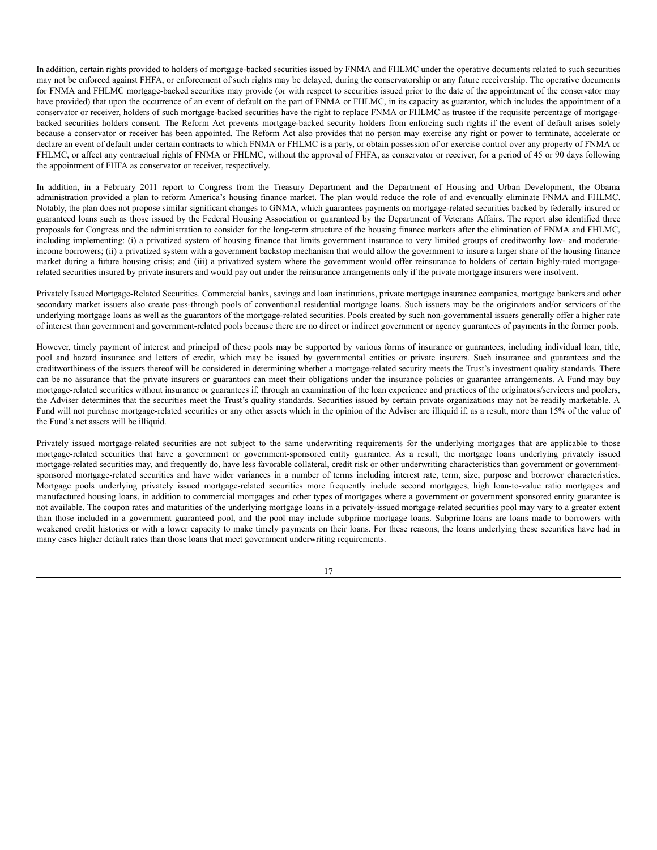In addition, certain rights provided to holders of mortgage-backed securities issued by FNMA and FHLMC under the operative documents related to such securities may not be enforced against FHFA, or enforcement of such rights may be delayed, during the conservatorship or any future receivership. The operative documents for FNMA and FHLMC mortgage-backed securities may provide (or with respect to securities issued prior to the date of the appointment of the conservator may have provided) that upon the occurrence of an event of default on the part of FNMA or FHLMC, in its capacity as guarantor, which includes the appointment of a conservator or receiver, holders of such mortgage-backed securities have the right to replace FNMA or FHLMC as trustee if the requisite percentage of mortgagebacked securities holders consent. The Reform Act prevents mortgage-backed security holders from enforcing such rights if the event of default arises solely because a conservator or receiver has been appointed. The Reform Act also provides that no person may exercise any right or power to terminate, accelerate or declare an event of default under certain contracts to which FNMA or FHLMC is a party, or obtain possession of or exercise control over any property of FNMA or FHLMC, or affect any contractual rights of FNMA or FHLMC, without the approval of FHFA, as conservator or receiver, for a period of 45 or 90 days following the appointment of FHFA as conservator or receiver, respectively.

In addition, in a February 2011 report to Congress from the Treasury Department and the Department of Housing and Urban Development, the Obama administration provided a plan to reform America's housing finance market. The plan would reduce the role of and eventually eliminate FNMA and FHLMC. Notably, the plan does not propose similar significant changes to GNMA, which guarantees payments on mortgage-related securities backed by federally insured or guaranteed loans such as those issued by the Federal Housing Association or guaranteed by the Department of Veterans Affairs. The report also identified three proposals for Congress and the administration to consider for the long-term structure of the housing finance markets after the elimination of FNMA and FHLMC, including implementing: (i) a privatized system of housing finance that limits government insurance to very limited groups of creditworthy low- and moderateincome borrowers; (ii) a privatized system with a government backstop mechanism that would allow the government to insure a larger share of the housing finance market during a future housing crisis; and (iii) a privatized system where the government would offer reinsurance to holders of certain highly-rated mortgagerelated securities insured by private insurers and would pay out under the reinsurance arrangements only if the private mortgage insurers were insolvent.

Privately Issued Mortgage-Related Securities*.* Commercial banks, savings and loan institutions, private mortgage insurance companies, mortgage bankers and other secondary market issuers also create pass-through pools of conventional residential mortgage loans. Such issuers may be the originators and/or servicers of the underlying mortgage loans as well as the guarantors of the mortgage-related securities. Pools created by such non-governmental issuers generally offer a higher rate of interest than government and government-related pools because there are no direct or indirect government or agency guarantees of payments in the former pools.

However, timely payment of interest and principal of these pools may be supported by various forms of insurance or guarantees, including individual loan, title, pool and hazard insurance and letters of credit, which may be issued by governmental entities or private insurers. Such insurance and guarantees and the creditworthiness of the issuers thereof will be considered in determining whether a mortgage-related security meets the Trust's investment quality standards. There can be no assurance that the private insurers or guarantors can meet their obligations under the insurance policies or guarantee arrangements. A Fund may buy mortgage-related securities without insurance or guarantees if, through an examination of the loan experience and practices of the originators/servicers and poolers, the Adviser determines that the securities meet the Trust's quality standards. Securities issued by certain private organizations may not be readily marketable. A Fund will not purchase mortgage-related securities or any other assets which in the opinion of the Adviser are illiquid if, as a result, more than 15% of the value of the Fund's net assets will be illiquid.

Privately issued mortgage-related securities are not subject to the same underwriting requirements for the underlying mortgages that are applicable to those mortgage-related securities that have a government or government-sponsored entity guarantee. As a result, the mortgage loans underlying privately issued mortgage-related securities may, and frequently do, have less favorable collateral, credit risk or other underwriting characteristics than government or governmentsponsored mortgage-related securities and have wider variances in a number of terms including interest rate, term, size, purpose and borrower characteristics. Mortgage pools underlying privately issued mortgage-related securities more frequently include second mortgages, high loan-to-value ratio mortgages and manufactured housing loans, in addition to commercial mortgages and other types of mortgages where a government or government sponsored entity guarantee is not available. The coupon rates and maturities of the underlying mortgage loans in a privately-issued mortgage-related securities pool may vary to a greater extent than those included in a government guaranteed pool, and the pool may include subprime mortgage loans. Subprime loans are loans made to borrowers with weakened credit histories or with a lower capacity to make timely payments on their loans. For these reasons, the loans underlying these securities have had in many cases higher default rates than those loans that meet government underwriting requirements.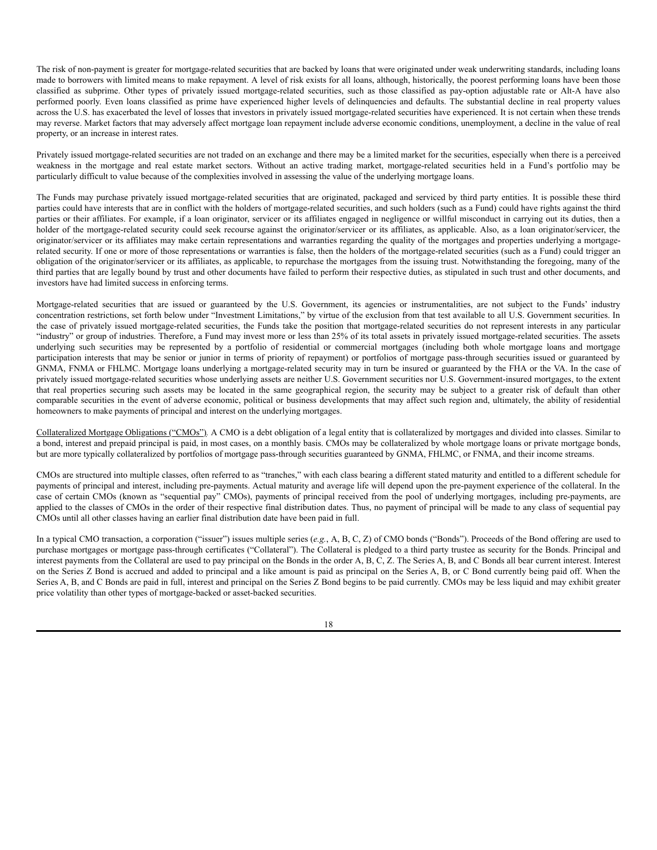The risk of non-payment is greater for mortgage-related securities that are backed by loans that were originated under weak underwriting standards, including loans made to borrowers with limited means to make repayment. A level of risk exists for all loans, although, historically, the poorest performing loans have been those classified as subprime. Other types of privately issued mortgage-related securities, such as those classified as pay-option adjustable rate or Alt-A have also performed poorly. Even loans classified as prime have experienced higher levels of delinquencies and defaults. The substantial decline in real property values across the U.S. has exacerbated the level of losses that investors in privately issued mortgage-related securities have experienced. It is not certain when these trends may reverse. Market factors that may adversely affect mortgage loan repayment include adverse economic conditions, unemployment, a decline in the value of real property, or an increase in interest rates.

Privately issued mortgage-related securities are not traded on an exchange and there may be a limited market for the securities, especially when there is a perceived weakness in the mortgage and real estate market sectors. Without an active trading market, mortgage-related securities held in a Fund's portfolio may be particularly difficult to value because of the complexities involved in assessing the value of the underlying mortgage loans.

The Funds may purchase privately issued mortgage-related securities that are originated, packaged and serviced by third party entities. It is possible these third parties could have interests that are in conflict with the holders of mortgage-related securities, and such holders (such as a Fund) could have rights against the third parties or their affiliates. For example, if a loan originator, servicer or its affiliates engaged in negligence or willful misconduct in carrying out its duties, then a holder of the mortgage-related security could seek recourse against the originator/servicer or its affiliates, as applicable. Also, as a loan originator/servicer, the originator/servicer or its affiliates may make certain representations and warranties regarding the quality of the mortgages and properties underlying a mortgagerelated security. If one or more of those representations or warranties is false, then the holders of the mortgage-related securities (such as a Fund) could trigger an obligation of the originator/servicer or its affiliates, as applicable, to repurchase the mortgages from the issuing trust. Notwithstanding the foregoing, many of the third parties that are legally bound by trust and other documents have failed to perform their respective duties, as stipulated in such trust and other documents, and investors have had limited success in enforcing terms.

Mortgage-related securities that are issued or guaranteed by the U.S. Government, its agencies or instrumentalities, are not subject to the Funds' industry concentration restrictions, set forth below under "Investment Limitations," by virtue of the exclusion from that test available to all U.S. Government securities. In the case of privately issued mortgage-related securities, the Funds take the position that mortgage-related securities do not represent interests in any particular "industry" or group of industries. Therefore, a Fund may invest more or less than 25% of its total assets in privately issued mortgage-related securities. The assets underlying such securities may be represented by a portfolio of residential or commercial mortgages (including both whole mortgage loans and mortgage participation interests that may be senior or junior in terms of priority of repayment) or portfolios of mortgage pass-through securities issued or guaranteed by GNMA, FNMA or FHLMC. Mortgage loans underlying a mortgage-related security may in turn be insured or guaranteed by the FHA or the VA. In the case of privately issued mortgage-related securities whose underlying assets are neither U.S. Government securities nor U.S. Government-insured mortgages, to the extent that real properties securing such assets may be located in the same geographical region, the security may be subject to a greater risk of default than other comparable securities in the event of adverse economic, political or business developments that may affect such region and, ultimately, the ability of residential homeowners to make payments of principal and interest on the underlying mortgages.

Collateralized Mortgage Obligations ("CMOs")*.* A CMO is a debt obligation of a legal entity that is collateralized by mortgages and divided into classes. Similar to a bond, interest and prepaid principal is paid, in most cases, on a monthly basis. CMOs may be collateralized by whole mortgage loans or private mortgage bonds, but are more typically collateralized by portfolios of mortgage pass-through securities guaranteed by GNMA, FHLMC, or FNMA, and their income streams.

CMOs are structured into multiple classes, often referred to as "tranches," with each class bearing a different stated maturity and entitled to a different schedule for payments of principal and interest, including pre-payments. Actual maturity and average life will depend upon the pre-payment experience of the collateral. In the case of certain CMOs (known as "sequential pay" CMOs), payments of principal received from the pool of underlying mortgages, including pre-payments, are applied to the classes of CMOs in the order of their respective final distribution dates. Thus, no payment of principal will be made to any class of sequential pay CMOs until all other classes having an earlier final distribution date have been paid in full.

In a typical CMO transaction, a corporation ("issuer") issues multiple series (*e.g.*, A, B, C, Z) of CMO bonds ("Bonds"). Proceeds of the Bond offering are used to purchase mortgages or mortgage pass-through certificates ("Collateral"). The Collateral is pledged to a third party trustee as security for the Bonds. Principal and interest payments from the Collateral are used to pay principal on the Bonds in the order A, B, C, Z. The Series A, B, and C Bonds all bear current interest. Interest on the Series Z Bond is accrued and added to principal and a like amount is paid as principal on the Series A, B, or C Bond currently being paid off. When the Series A, B, and C Bonds are paid in full, interest and principal on the Series Z Bond begins to be paid currently. CMOs may be less liquid and may exhibit greater price volatility than other types of mortgage-backed or asset-backed securities.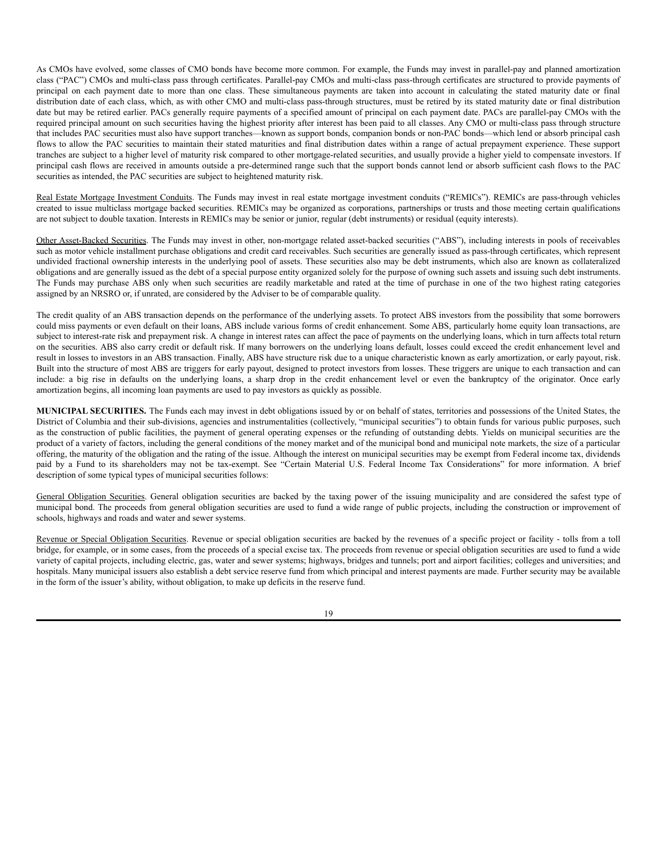As CMOs have evolved, some classes of CMO bonds have become more common. For example, the Funds may invest in parallel-pay and planned amortization class ("PAC") CMOs and multi-class pass through certificates. Parallel-pay CMOs and multi-class pass-through certificates are structured to provide payments of principal on each payment date to more than one class. These simultaneous payments are taken into account in calculating the stated maturity date or final distribution date of each class, which, as with other CMO and multi-class pass-through structures, must be retired by its stated maturity date or final distribution date but may be retired earlier. PACs generally require payments of a specified amount of principal on each payment date. PACs are parallel-pay CMOs with the required principal amount on such securities having the highest priority after interest has been paid to all classes. Any CMO or multi-class pass through structure that includes PAC securities must also have support tranches—known as support bonds, companion bonds or non-PAC bonds—which lend or absorb principal cash flows to allow the PAC securities to maintain their stated maturities and final distribution dates within a range of actual prepayment experience. These support tranches are subject to a higher level of maturity risk compared to other mortgage-related securities, and usually provide a higher yield to compensate investors. If principal cash flows are received in amounts outside a pre-determined range such that the support bonds cannot lend or absorb sufficient cash flows to the PAC securities as intended, the PAC securities are subject to heightened maturity risk.

Real Estate Mortgage Investment Conduits. The Funds may invest in real estate mortgage investment conduits ("REMICs"). REMICs are pass-through vehicles created to issue multiclass mortgage backed securities. REMICs may be organized as corporations, partnerships or trusts and those meeting certain qualifications are not subject to double taxation. Interests in REMICs may be senior or junior, regular (debt instruments) or residual (equity interests).

Other Asset-Backed Securities. The Funds may invest in other, non-mortgage related asset-backed securities ("ABS"), including interests in pools of receivables such as motor vehicle installment purchase obligations and credit card receivables. Such securities are generally issued as pass-through certificates, which represent undivided fractional ownership interests in the underlying pool of assets. These securities also may be debt instruments, which also are known as collateralized obligations and are generally issued as the debt of a special purpose entity organized solely for the purpose of owning such assets and issuing such debt instruments. The Funds may purchase ABS only when such securities are readily marketable and rated at the time of purchase in one of the two highest rating categories assigned by an NRSRO or, if unrated, are considered by the Adviser to be of comparable quality.

The credit quality of an ABS transaction depends on the performance of the underlying assets. To protect ABS investors from the possibility that some borrowers could miss payments or even default on their loans, ABS include various forms of credit enhancement. Some ABS, particularly home equity loan transactions, are subject to interest-rate risk and prepayment risk. A change in interest rates can affect the pace of payments on the underlying loans, which in turn affects total return on the securities. ABS also carry credit or default risk. If many borrowers on the underlying loans default, losses could exceed the credit enhancement level and result in losses to investors in an ABS transaction. Finally, ABS have structure risk due to a unique characteristic known as early amortization, or early payout, risk. Built into the structure of most ABS are triggers for early payout, designed to protect investors from losses. These triggers are unique to each transaction and can include: a big rise in defaults on the underlying loans, a sharp drop in the credit enhancement level or even the bankruptcy of the originator. Once early amortization begins, all incoming loan payments are used to pay investors as quickly as possible.

**MUNICIPAL SECURITIES.** The Funds each may invest in debt obligations issued by or on behalf of states, territories and possessions of the United States, the District of Columbia and their sub-divisions, agencies and instrumentalities (collectively, "municipal securities") to obtain funds for various public purposes, such as the construction of public facilities, the payment of general operating expenses or the refunding of outstanding debts. Yields on municipal securities are the product of a variety of factors, including the general conditions of the money market and of the municipal bond and municipal note markets, the size of a particular offering, the maturity of the obligation and the rating of the issue. Although the interest on municipal securities may be exempt from Federal income tax, dividends paid by a Fund to its shareholders may not be tax-exempt. See "Certain Material U.S. Federal Income Tax Considerations" for more information. A brief description of some typical types of municipal securities follows:

General Obligation Securities. General obligation securities are backed by the taxing power of the issuing municipality and are considered the safest type of municipal bond. The proceeds from general obligation securities are used to fund a wide range of public projects, including the construction or improvement of schools, highways and roads and water and sewer systems.

Revenue or Special Obligation Securities. Revenue or special obligation securities are backed by the revenues of a specific project or facility - tolls from a toll bridge, for example, or in some cases, from the proceeds of a special excise tax. The proceeds from revenue or special obligation securities are used to fund a wide variety of capital projects, including electric, gas, water and sewer systems; highways, bridges and tunnels; port and airport facilities; colleges and universities; and hospitals. Many municipal issuers also establish a debt service reserve fund from which principal and interest payments are made. Further security may be available in the form of the issuer's ability, without obligation, to make up deficits in the reserve fund.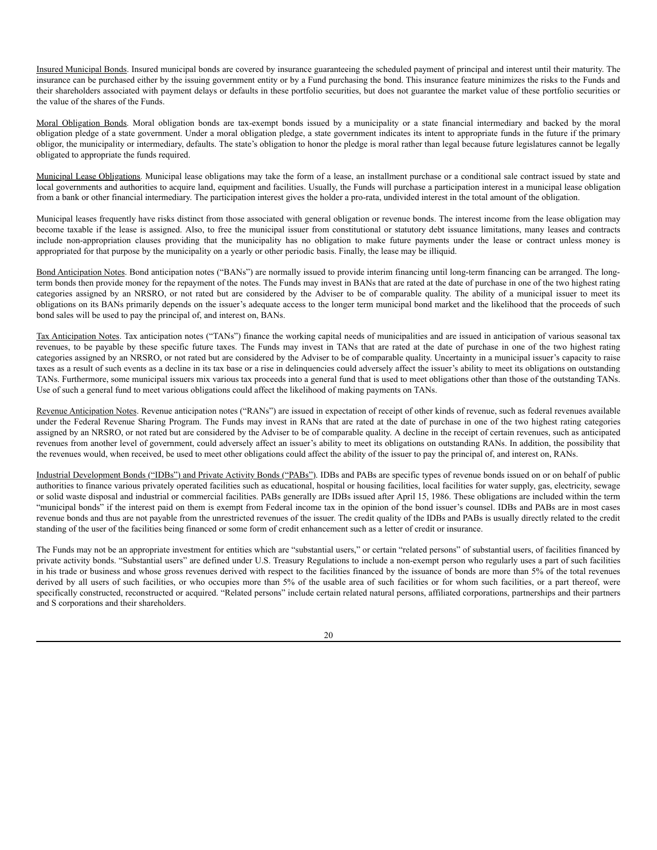Insured Municipal Bonds. Insured municipal bonds are covered by insurance guaranteeing the scheduled payment of principal and interest until their maturity. The insurance can be purchased either by the issuing government entity or by a Fund purchasing the bond. This insurance feature minimizes the risks to the Funds and their shareholders associated with payment delays or defaults in these portfolio securities, but does not guarantee the market value of these portfolio securities or the value of the shares of the Funds.

Moral Obligation Bonds. Moral obligation bonds are tax-exempt bonds issued by a municipality or a state financial intermediary and backed by the moral obligation pledge of a state government. Under a moral obligation pledge, a state government indicates its intent to appropriate funds in the future if the primary obligor, the municipality or intermediary, defaults. The state's obligation to honor the pledge is moral rather than legal because future legislatures cannot be legally obligated to appropriate the funds required.

Municipal Lease Obligations. Municipal lease obligations may take the form of a lease, an installment purchase or a conditional sale contract issued by state and local governments and authorities to acquire land, equipment and facilities. Usually, the Funds will purchase a participation interest in a municipal lease obligation from a bank or other financial intermediary. The participation interest gives the holder a pro-rata, undivided interest in the total amount of the obligation.

Municipal leases frequently have risks distinct from those associated with general obligation or revenue bonds. The interest income from the lease obligation may become taxable if the lease is assigned. Also, to free the municipal issuer from constitutional or statutory debt issuance limitations, many leases and contracts include non-appropriation clauses providing that the municipality has no obligation to make future payments under the lease or contract unless money is appropriated for that purpose by the municipality on a yearly or other periodic basis. Finally, the lease may be illiquid.

Bond Anticipation Notes. Bond anticipation notes ("BANs") are normally issued to provide interim financing until long-term financing can be arranged. The longterm bonds then provide money for the repayment of the notes. The Funds may invest in BANs that are rated at the date of purchase in one of the two highest rating categories assigned by an NRSRO, or not rated but are considered by the Adviser to be of comparable quality. The ability of a municipal issuer to meet its obligations on its BANs primarily depends on the issuer's adequate access to the longer term municipal bond market and the likelihood that the proceeds of such bond sales will be used to pay the principal of, and interest on, BANs.

Tax Anticipation Notes. Tax anticipation notes ("TANs") finance the working capital needs of municipalities and are issued in anticipation of various seasonal tax revenues, to be payable by these specific future taxes. The Funds may invest in TANs that are rated at the date of purchase in one of the two highest rating categories assigned by an NRSRO, or not rated but are considered by the Adviser to be of comparable quality. Uncertainty in a municipal issuer's capacity to raise taxes as a result of such events as a decline in its tax base or a rise in delinquencies could adversely affect the issuer's ability to meet its obligations on outstanding TANs. Furthermore, some municipal issuers mix various tax proceeds into a general fund that is used to meet obligations other than those of the outstanding TANs. Use of such a general fund to meet various obligations could affect the likelihood of making payments on TANs.

Revenue Anticipation Notes. Revenue anticipation notes ("RANs") are issued in expectation of receipt of other kinds of revenue, such as federal revenues available under the Federal Revenue Sharing Program. The Funds may invest in RANs that are rated at the date of purchase in one of the two highest rating categories assigned by an NRSRO, or not rated but are considered by the Adviser to be of comparable quality. A decline in the receipt of certain revenues, such as anticipated revenues from another level of government, could adversely affect an issuer's ability to meet its obligations on outstanding RANs. In addition, the possibility that the revenues would, when received, be used to meet other obligations could affect the ability of the issuer to pay the principal of, and interest on, RANs.

Industrial Development Bonds ("IDBs") and Private Activity Bonds ("PABs"). IDBs and PABs are specific types of revenue bonds issued on or on behalf of public authorities to finance various privately operated facilities such as educational, hospital or housing facilities, local facilities for water supply, gas, electricity, sewage or solid waste disposal and industrial or commercial facilities. PABs generally are IDBs issued after April 15, 1986. These obligations are included within the term "municipal bonds" if the interest paid on them is exempt from Federal income tax in the opinion of the bond issuer's counsel. IDBs and PABs are in most cases revenue bonds and thus are not payable from the unrestricted revenues of the issuer. The credit quality of the IDBs and PABs is usually directly related to the credit standing of the user of the facilities being financed or some form of credit enhancement such as a letter of credit or insurance.

The Funds may not be an appropriate investment for entities which are "substantial users," or certain "related persons" of substantial users, of facilities financed by private activity bonds. "Substantial users" are defined under U.S. Treasury Regulations to include a non-exempt person who regularly uses a part of such facilities in his trade or business and whose gross revenues derived with respect to the facilities financed by the issuance of bonds are more than 5% of the total revenues derived by all users of such facilities, or who occupies more than 5% of the usable area of such facilities or for whom such facilities, or a part thereof, were specifically constructed, reconstructed or acquired. "Related persons" include certain related natural persons, affiliated corporations, partnerships and their partners and S corporations and their shareholders.

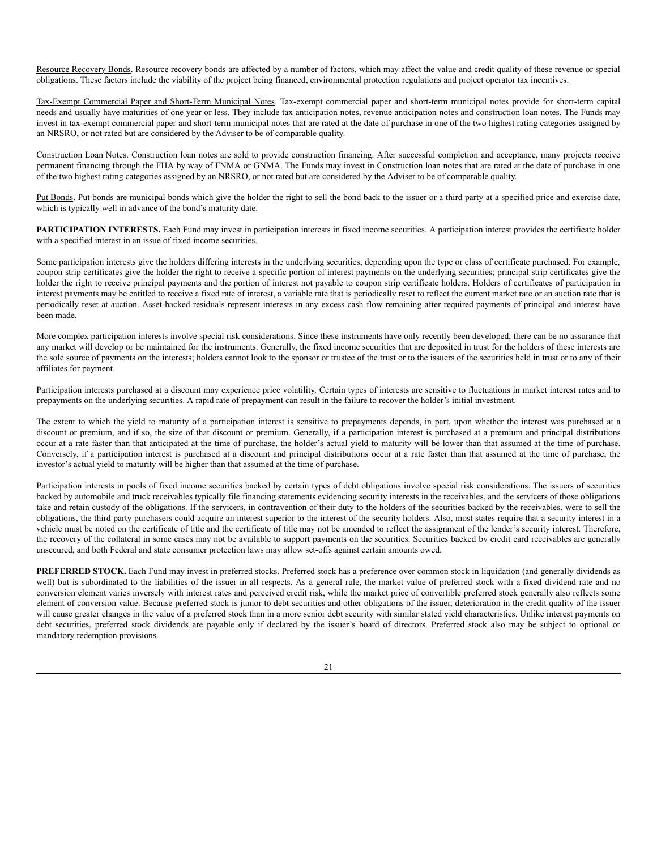Resource Recovery Bonds. Resource recovery bonds are affected by a number of factors, which may affect the value and credit quality of these revenue or special obligations. These factors include the viability of the project being financed, environmental protection regulations and project operator tax incentives.

Tax-Exempt Commercial Paper and Short-Term Municipal Notes. Tax-exempt commercial paper and short-term municipal notes provide for short-term capital needs and usually have maturities of one year or less. They include tax anticipation notes, revenue anticipation notes and construction loan notes. The Funds may invest in tax-exempt commercial paper and short-term municipal notes that are rated at the date of purchase in one of the two highest rating categories assigned by an NRSRO, or not rated but are considered by the Adviser to be of comparable quality.

Construction Loan Notes. Construction loan notes are sold to provide construction financing. After successful completion and acceptance, many projects receive permanent financing through the FHA by way of FNMA or GNMA. The Funds may invest in Construction loan notes that are rated at the date of purchase in one of the two highest rating categories assigned by an NRSRO, or not rated but are considered by the Adviser to be of comparable quality.

Put Bonds. Put bonds are municipal bonds which give the holder the right to sell the bond back to the issuer or a third party at a specified price and exercise date, which is typically well in advance of the bond's maturity date.

PARTICIPATION INTERESTS. Each Fund may invest in participation interests in fixed income securities. A participation interest provides the certificate holder with a specified interest in an issue of fixed income securities.

Some participation interests give the holders differing interests in the underlying securities, depending upon the type or class of certificate purchased. For example, coupon strip certificates give the holder the right to receive a specific portion of interest payments on the underlying securities; principal strip certificates give the holder the right to receive principal payments and the portion of interest not payable to coupon strip certificate holders. Holders of certificates of participation in interest payments may be entitled to receive a fixed rate of interest, a variable rate that is periodically reset to reflect the current market rate or an auction rate that is periodically reset at auction. Asset-backed residuals represent interests in any excess cash flow remaining after required payments of principal and interest have been made.

More complex participation interests involve special risk considerations. Since these instruments have only recently been developed, there can be no assurance that any market will develop or be maintained for the instruments. Generally, the fixed income securities that are deposited in trust for the holders of these interests are the sole source of payments on the interests; holders cannot look to the sponsor or trustee of the trust or to the issuers of the securities held in trust or to any of their affiliates for payment.

Participation interests purchased at a discount may experience price volatility. Certain types of interests are sensitive to fluctuations in market interest rates and to prepayments on the underlying securities. A rapid rate of prepayment can result in the failure to recover the holder's initial investment.

The extent to which the yield to maturity of a participation interest is sensitive to prepayments depends, in part, upon whether the interest was purchased at a discount or premium, and if so, the size of that discount or premium. Generally, if a participation interest is purchased at a premium and principal distributions occur at a rate faster than that anticipated at the time of purchase, the holder's actual yield to maturity will be lower than that assumed at the time of purchase. Conversely, if a participation interest is purchased at a discount and principal distributions occur at a rate faster than that assumed at the time of purchase, the investor's actual yield to maturity will be higher than that assumed at the time of purchase.

Participation interests in pools of fixed income securities backed by certain types of debt obligations involve special risk considerations. The issuers of securities backed by automobile and truck receivables typically file financing statements evidencing security interests in the receivables, and the servicers of those obligations take and retain custody of the obligations. If the servicers, in contravention of their duty to the holders of the securities backed by the receivables, were to sell the obligations, the third party purchasers could acquire an interest superior to the interest of the security holders. Also, most states require that a security interest in a vehicle must be noted on the certificate of title and the certificate of title may not be amended to reflect the assignment of the lender's security interest. Therefore, the recovery of the collateral in some cases may not be available to support payments on the securities. Securities backed by credit card receivables are generally unsecured, and both Federal and state consumer protection laws may allow set-offs against certain amounts owed.

**PREFERRED STOCK.** Each Fund may invest in preferred stocks. Preferred stock has a preference over common stock in liquidation (and generally dividends as well) but is subordinated to the liabilities of the issuer in all respects. As a general rule, the market value of preferred stock with a fixed dividend rate and no conversion element varies inversely with interest rates and perceived credit risk, while the market price of convertible preferred stock generally also reflects some element of conversion value. Because preferred stock is junior to debt securities and other obligations of the issuer, deterioration in the credit quality of the issuer will cause greater changes in the value of a preferred stock than in a more senior debt security with similar stated yield characteristics. Unlike interest payments on debt securities, preferred stock dividends are payable only if declared by the issuer's board of directors. Preferred stock also may be subject to optional or mandatory redemption provisions.

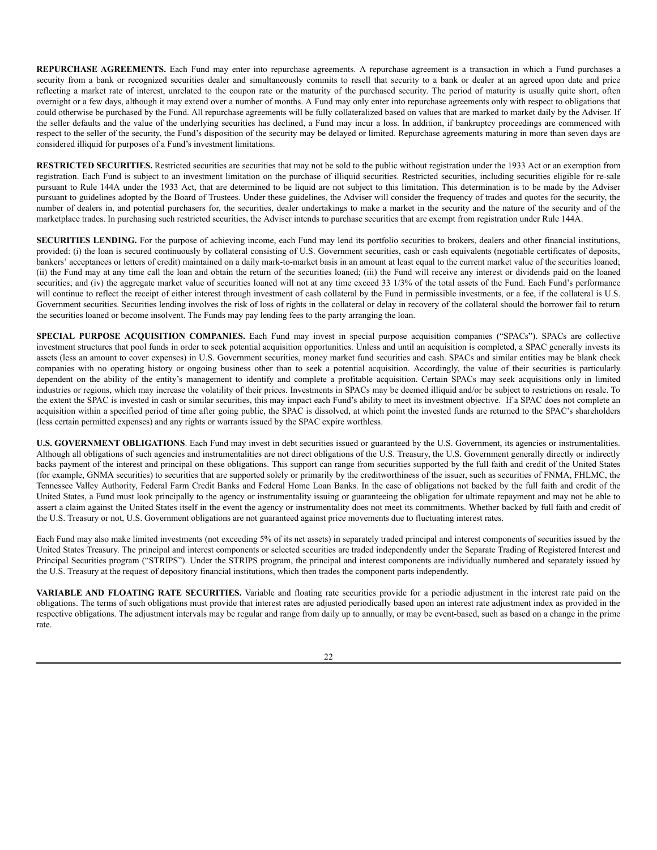REPURCHASE AGREEMENTS. Each Fund may enter into repurchase agreements. A repurchase agreement is a transaction in which a Fund purchases a security from a bank or recognized securities dealer and simultaneously commits to resell that security to a bank or dealer at an agreed upon date and price reflecting a market rate of interest, unrelated to the coupon rate or the maturity of the purchased security. The period of maturity is usually quite short, often overnight or a few days, although it may extend over a number of months. A Fund may only enter into repurchase agreements only with respect to obligations that could otherwise be purchased by the Fund. All repurchase agreements will be fully collateralized based on values that are marked to market daily by the Adviser. If the seller defaults and the value of the underlying securities has declined, a Fund may incur a loss. In addition, if bankruptcy proceedings are commenced with respect to the seller of the security, the Fund's disposition of the security may be delayed or limited. Repurchase agreements maturing in more than seven days are considered illiquid for purposes of a Fund's investment limitations.

**RESTRICTED SECURITIES.** Restricted securities are securities that may not be sold to the public without registration under the 1933 Act or an exemption from registration. Each Fund is subject to an investment limitation on the purchase of illiquid securities. Restricted securities, including securities eligible for re-sale pursuant to Rule 144A under the 1933 Act, that are determined to be liquid are not subject to this limitation. This determination is to be made by the Adviser pursuant to guidelines adopted by the Board of Trustees. Under these guidelines, the Adviser will consider the frequency of trades and quotes for the security, the number of dealers in, and potential purchasers for, the securities, dealer undertakings to make a market in the security and the nature of the security and of the marketplace trades. In purchasing such restricted securities, the Adviser intends to purchase securities that are exempt from registration under Rule 144A.

**SECURITIES LENDING.** For the purpose of achieving income, each Fund may lend its portfolio securities to brokers, dealers and other financial institutions, provided: (i) the loan is secured continuously by collateral consisting of U.S. Government securities, cash or cash equivalents (negotiable certificates of deposits, bankers' acceptances or letters of credit) maintained on a daily mark-to-market basis in an amount at least equal to the current market value of the securities loaned; (ii) the Fund may at any time call the loan and obtain the return of the securities loaned; (iii) the Fund will receive any interest or dividends paid on the loaned securities; and (iv) the aggregate market value of securities loaned will not at any time exceed 33 1/3% of the total assets of the Fund. Each Fund's performance will continue to reflect the receipt of either interest through investment of cash collateral by the Fund in permissible investments, or a fee, if the collateral is U.S. Government securities. Securities lending involves the risk of loss of rights in the collateral or delay in recovery of the collateral should the borrower fail to return the securities loaned or become insolvent. The Funds may pay lending fees to the party arranging the loan.

**SPECIAL PURPOSE ACQUISITION COMPANIES.** Each Fund may invest in special purpose acquisition companies ("SPACs"). SPACs are collective investment structures that pool funds in order to seek potential acquisition opportunities. Unless and until an acquisition is completed, a SPAC generally invests its assets (less an amount to cover expenses) in U.S. Government securities, money market fund securities and cash. SPACs and similar entities may be blank check companies with no operating history or ongoing business other than to seek a potential acquisition. Accordingly, the value of their securities is particularly dependent on the ability of the entity's management to identify and complete a profitable acquisition. Certain SPACs may seek acquisitions only in limited industries or regions, which may increase the volatility of their prices. Investments in SPACs may be deemed illiquid and/or be subject to restrictions on resale. To the extent the SPAC is invested in cash or similar securities, this may impact each Fund's ability to meet its investment objective. If a SPAC does not complete an acquisition within a specified period of time after going public, the SPAC is dissolved, at which point the invested funds are returned to the SPAC's shareholders (less certain permitted expenses) and any rights or warrants issued by the SPAC expire worthless.

**U.S. GOVERNMENT OBLIGATIONS**. Each Fund may invest in debt securities issued or guaranteed by the U.S. Government, its agencies or instrumentalities. Although all obligations of such agencies and instrumentalities are not direct obligations of the U.S. Treasury, the U.S. Government generally directly or indirectly backs payment of the interest and principal on these obligations. This support can range from securities supported by the full faith and credit of the United States (for example, GNMA securities) to securities that are supported solely or primarily by the creditworthiness of the issuer, such as securities of FNMA, FHLMC, the Tennessee Valley Authority, Federal Farm Credit Banks and Federal Home Loan Banks. In the case of obligations not backed by the full faith and credit of the United States, a Fund must look principally to the agency or instrumentality issuing or guaranteeing the obligation for ultimate repayment and may not be able to assert a claim against the United States itself in the event the agency or instrumentality does not meet its commitments. Whether backed by full faith and credit of the U.S. Treasury or not, U.S. Government obligations are not guaranteed against price movements due to fluctuating interest rates.

Each Fund may also make limited investments (not exceeding 5% of its net assets) in separately traded principal and interest components of securities issued by the United States Treasury. The principal and interest components or selected securities are traded independently under the Separate Trading of Registered Interest and Principal Securities program ("STRIPS"). Under the STRIPS program, the principal and interest components are individually numbered and separately issued by the U.S. Treasury at the request of depository financial institutions, which then trades the component parts independently.

**VARIABLE AND FLOATING RATE SECURITIES.** Variable and floating rate securities provide for a periodic adjustment in the interest rate paid on the obligations. The terms of such obligations must provide that interest rates are adjusted periodically based upon an interest rate adjustment index as provided in the respective obligations. The adjustment intervals may be regular and range from daily up to annually, or may be event-based, such as based on a change in the prime rate.

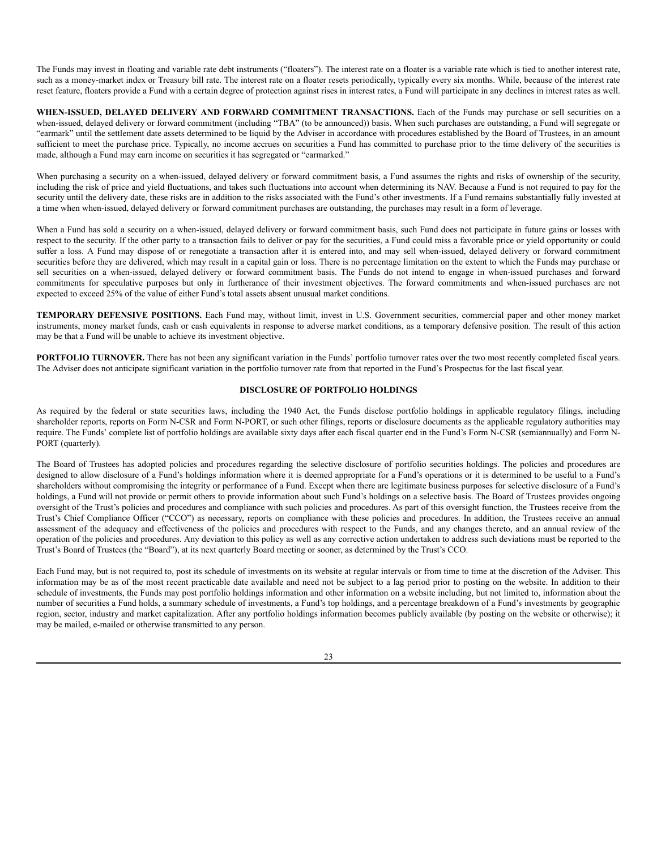The Funds may invest in floating and variable rate debt instruments ("floaters"). The interest rate on a floater is a variable rate which is tied to another interest rate, such as a money-market index or Treasury bill rate. The interest rate on a floater resets periodically, typically every six months. While, because of the interest rate reset feature, floaters provide a Fund with a certain degree of protection against rises in interest rates, a Fund will participate in any declines in interest rates as well.

**WHEN-ISSUED, DELAYED DELIVERY AND FORWARD COMMITMENT TRANSACTIONS.** Each of the Funds may purchase or sell securities on a when-issued, delayed delivery or forward commitment (including "TBA" (to be announced)) basis. When such purchases are outstanding, a Fund will segregate or "earmark" until the settlement date assets determined to be liquid by the Adviser in accordance with procedures established by the Board of Trustees, in an amount sufficient to meet the purchase price. Typically, no income accrues on securities a Fund has committed to purchase prior to the time delivery of the securities is made, although a Fund may earn income on securities it has segregated or "earmarked."

When purchasing a security on a when-issued, delayed delivery or forward commitment basis, a Fund assumes the rights and risks of ownership of the security, including the risk of price and yield fluctuations, and takes such fluctuations into account when determining its NAV. Because a Fund is not required to pay for the security until the delivery date, these risks are in addition to the risks associated with the Fund's other investments. If a Fund remains substantially fully invested at a time when when-issued, delayed delivery or forward commitment purchases are outstanding, the purchases may result in a form of leverage.

When a Fund has sold a security on a when-issued, delayed delivery or forward commitment basis, such Fund does not participate in future gains or losses with respect to the security. If the other party to a transaction fails to deliver or pay for the securities, a Fund could miss a favorable price or yield opportunity or could suffer a loss. A Fund may dispose of or renegotiate a transaction after it is entered into, and may sell when-issued, delayed delivery or forward commitment securities before they are delivered, which may result in a capital gain or loss. There is no percentage limitation on the extent to which the Funds may purchase or sell securities on a when-issued, delayed delivery or forward commitment basis. The Funds do not intend to engage in when-issued purchases and forward commitments for speculative purposes but only in furtherance of their investment objectives. The forward commitments and when-issued purchases are not expected to exceed 25% of the value of either Fund's total assets absent unusual market conditions.

**TEMPORARY DEFENSIVE POSITIONS.** Each Fund may, without limit, invest in U.S. Government securities, commercial paper and other money market instruments, money market funds, cash or cash equivalents in response to adverse market conditions, as a temporary defensive position. The result of this action may be that a Fund will be unable to achieve its investment objective.

**PORTFOLIO TURNOVER.** There has not been any significant variation in the Funds' portfolio turnover rates over the two most recently completed fiscal years. The Adviser does not anticipate significant variation in the portfolio turnover rate from that reported in the Fund's Prospectus for the last fiscal year.

## **DISCLOSURE OF PORTFOLIO HOLDINGS**

<span id="page-24-0"></span>As required by the federal or state securities laws, including the 1940 Act, the Funds disclose portfolio holdings in applicable regulatory filings, including shareholder reports, reports on Form N-CSR and Form N-PORT, or such other filings, reports or disclosure documents as the applicable regulatory authorities may require. The Funds' complete list of portfolio holdings are available sixty days after each fiscal quarter end in the Fund's Form N-CSR (semiannually) and Form N-PORT (quarterly).

The Board of Trustees has adopted policies and procedures regarding the selective disclosure of portfolio securities holdings. The policies and procedures are designed to allow disclosure of a Fund's holdings information where it is deemed appropriate for a Fund's operations or it is determined to be useful to a Fund's shareholders without compromising the integrity or performance of a Fund. Except when there are legitimate business purposes for selective disclosure of a Fund's holdings, a Fund will not provide or permit others to provide information about such Fund's holdings on a selective basis. The Board of Trustees provides ongoing oversight of the Trust's policies and procedures and compliance with such policies and procedures. As part of this oversight function, the Trustees receive from the Trust's Chief Compliance Officer ("CCO") as necessary, reports on compliance with these policies and procedures. In addition, the Trustees receive an annual assessment of the adequacy and effectiveness of the policies and procedures with respect to the Funds, and any changes thereto, and an annual review of the operation of the policies and procedures. Any deviation to this policy as well as any corrective action undertaken to address such deviations must be reported to the Trust's Board of Trustees (the "Board"), at its next quarterly Board meeting or sooner, as determined by the Trust's CCO.

Each Fund may, but is not required to, post its schedule of investments on its website at regular intervals or from time to time at the discretion of the Adviser. This information may be as of the most recent practicable date available and need not be subject to a lag period prior to posting on the website. In addition to their schedule of investments, the Funds may post portfolio holdings information and other information on a website including, but not limited to, information about the number of securities a Fund holds, a summary schedule of investments, a Fund's top holdings, and a percentage breakdown of a Fund's investments by geographic region, sector, industry and market capitalization. After any portfolio holdings information becomes publicly available (by posting on the website or otherwise); it may be mailed, e-mailed or otherwise transmitted to any person.

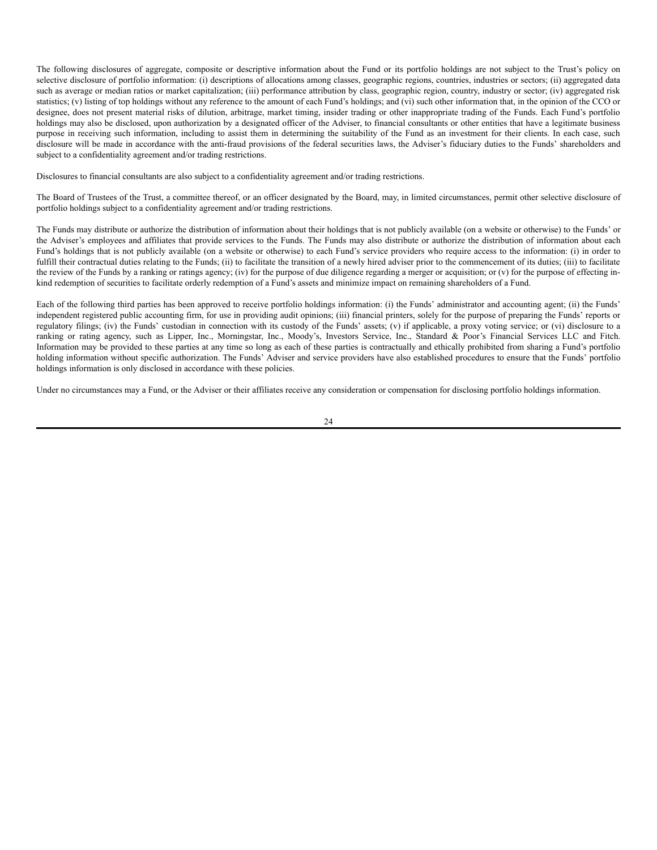The following disclosures of aggregate, composite or descriptive information about the Fund or its portfolio holdings are not subject to the Trust's policy on selective disclosure of portfolio information: (i) descriptions of allocations among classes, geographic regions, countries, industries or sectors; (ii) aggregated data such as average or median ratios or market capitalization; (iii) performance attribution by class, geographic region, country, industry or sector; (iv) aggregated risk statistics; (v) listing of top holdings without any reference to the amount of each Fund's holdings; and (vi) such other information that, in the opinion of the CCO or designee, does not present material risks of dilution, arbitrage, market timing, insider trading or other inappropriate trading of the Funds. Each Fund's portfolio holdings may also be disclosed, upon authorization by a designated officer of the Adviser, to financial consultants or other entities that have a legitimate business purpose in receiving such information, including to assist them in determining the suitability of the Fund as an investment for their clients. In each case, such disclosure will be made in accordance with the anti-fraud provisions of the federal securities laws, the Adviser's fiduciary duties to the Funds' shareholders and subject to a confidentiality agreement and/or trading restrictions.

Disclosures to financial consultants are also subject to a confidentiality agreement and/or trading restrictions.

The Board of Trustees of the Trust, a committee thereof, or an officer designated by the Board, may, in limited circumstances, permit other selective disclosure of portfolio holdings subject to a confidentiality agreement and/or trading restrictions.

The Funds may distribute or authorize the distribution of information about their holdings that is not publicly available (on a website or otherwise) to the Funds' or the Adviser's employees and affiliates that provide services to the Funds. The Funds may also distribute or authorize the distribution of information about each Fund's holdings that is not publicly available (on a website or otherwise) to each Fund's service providers who require access to the information: (i) in order to fulfill their contractual duties relating to the Funds; (ii) to facilitate the transition of a newly hired adviser prior to the commencement of its duties; (iii) to facilitate the review of the Funds by a ranking or ratings agency; (iv) for the purpose of due diligence regarding a merger or acquisition; or  $(v)$  for the purpose of effecting inkind redemption of securities to facilitate orderly redemption of a Fund's assets and minimize impact on remaining shareholders of a Fund.

Each of the following third parties has been approved to receive portfolio holdings information: (i) the Funds' administrator and accounting agent; (ii) the Funds' independent registered public accounting firm, for use in providing audit opinions; (iii) financial printers, solely for the purpose of preparing the Funds' reports or regulatory filings; (iv) the Funds' custodian in connection with its custody of the Funds' assets; (v) if applicable, a proxy voting service; or (vi) disclosure to a ranking or rating agency, such as Lipper, Inc., Morningstar, Inc., Moody's, Investors Service, Inc., Standard & Poor's Financial Services LLC and Fitch. Information may be provided to these parties at any time so long as each of these parties is contractually and ethically prohibited from sharing a Fund's portfolio holding information without specific authorization. The Funds' Adviser and service providers have also established procedures to ensure that the Funds' portfolio holdings information is only disclosed in accordance with these policies.

Under no circumstances may a Fund, or the Adviser or their affiliates receive any consideration or compensation for disclosing portfolio holdings information.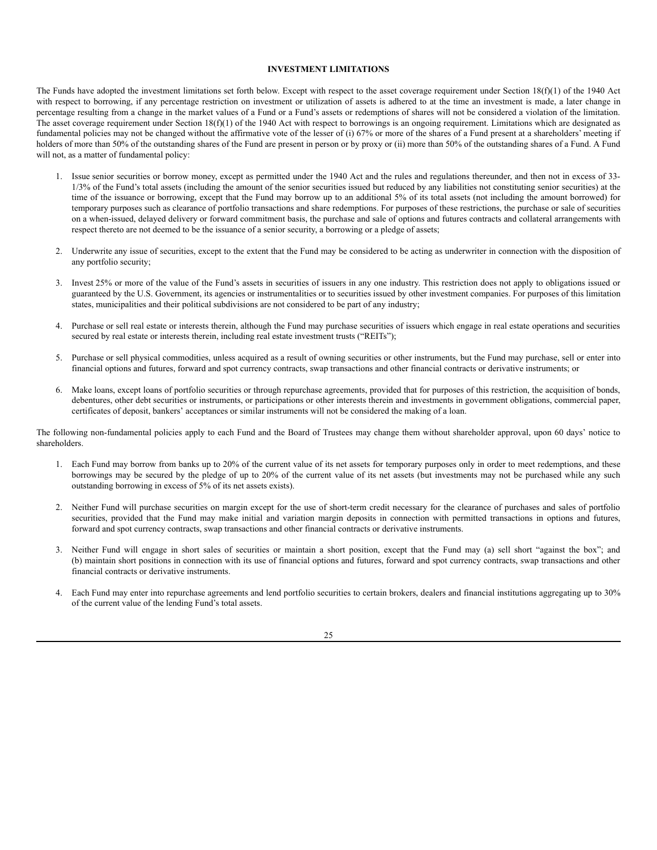## **INVESTMENT LIMITATIONS**

<span id="page-26-0"></span>The Funds have adopted the investment limitations set forth below. Except with respect to the asset coverage requirement under Section 18(f)(1) of the 1940 Act with respect to borrowing, if any percentage restriction on investment or utilization of assets is adhered to at the time an investment is made, a later change in percentage resulting from a change in the market values of a Fund or a Fund's assets or redemptions of shares will not be considered a violation of the limitation. The asset coverage requirement under Section 18(f)(1) of the 1940 Act with respect to borrowings is an ongoing requirement. Limitations which are designated as fundamental policies may not be changed without the affirmative vote of the lesser of (i) 67% or more of the shares of a Fund present at a shareholders' meeting if holders of more than 50% of the outstanding shares of the Fund are present in person or by proxy or (ii) more than 50% of the outstanding shares of a Fund. A Fund will not, as a matter of fundamental policy:

- 1. Issue senior securities or borrow money, except as permitted under the 1940 Act and the rules and regulations thereunder, and then not in excess of 33- 1/3% of the Fund's total assets (including the amount of the senior securities issued but reduced by any liabilities not constituting senior securities) at the time of the issuance or borrowing, except that the Fund may borrow up to an additional 5% of its total assets (not including the amount borrowed) for temporary purposes such as clearance of portfolio transactions and share redemptions. For purposes of these restrictions, the purchase or sale of securities on a when-issued, delayed delivery or forward commitment basis, the purchase and sale of options and futures contracts and collateral arrangements with respect thereto are not deemed to be the issuance of a senior security, a borrowing or a pledge of assets;
- 2. Underwrite any issue of securities, except to the extent that the Fund may be considered to be acting as underwriter in connection with the disposition of any portfolio security;
- 3. Invest 25% or more of the value of the Fund's assets in securities of issuers in any one industry. This restriction does not apply to obligations issued or guaranteed by the U.S. Government, its agencies or instrumentalities or to securities issued by other investment companies. For purposes of this limitation states, municipalities and their political subdivisions are not considered to be part of any industry;
- 4. Purchase or sell real estate or interests therein, although the Fund may purchase securities of issuers which engage in real estate operations and securities secured by real estate or interests therein, including real estate investment trusts ("REITs");
- 5. Purchase or sell physical commodities, unless acquired as a result of owning securities or other instruments, but the Fund may purchase, sell or enter into financial options and futures, forward and spot currency contracts, swap transactions and other financial contracts or derivative instruments; or
- 6. Make loans, except loans of portfolio securities or through repurchase agreements, provided that for purposes of this restriction, the acquisition of bonds, debentures, other debt securities or instruments, or participations or other interests therein and investments in government obligations, commercial paper, certificates of deposit, bankers' acceptances or similar instruments will not be considered the making of a loan.

The following non-fundamental policies apply to each Fund and the Board of Trustees may change them without shareholder approval, upon 60 days' notice to shareholders.

- 1. Each Fund may borrow from banks up to 20% of the current value of its net assets for temporary purposes only in order to meet redemptions, and these borrowings may be secured by the pledge of up to 20% of the current value of its net assets (but investments may not be purchased while any such outstanding borrowing in excess of 5% of its net assets exists).
- 2. Neither Fund will purchase securities on margin except for the use of short-term credit necessary for the clearance of purchases and sales of portfolio securities, provided that the Fund may make initial and variation margin deposits in connection with permitted transactions in options and futures, forward and spot currency contracts, swap transactions and other financial contracts or derivative instruments.
- 3. Neither Fund will engage in short sales of securities or maintain a short position, except that the Fund may (a) sell short "against the box"; and (b) maintain short positions in connection with its use of financial options and futures, forward and spot currency contracts, swap transactions and other financial contracts or derivative instruments.
- 4. Each Fund may enter into repurchase agreements and lend portfolio securities to certain brokers, dealers and financial institutions aggregating up to 30% of the current value of the lending Fund's total assets.

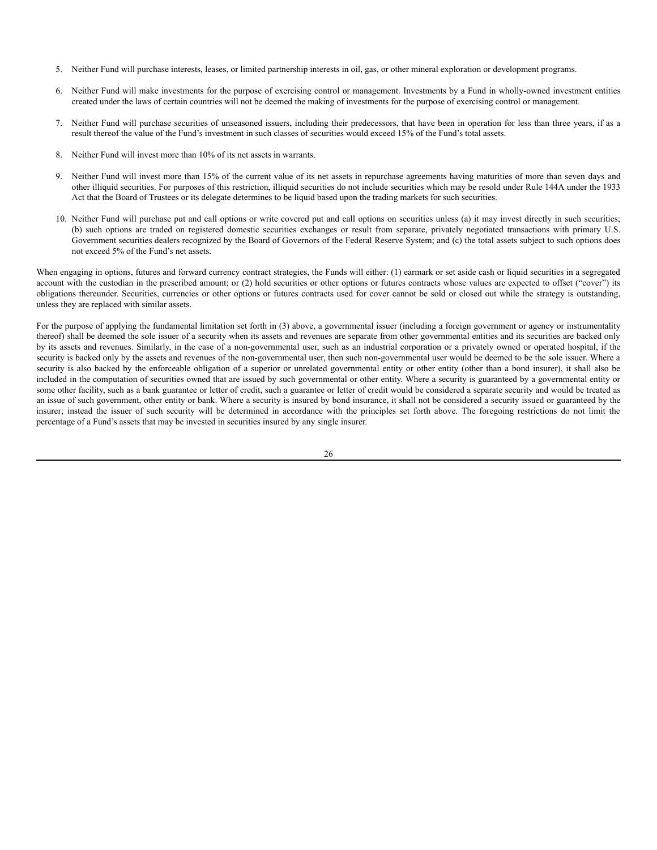- 5. Neither Fund will purchase interests, leases, or limited partnership interests in oil, gas, or other mineral exploration or development programs.
- 6. Neither Fund will make investments for the purpose of exercising control or management. Investments by a Fund in wholly-owned investment entities created under the laws of certain countries will not be deemed the making of investments for the purpose of exercising control or management.
- 7. Neither Fund will purchase securities of unseasoned issuers, including their predecessors, that have been in operation for less than three years, if as a result thereof the value of the Fund's investment in such classes of securities would exceed 15% of the Fund's total assets.
- 8. Neither Fund will invest more than 10% of its net assets in warrants.
- 9. Neither Fund will invest more than 15% of the current value of its net assets in repurchase agreements having maturities of more than seven days and other illiquid securities. For purposes of this restriction, illiquid securities do not include securities which may be resold under Rule 144A under the 1933 Act that the Board of Trustees or its delegate determines to be liquid based upon the trading markets for such securities.
- 10. Neither Fund will purchase put and call options or write covered put and call options on securities unless (a) it may invest directly in such securities; (b) such options are traded on registered domestic securities exchanges or result from separate, privately negotiated transactions with primary U.S. Government securities dealers recognized by the Board of Governors of the Federal Reserve System; and (c) the total assets subject to such options does not exceed 5% of the Fund's net assets.

When engaging in options, futures and forward currency contract strategies, the Funds will either: (1) earmark or set aside cash or liquid securities in a segregated account with the custodian in the prescribed amount; or (2) hold securities or other options or futures contracts whose values are expected to offset ("cover") its obligations thereunder. Securities, currencies or other options or futures contracts used for cover cannot be sold or closed out while the strategy is outstanding, unless they are replaced with similar assets.

For the purpose of applying the fundamental limitation set forth in (3) above, a governmental issuer (including a foreign government or agency or instrumentality thereof) shall be deemed the sole issuer of a security when its assets and revenues are separate from other governmental entities and its securities are backed only by its assets and revenues. Similarly, in the case of a non-governmental user, such as an industrial corporation or a privately owned or operated hospital, if the security is backed only by the assets and revenues of the non-governmental user, then such non-governmental user would be deemed to be the sole issuer. Where a security is also backed by the enforceable obligation of a superior or unrelated governmental entity or other entity (other than a bond insurer), it shall also be included in the computation of securities owned that are issued by such governmental or other entity. Where a security is guaranteed by a governmental entity or some other facility, such as a bank guarantee or letter of credit, such a guarantee or letter of credit would be considered a separate security and would be treated as an issue of such government, other entity or bank. Where a security is insured by bond insurance, it shall not be considered a security issued or guaranteed by the insurer; instead the issuer of such security will be determined in accordance with the principles set forth above. The foregoing restrictions do not limit the percentage of a Fund's assets that may be invested in securities insured by any single insurer.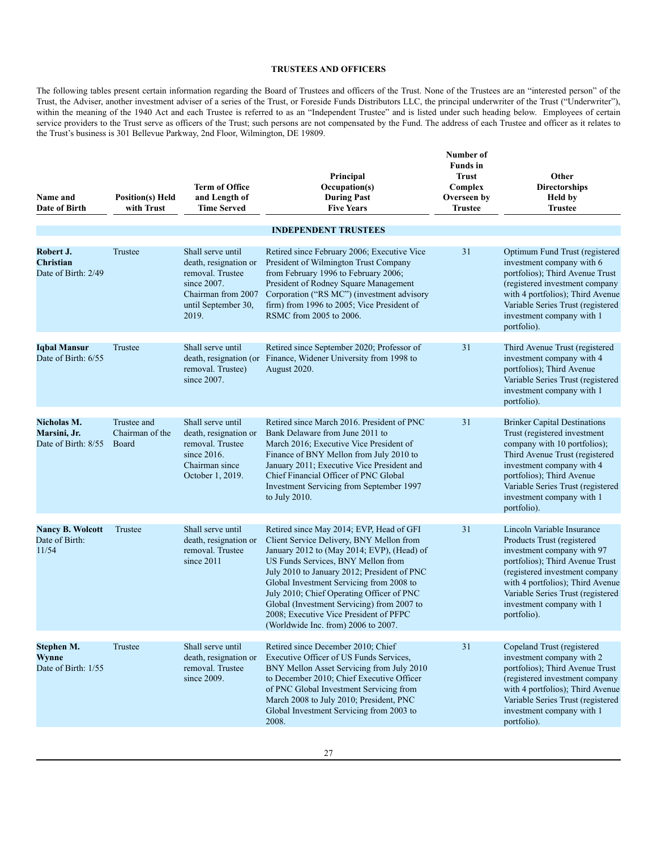# **TRUSTEES AND OFFICERS**

<span id="page-28-0"></span>The following tables present certain information regarding the Board of Trustees and officers of the Trust. None of the Trustees are an "interested person" of the Trust, the Adviser, another investment adviser of a series of the Trust, or Foreside Funds Distributors LLC, the principal underwriter of the Trust ("Underwriter"), within the meaning of the 1940 Act and each Trustee is referred to as an "Independent Trustee" and is listed under such heading below. Employees of certain service providers to the Trust serve as officers of the Trust; such persons are not compensated by the Fund. The address of each Trustee and officer as it relates to the Trust's business is 301 Bellevue Parkway, 2nd Floor, Wilmington, DE 19809.

| Name and<br><b>Date of Birth</b>                     | <b>Position(s)</b> Held<br>with Trust   | <b>Term of Office</b><br>and Length of<br><b>Time Served</b>                                                                        | Principal<br>Occupation(s)<br><b>During Past</b><br><b>Five Years</b>                                                                                                                                                                                                                                                                                                                                                                           | Number of<br><b>Funds</b> in<br>Trust<br>Complex<br>Overseen by<br><b>Trustee</b> | Other<br><b>Directorships</b><br><b>Held</b> by<br><b>Trustee</b>                                                                                                                                                                                                                |
|------------------------------------------------------|-----------------------------------------|-------------------------------------------------------------------------------------------------------------------------------------|-------------------------------------------------------------------------------------------------------------------------------------------------------------------------------------------------------------------------------------------------------------------------------------------------------------------------------------------------------------------------------------------------------------------------------------------------|-----------------------------------------------------------------------------------|----------------------------------------------------------------------------------------------------------------------------------------------------------------------------------------------------------------------------------------------------------------------------------|
|                                                      |                                         |                                                                                                                                     | <b>INDEPENDENT TRUSTEES</b>                                                                                                                                                                                                                                                                                                                                                                                                                     |                                                                                   |                                                                                                                                                                                                                                                                                  |
| Robert J.<br><b>Christian</b><br>Date of Birth: 2/49 | Trustee                                 | Shall serve until<br>death, resignation or<br>removal. Trustee<br>since 2007.<br>Chairman from 2007<br>until September 30,<br>2019. | Retired since February 2006; Executive Vice<br>President of Wilmington Trust Company<br>from February 1996 to February 2006;<br>President of Rodney Square Management<br>Corporation ("RS MC") (investment advisory<br>firm) from 1996 to 2005; Vice President of<br>RSMC from 2005 to 2006.                                                                                                                                                    | 31                                                                                | Optimum Fund Trust (registered<br>investment company with 6<br>portfolios); Third Avenue Trust<br>(registered investment company<br>with 4 portfolios); Third Avenue<br>Variable Series Trust (registered<br>investment company with 1<br>portfolio).                            |
| <b>Iqbal Mansur</b><br>Date of Birth: 6/55           | Trustee                                 | Shall serve until<br>death, resignation (or<br>removal. Trustee)<br>since 2007.                                                     | Retired since September 2020; Professor of<br>Finance, Widener University from 1998 to<br>August 2020.                                                                                                                                                                                                                                                                                                                                          | 31                                                                                | Third Avenue Trust (registered<br>investment company with 4<br>portfolios); Third Avenue<br>Variable Series Trust (registered<br>investment company with 1<br>portfolio).                                                                                                        |
| Nicholas M.<br>Marsini, Jr.<br>Date of Birth: 8/55   | Trustee and<br>Chairman of the<br>Board | Shall serve until<br>death, resignation or<br>removal. Trustee<br>since $2016$ .<br>Chairman since<br>October 1, 2019.              | Retired since March 2016. President of PNC<br>Bank Delaware from June 2011 to<br>March 2016; Executive Vice President of<br>Finance of BNY Mellon from July 2010 to<br>January 2011; Executive Vice President and<br>Chief Financial Officer of PNC Global<br>Investment Servicing from September 1997<br>to July 2010.                                                                                                                         | 31                                                                                | <b>Brinker Capital Destinations</b><br>Trust (registered investment<br>company with 10 portfolios);<br>Third Avenue Trust (registered<br>investment company with 4<br>portfolios); Third Avenue<br>Variable Series Trust (registered<br>investment company with 1<br>portfolio). |
| <b>Nancy B. Wolcott</b><br>Date of Birth:<br>11/54   | Trustee                                 | Shall serve until<br>death, resignation or<br>removal. Trustee<br>since 2011                                                        | Retired since May 2014; EVP, Head of GFI<br>Client Service Delivery, BNY Mellon from<br>January 2012 to (May 2014; EVP), (Head) of<br>US Funds Services, BNY Mellon from<br>July 2010 to January 2012; President of PNC<br>Global Investment Servicing from 2008 to<br>July 2010; Chief Operating Officer of PNC<br>Global (Investment Servicing) from 2007 to<br>2008; Executive Vice President of PFPC<br>(Worldwide Inc. from) 2006 to 2007. | 31                                                                                | Lincoln Variable Insurance<br>Products Trust (registered<br>investment company with 97<br>portfolios); Third Avenue Trust<br>(registered investment company<br>with 4 portfolios); Third Avenue<br>Variable Series Trust (registered<br>investment company with 1<br>portfolio). |
| <b>Stephen M.</b><br>Wynne<br>Date of Birth: 1/55    | Trustee                                 | Shall serve until<br>death, resignation or<br>removal. Trustee<br>since 2009.                                                       | Retired since December 2010; Chief<br>Executive Officer of US Funds Services,<br>BNY Mellon Asset Servicing from July 2010<br>to December 2010; Chief Executive Officer<br>of PNC Global Investment Servicing from<br>March 2008 to July 2010; President, PNC<br>Global Investment Servicing from 2003 to<br>2008.                                                                                                                              | 31                                                                                | Copeland Trust (registered<br>investment company with 2<br>portfolios); Third Avenue Trust<br>(registered investment company<br>with 4 portfolios); Third Avenue<br>Variable Series Trust (registered<br>investment company with 1<br>portfolio).                                |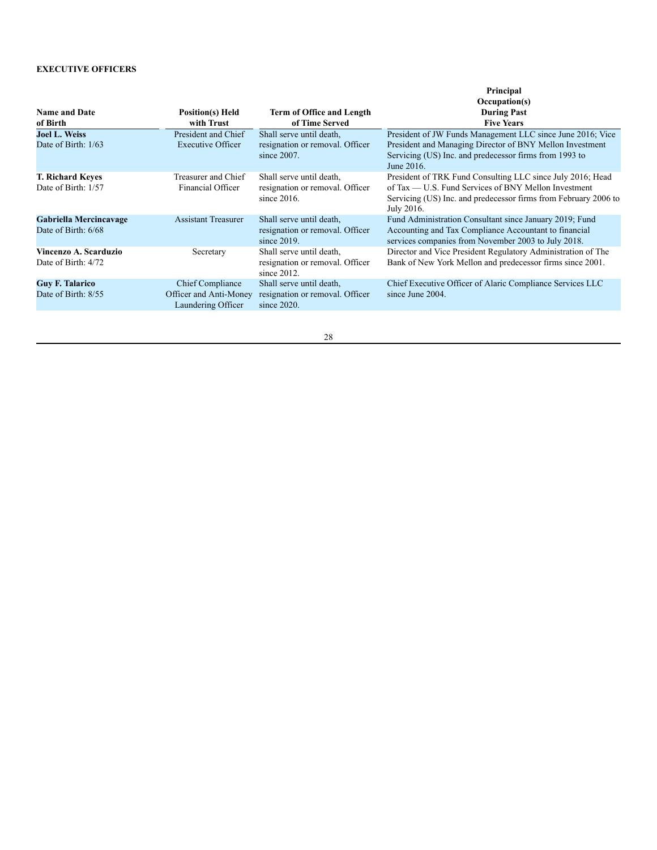| <b>Name and Date</b><br>of Birth               | <b>Position(s)</b> Held<br>with Trust                            | Term of Office and Length<br>of Time Served                                   | Principal<br>Occupation(s)<br><b>During Past</b><br><b>Five Years</b>                                                                                                                               |
|------------------------------------------------|------------------------------------------------------------------|-------------------------------------------------------------------------------|-----------------------------------------------------------------------------------------------------------------------------------------------------------------------------------------------------|
| <b>Joel L. Weiss</b>                           | President and Chief                                              | Shall serve until death.                                                      | President of JW Funds Management LLC since June 2016; Vice                                                                                                                                          |
| Date of Birth: 1/63                            | <b>Executive Officer</b>                                         | resignation or removal. Officer<br>since $2007$ .                             | President and Managing Director of BNY Mellon Investment<br>Servicing (US) Inc. and predecessor firms from 1993 to<br>June 2016.                                                                    |
| <b>T. Richard Keyes</b><br>Date of Birth: 1/57 | Treasurer and Chief<br>Financial Officer                         | Shall serve until death.<br>resignation or removal. Officer<br>since $2016$ . | President of TRK Fund Consulting LLC since July 2016; Head<br>of Tax — U.S. Fund Services of BNY Mellon Investment<br>Servicing (US) Inc. and predecessor firms from February 2006 to<br>July 2016. |
| Gabriella Mercincavage<br>Date of Birth: 6/68  | <b>Assistant Treasurer</b>                                       | Shall serve until death,<br>resignation or removal. Officer<br>since $2019$ . | Fund Administration Consultant since January 2019; Fund<br>Accounting and Tax Compliance Accountant to financial<br>services companies from November 2003 to July 2018.                             |
| Vincenzo A. Scarduzio<br>Date of Birth: 4/72   | Secretary                                                        | Shall serve until death.<br>resignation or removal. Officer<br>since $2012$ . | Director and Vice President Regulatory Administration of The<br>Bank of New York Mellon and predecessor firms since 2001.                                                                           |
| <b>Guy F. Talarico</b><br>Date of Birth: 8/55  | Chief Compliance<br>Officer and Anti-Money<br>Laundering Officer | Shall serve until death,<br>resignation or removal. Officer<br>since $2020$ . | Chief Executive Officer of Alaric Compliance Services LLC<br>since June 2004.                                                                                                                       |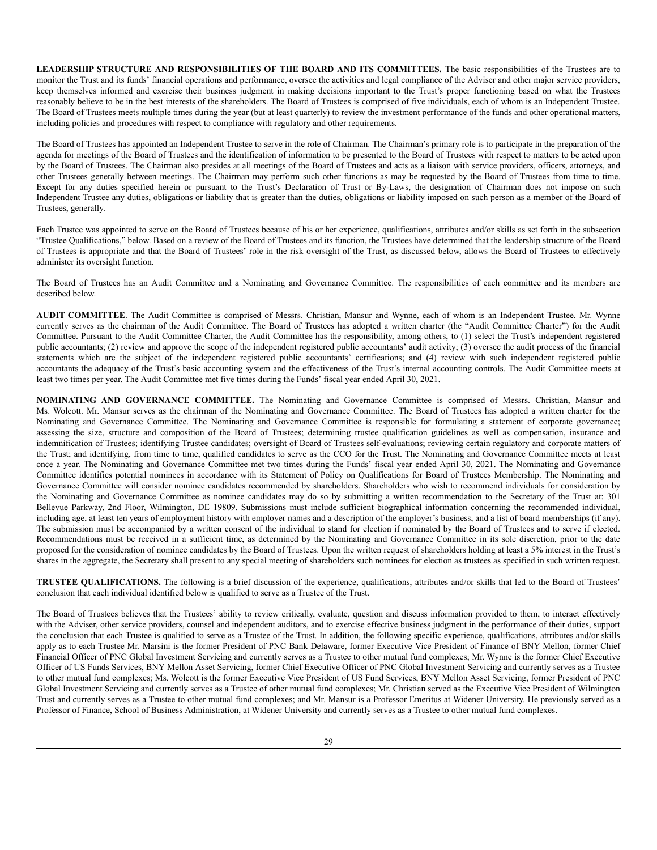**LEADERSHIP STRUCTURE AND RESPONSIBILITIES OF THE BOARD AND ITS COMMITTEES.** The basic responsibilities of the Trustees are to monitor the Trust and its funds' financial operations and performance, oversee the activities and legal compliance of the Adviser and other major service providers, keep themselves informed and exercise their business judgment in making decisions important to the Trust's proper functioning based on what the Trustees reasonably believe to be in the best interests of the shareholders. The Board of Trustees is comprised of five individuals, each of whom is an Independent Trustee. The Board of Trustees meets multiple times during the year (but at least quarterly) to review the investment performance of the funds and other operational matters, including policies and procedures with respect to compliance with regulatory and other requirements.

The Board of Trustees has appointed an Independent Trustee to serve in the role of Chairman. The Chairman's primary role is to participate in the preparation of the agenda for meetings of the Board of Trustees and the identification of information to be presented to the Board of Trustees with respect to matters to be acted upon by the Board of Trustees. The Chairman also presides at all meetings of the Board of Trustees and acts as a liaison with service providers, officers, attorneys, and other Trustees generally between meetings. The Chairman may perform such other functions as may be requested by the Board of Trustees from time to time. Except for any duties specified herein or pursuant to the Trust's Declaration of Trust or By-Laws, the designation of Chairman does not impose on such Independent Trustee any duties, obligations or liability that is greater than the duties, obligations or liability imposed on such person as a member of the Board of Trustees, generally.

Each Trustee was appointed to serve on the Board of Trustees because of his or her experience, qualifications, attributes and/or skills as set forth in the subsection "Trustee Qualifications," below. Based on a review of the Board of Trustees and its function, the Trustees have determined that the leadership structure of the Board of Trustees is appropriate and that the Board of Trustees' role in the risk oversight of the Trust, as discussed below, allows the Board of Trustees to effectively administer its oversight function.

The Board of Trustees has an Audit Committee and a Nominating and Governance Committee. The responsibilities of each committee and its members are described below.

**AUDIT COMMITTEE**. The Audit Committee is comprised of Messrs. Christian, Mansur and Wynne, each of whom is an Independent Trustee. Mr. Wynne currently serves as the chairman of the Audit Committee. The Board of Trustees has adopted a written charter (the "Audit Committee Charter") for the Audit Committee. Pursuant to the Audit Committee Charter, the Audit Committee has the responsibility, among others, to (1) select the Trust's independent registered public accountants; (2) review and approve the scope of the independent registered public accountants' audit activity; (3) oversee the audit process of the financial statements which are the subject of the independent registered public accountants' certifications; and (4) review with such independent registered public accountants the adequacy of the Trust's basic accounting system and the effectiveness of the Trust's internal accounting controls. The Audit Committee meets at least two times per year. The Audit Committee met five times during the Funds' fiscal year ended April 30, 2021.

**NOMINATING AND GOVERNANCE COMMITTEE.** The Nominating and Governance Committee is comprised of Messrs. Christian, Mansur and Ms. Wolcott. Mr. Mansur serves as the chairman of the Nominating and Governance Committee. The Board of Trustees has adopted a written charter for the Nominating and Governance Committee. The Nominating and Governance Committee is responsible for formulating a statement of corporate governance; assessing the size, structure and composition of the Board of Trustees; determining trustee qualification guidelines as well as compensation, insurance and indemnification of Trustees; identifying Trustee candidates; oversight of Board of Trustees self-evaluations; reviewing certain regulatory and corporate matters of the Trust; and identifying, from time to time, qualified candidates to serve as the CCO for the Trust. The Nominating and Governance Committee meets at least once a year. The Nominating and Governance Committee met two times during the Funds' fiscal year ended April 30, 2021. The Nominating and Governance Committee identifies potential nominees in accordance with its Statement of Policy on Qualifications for Board of Trustees Membership. The Nominating and Governance Committee will consider nominee candidates recommended by shareholders. Shareholders who wish to recommend individuals for consideration by the Nominating and Governance Committee as nominee candidates may do so by submitting a written recommendation to the Secretary of the Trust at: 301 Bellevue Parkway, 2nd Floor, Wilmington, DE 19809. Submissions must include sufficient biographical information concerning the recommended individual, including age, at least ten years of employment history with employer names and a description of the employer's business, and a list of board memberships (if any). The submission must be accompanied by a written consent of the individual to stand for election if nominated by the Board of Trustees and to serve if elected. Recommendations must be received in a sufficient time, as determined by the Nominating and Governance Committee in its sole discretion, prior to the date proposed for the consideration of nominee candidates by the Board of Trustees. Upon the written request of shareholders holding at least a 5% interest in the Trust's shares in the aggregate, the Secretary shall present to any special meeting of shareholders such nominees for election as trustees as specified in such written request.

**TRUSTEE QUALIFICATIONS.** The following is a brief discussion of the experience, qualifications, attributes and/or skills that led to the Board of Trustees' conclusion that each individual identified below is qualified to serve as a Trustee of the Trust.

The Board of Trustees believes that the Trustees' ability to review critically, evaluate, question and discuss information provided to them, to interact effectively with the Adviser, other service providers, counsel and independent auditors, and to exercise effective business judgment in the performance of their duties, support the conclusion that each Trustee is qualified to serve as a Trustee of the Trust. In addition, the following specific experience, qualifications, attributes and/or skills apply as to each Trustee Mr. Marsini is the former President of PNC Bank Delaware, former Executive Vice President of Finance of BNY Mellon, former Chief Financial Officer of PNC Global Investment Servicing and currently serves as a Trustee to other mutual fund complexes; Mr. Wynne is the former Chief Executive Officer of US Funds Services, BNY Mellon Asset Servicing, former Chief Executive Officer of PNC Global Investment Servicing and currently serves as a Trustee to other mutual fund complexes; Ms. Wolcott is the former Executive Vice President of US Fund Services, BNY Mellon Asset Servicing, former President of PNC Global Investment Servicing and currently serves as a Trustee of other mutual fund complexes; Mr. Christian served as the Executive Vice President of Wilmington Trust and currently serves as a Trustee to other mutual fund complexes; and Mr. Mansur is a Professor Emeritus at Widener University. He previously served as a Professor of Finance, School of Business Administration, at Widener University and currently serves as a Trustee to other mutual fund complexes.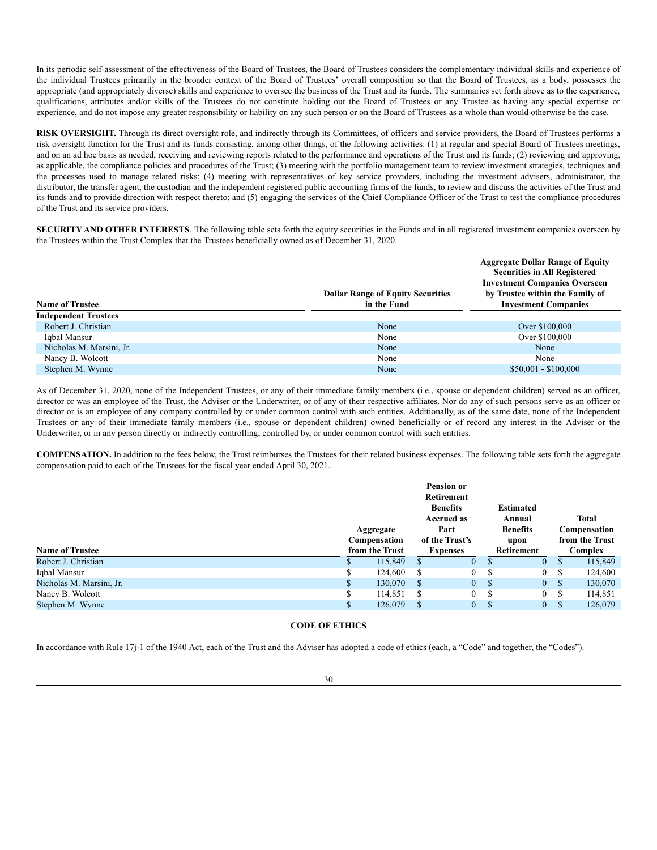In its periodic self-assessment of the effectiveness of the Board of Trustees, the Board of Trustees considers the complementary individual skills and experience of the individual Trustees primarily in the broader context of the Board of Trustees' overall composition so that the Board of Trustees, as a body, possesses the appropriate (and appropriately diverse) skills and experience to oversee the business of the Trust and its funds. The summaries set forth above as to the experience, qualifications, attributes and/or skills of the Trustees do not constitute holding out the Board of Trustees or any Trustee as having any special expertise or experience, and do not impose any greater responsibility or liability on any such person or on the Board of Trustees as a whole than would otherwise be the case.

**RISK OVERSIGHT.** Through its direct oversight role, and indirectly through its Committees, of officers and service providers, the Board of Trustees performs a risk oversight function for the Trust and its funds consisting, among other things, of the following activities: (1) at regular and special Board of Trustees meetings, and on an ad hoc basis as needed, receiving and reviewing reports related to the performance and operations of the Trust and its funds; (2) reviewing and approving, as applicable, the compliance policies and procedures of the Trust; (3) meeting with the portfolio management team to review investment strategies, techniques and the processes used to manage related risks; (4) meeting with representatives of key service providers, including the investment advisers, administrator, the distributor, the transfer agent, the custodian and the independent registered public accounting firms of the funds, to review and discuss the activities of the Trust and its funds and to provide direction with respect thereto; and (5) engaging the services of the Chief Compliance Officer of the Trust to test the compliance procedures of the Trust and its service providers.

**SECURITY AND OTHER INTERESTS**. The following table sets forth the equity securities in the Funds and in all registered investment companies overseen by the Trustees within the Trust Complex that the Trustees beneficially owned as of December 31, 2020.

| <b>Name of Trustee</b>      | <b>Dollar Range of Equity Securities</b><br>in the Fund | <b>Aggregate Dollar Range of Equity</b><br><b>Securities in All Registered</b><br><b>Investment Companies Overseen</b><br>by Trustee within the Family of<br><b>Investment Companies</b> |
|-----------------------------|---------------------------------------------------------|------------------------------------------------------------------------------------------------------------------------------------------------------------------------------------------|
| <b>Independent Trustees</b> |                                                         |                                                                                                                                                                                          |
| Robert J. Christian         | None                                                    | Over \$100,000                                                                                                                                                                           |
| Iqbal Mansur                | None                                                    | Over \$100,000                                                                                                                                                                           |
| Nicholas M. Marsini, Jr.    | None                                                    | None                                                                                                                                                                                     |
| Nancy B. Wolcott            | None                                                    | None                                                                                                                                                                                     |
| Stephen M. Wynne            | None                                                    | $$50.001 - $100.000$                                                                                                                                                                     |

As of December 31, 2020, none of the Independent Trustees, or any of their immediate family members (i.e., spouse or dependent children) served as an officer, director or was an employee of the Trust, the Adviser or the Underwriter, or of any of their respective affiliates. Nor do any of such persons serve as an officer or director or is an employee of any company controlled by or under common control with such entities. Additionally, as of the same date, none of the Independent Trustees or any of their immediate family members (i.e., spouse or dependent children) owned beneficially or of record any interest in the Adviser or the Underwriter, or in any person directly or indirectly controlling, controlled by, or under common control with such entities.

**COMPENSATION.** In addition to the fees below, the Trust reimburses the Trustees for their related business expenses. The following table sets forth the aggregate compensation paid to each of the Trustees for the fiscal year ended April 30, 2021.

|                          |     |                |                 | <b>Pension or</b><br>Retirement |            |                                                                |         |                                                       |                                                |  |
|--------------------------|-----|----------------|-----------------|---------------------------------|------------|----------------------------------------------------------------|---------|-------------------------------------------------------|------------------------------------------------|--|
|                          |     | Aggregate      |                 | Compensation                    |            | <b>Benefits</b><br><b>Accrued as</b><br>Part<br>of the Trust's |         | <b>Estimated</b><br>Annual<br><b>Benefits</b><br>upon | <b>Total</b><br>Compensation<br>from the Trust |  |
| <b>Name of Trustee</b>   |     | from the Trust | <b>Expenses</b> |                                 | Retirement |                                                                | Complex |                                                       |                                                |  |
| Robert J. Christian      |     | 115,849        |                 | $\mathbf{0}$                    |            | $\theta$                                                       |         | 115,849                                               |                                                |  |
| Iqbal Mansur             | Ф   | 124,600        | S               | $\overline{0}$                  | S          | $\overline{0}$                                                 | -S      | 124,600                                               |                                                |  |
| Nicholas M. Marsini, Jr. | \$. | 130,070        | S.              | $\overline{0}$                  | -\$        | $\overline{0}$                                                 | -S      | 130,070                                               |                                                |  |
| Nancy B. Wolcott         |     | 114,851        | <b>S</b>        | $\theta$                        | -S         | $\overline{0}$                                                 | -S      | 114,851                                               |                                                |  |
| Stephen M. Wynne         |     | 126,079        |                 | $\overline{0}$                  | S          | $\overline{0}$                                                 | S       | 126,079                                               |                                                |  |

# **CODE OF ETHICS**

<span id="page-31-0"></span>In accordance with Rule 17j-1 of the 1940 Act, each of the Trust and the Adviser has adopted a code of ethics (each, a "Code" and together, the "Codes").

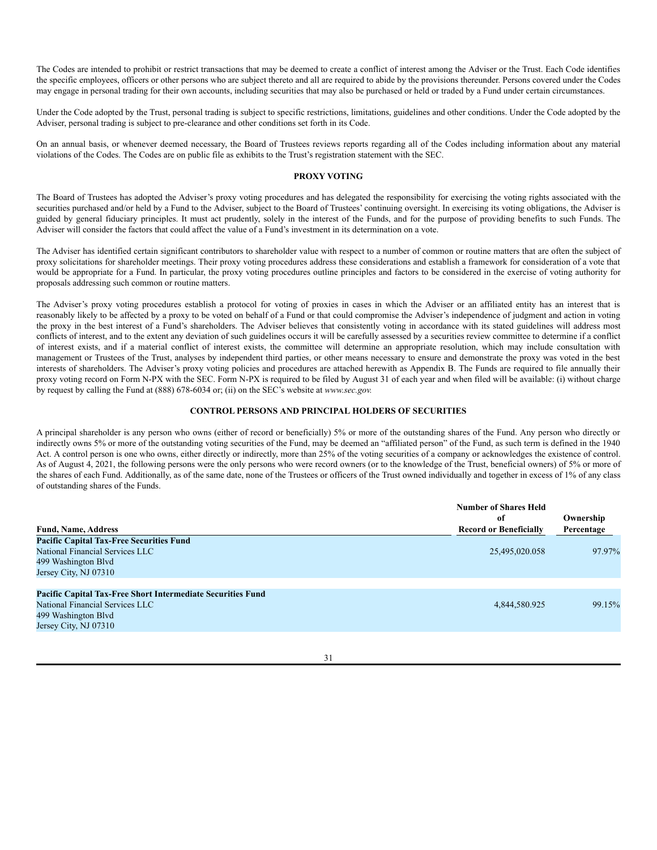The Codes are intended to prohibit or restrict transactions that may be deemed to create a conflict of interest among the Adviser or the Trust. Each Code identifies the specific employees, officers or other persons who are subject thereto and all are required to abide by the provisions thereunder. Persons covered under the Codes may engage in personal trading for their own accounts, including securities that may also be purchased or held or traded by a Fund under certain circumstances.

Under the Code adopted by the Trust, personal trading is subject to specific restrictions, limitations, guidelines and other conditions. Under the Code adopted by the Adviser, personal trading is subject to pre-clearance and other conditions set forth in its Code.

On an annual basis, or whenever deemed necessary, the Board of Trustees reviews reports regarding all of the Codes including information about any material violations of the Codes. The Codes are on public file as exhibits to the Trust's registration statement with the SEC.

## **PROXY VOTING**

<span id="page-32-0"></span>The Board of Trustees has adopted the Adviser's proxy voting procedures and has delegated the responsibility for exercising the voting rights associated with the securities purchased and/or held by a Fund to the Adviser, subject to the Board of Trustees' continuing oversight. In exercising its voting obligations, the Adviser is guided by general fiduciary principles. It must act prudently, solely in the interest of the Funds, and for the purpose of providing benefits to such Funds. The Adviser will consider the factors that could affect the value of a Fund's investment in its determination on a vote.

The Adviser has identified certain significant contributors to shareholder value with respect to a number of common or routine matters that are often the subject of proxy solicitations for shareholder meetings. Their proxy voting procedures address these considerations and establish a framework for consideration of a vote that would be appropriate for a Fund. In particular, the proxy voting procedures outline principles and factors to be considered in the exercise of voting authority for proposals addressing such common or routine matters.

The Adviser's proxy voting procedures establish a protocol for voting of proxies in cases in which the Adviser or an affiliated entity has an interest that is reasonably likely to be affected by a proxy to be voted on behalf of a Fund or that could compromise the Adviser's independence of judgment and action in voting the proxy in the best interest of a Fund's shareholders. The Adviser believes that consistently voting in accordance with its stated guidelines will address most conflicts of interest, and to the extent any deviation of such guidelines occurs it will be carefully assessed by a securities review committee to determine if a conflict of interest exists, and if a material conflict of interest exists, the committee will determine an appropriate resolution, which may include consultation with management or Trustees of the Trust, analyses by independent third parties, or other means necessary to ensure and demonstrate the proxy was voted in the best interests of shareholders. The Adviser's proxy voting policies and procedures are attached herewith as Appendix B. The Funds are required to file annually their proxy voting record on Form N-PX with the SEC. Form N-PX is required to be filed by August 31 of each year and when filed will be available: (i) without charge by request by calling the Fund at (888) 678-6034 or; (ii) on the SEC's website at *www.sec.gov.*

### **CONTROL PERSONS AND PRINCIPAL HOLDERS OF SECURITIES**

<span id="page-32-1"></span>A principal shareholder is any person who owns (either of record or beneficially) 5% or more of the outstanding shares of the Fund. Any person who directly or indirectly owns 5% or more of the outstanding voting securities of the Fund, may be deemed an "affiliated person" of the Fund, as such term is defined in the 1940 Act. A control person is one who owns, either directly or indirectly, more than 25% of the voting securities of a company or acknowledges the existence of control. As of August 4, 2021, the following persons were the only persons who were record owners (or to the knowledge of the Trust, beneficial owners) of 5% or more of the shares of each Fund. Additionally, as of the same date, none of the Trustees or officers of the Trust owned individually and together in excess of 1% of any class of outstanding shares of the Funds.

|                                                                    | <b>Number of Shares Held</b><br>of | Ownership  |
|--------------------------------------------------------------------|------------------------------------|------------|
| <b>Fund, Name, Address</b>                                         | <b>Record or Beneficially</b>      | Percentage |
| <b>Pacific Capital Tax-Free Securities Fund</b>                    |                                    |            |
| National Financial Services LLC                                    | 25,495,020.058                     | 97.97%     |
| 499 Washington Blvd                                                |                                    |            |
| Jersey City, NJ 07310                                              |                                    |            |
|                                                                    |                                    |            |
| <b>Pacific Capital Tax-Free Short Intermediate Securities Fund</b> |                                    |            |
| National Financial Services LLC                                    | 4,844,580.925                      | 99.15%     |
| 499 Washington Blvd                                                |                                    |            |
| Jersey City, NJ 07310                                              |                                    |            |
|                                                                    |                                    |            |

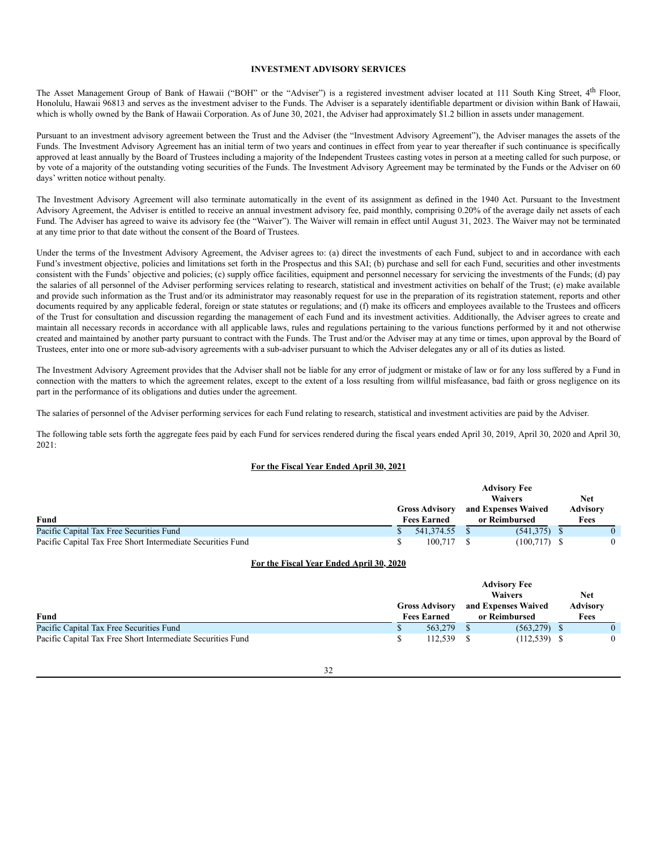## **INVESTMENT ADVISORY SERVICES**

<span id="page-33-0"></span>The Asset Management Group of Bank of Hawaii ("BOH" or the "Adviser") is a registered investment adviser located at 111 South King Street, 4<sup>th</sup> Floor, Honolulu, Hawaii 96813 and serves as the investment adviser to the Funds. The Adviser is a separately identifiable department or division within Bank of Hawaii, which is wholly owned by the Bank of Hawaii Corporation. As of June 30, 2021, the Adviser had approximately \$1.2 billion in assets under management.

Pursuant to an investment advisory agreement between the Trust and the Adviser (the "Investment Advisory Agreement"), the Adviser manages the assets of the Funds. The Investment Advisory Agreement has an initial term of two years and continues in effect from year to year thereafter if such continuance is specifically approved at least annually by the Board of Trustees including a majority of the Independent Trustees casting votes in person at a meeting called for such purpose, or by vote of a majority of the outstanding voting securities of the Funds. The Investment Advisory Agreement may be terminated by the Funds or the Adviser on 60 days' written notice without penalty.

The Investment Advisory Agreement will also terminate automatically in the event of its assignment as defined in the 1940 Act. Pursuant to the Investment Advisory Agreement, the Adviser is entitled to receive an annual investment advisory fee, paid monthly, comprising 0.20% of the average daily net assets of each Fund. The Adviser has agreed to waive its advisory fee (the "Waiver"). The Waiver will remain in effect until August 31, 2023. The Waiver may not be terminated at any time prior to that date without the consent of the Board of Trustees.

Under the terms of the Investment Advisory Agreement, the Adviser agrees to: (a) direct the investments of each Fund, subject to and in accordance with each Fund's investment objective, policies and limitations set forth in the Prospectus and this SAI; (b) purchase and sell for each Fund, securities and other investments consistent with the Funds' objective and policies; (c) supply office facilities, equipment and personnel necessary for servicing the investments of the Funds; (d) pay the salaries of all personnel of the Adviser performing services relating to research, statistical and investment activities on behalf of the Trust; (e) make available and provide such information as the Trust and/or its administrator may reasonably request for use in the preparation of its registration statement, reports and other documents required by any applicable federal, foreign or state statutes or regulations; and (f) make its officers and employees available to the Trustees and officers of the Trust for consultation and discussion regarding the management of each Fund and its investment activities. Additionally, the Adviser agrees to create and maintain all necessary records in accordance with all applicable laws, rules and regulations pertaining to the various functions performed by it and not otherwise created and maintained by another party pursuant to contract with the Funds. The Trust and/or the Adviser may at any time or times, upon approval by the Board of Trustees, enter into one or more sub-advisory agreements with a sub-adviser pursuant to which the Adviser delegates any or all of its duties as listed.

The Investment Advisory Agreement provides that the Adviser shall not be liable for any error of judgment or mistake of law or for any loss suffered by a Fund in connection with the matters to which the agreement relates, except to the extent of a loss resulting from willful misfeasance, bad faith or gross negligence on its part in the performance of its obligations and duties under the agreement.

The salaries of personnel of the Adviser performing services for each Fund relating to research, statistical and investment activities are paid by the Adviser.

The following table sets forth the aggregate fees paid by each Fund for services rendered during the fiscal years ended April 30, 2019, April 30, 2020 and April 30, 2021:

# **For the Fiscal Year Ended April 30, 2021**

|                                                             |  | <b>Advisory Fee</b>   |                     |                 |  |                 |  |      |
|-------------------------------------------------------------|--|-----------------------|---------------------|-----------------|--|-----------------|--|------|
|                                                             |  |                       |                     | <b>Waivers</b>  |  | Net             |  |      |
|                                                             |  | <b>Gross Advisory</b> | and Expenses Waived |                 |  | <b>Advisory</b> |  |      |
| Fund                                                        |  | <b>Fees Earned</b>    |                     |                 |  | or Reimbursed   |  | Fees |
| Pacific Capital Tax Free Securities Fund                    |  | 541,374.55            |                     | (541,375)       |  |                 |  |      |
| Pacific Capital Tax Free Short Intermediate Securities Fund |  | 100.717               |                     | $(100, 717)$ \$ |  |                 |  |      |

## **For the Fiscal Year Ended April 30, 2020**

|                                                             |                       |         |                     | <b>Advisory Fee</b> |  |                 |                |  |            |
|-------------------------------------------------------------|-----------------------|---------|---------------------|---------------------|--|-----------------|----------------|--|------------|
|                                                             |                       |         |                     |                     |  |                 | <b>Waivers</b> |  | <b>Net</b> |
|                                                             | <b>Gross Advisory</b> |         | and Expenses Waived |                     |  | <b>Advisory</b> |                |  |            |
| Fund                                                        | <b>Fees Earned</b>    |         |                     | or Reimbursed       |  | Fees            |                |  |            |
| Pacific Capital Tax Free Securities Fund                    |                       | 563,279 |                     | (563, 279)          |  |                 |                |  |            |
| Pacific Capital Tax Free Short Intermediate Securities Fund |                       | 112.539 |                     | (112, 539)          |  |                 |                |  |            |

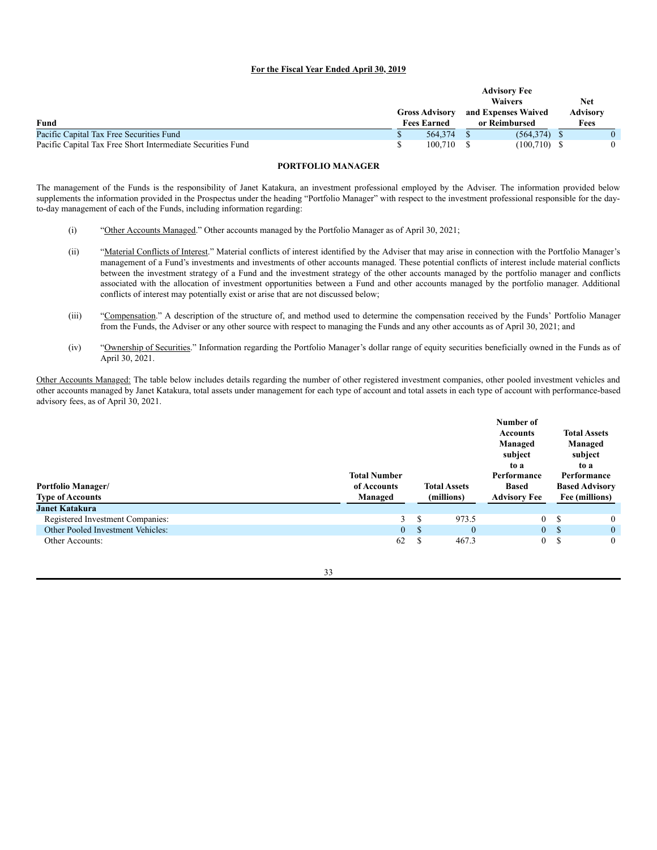## **For the Fiscal Year Ended April 30, 2019**

|                                                             |  |                       |  | <b>Advisory Fee</b> |                 |                |            |
|-------------------------------------------------------------|--|-----------------------|--|---------------------|-----------------|----------------|------------|
|                                                             |  |                       |  |                     |                 | <b>Waivers</b> | <b>Net</b> |
|                                                             |  | <b>Gross Advisory</b> |  | and Expenses Waived | <b>Advisory</b> |                |            |
| Fund                                                        |  | <b>Fees Earned</b>    |  | or Reimbursed       | Fees            |                |            |
| Pacific Capital Tax Free Securities Fund                    |  | 564,374               |  | (564, 374)          |                 |                |            |
| Pacific Capital Tax Free Short Intermediate Securities Fund |  | 100.710               |  | $(100, 710)$ \$     |                 |                |            |

# **PORTFOLIO MANAGER**

<span id="page-34-0"></span>The management of the Funds is the responsibility of Janet Katakura, an investment professional employed by the Adviser. The information provided below supplements the information provided in the Prospectus under the heading "Portfolio Manager" with respect to the investment professional responsible for the dayto-day management of each of the Funds, including information regarding:

- (i) "Other Accounts Managed." Other accounts managed by the Portfolio Manager as of April 30, 2021;
- (ii) "Material Conflicts of Interest." Material conflicts of interest identified by the Adviser that may arise in connection with the Portfolio Manager's management of a Fund's investments and investments of other accounts managed. These potential conflicts of interest include material conflicts between the investment strategy of a Fund and the investment strategy of the other accounts managed by the portfolio manager and conflicts associated with the allocation of investment opportunities between a Fund and other accounts managed by the portfolio manager. Additional conflicts of interest may potentially exist or arise that are not discussed below;
- (iii) "Compensation." A description of the structure of, and method used to determine the compensation received by the Funds' Portfolio Manager from the Funds, the Adviser or any other source with respect to managing the Funds and any other accounts as of April 30, 2021; and
- (iv) "Ownership of Securities." Information regarding the Portfolio Manager's dollar range of equity securities beneficially owned in the Funds as of April 30, 2021.

Other Accounts Managed: The table below includes details regarding the number of other registered investment companies, other pooled investment vehicles and other accounts managed by Janet Katakura, total assets under management for each type of account and total assets in each type of account with performance-based advisory fees, as of April 30, 2021.

| <b>Portfolio Manager/</b><br><b>Type of Accounts</b> | <b>Total Number</b><br>of Accounts<br>Managed |              | <b>Total Assets</b><br>(millions) | Number of<br><b>Accounts</b><br>Managed<br>subject<br>to a<br>Performance<br><b>Based</b><br><b>Advisory Fee</b> | <b>Total Assets</b><br>Managed<br>subject<br>to a<br>Performance<br><b>Based Advisory</b><br>Fee (millions) |
|------------------------------------------------------|-----------------------------------------------|--------------|-----------------------------------|------------------------------------------------------------------------------------------------------------------|-------------------------------------------------------------------------------------------------------------|
| <b>Janet Katakura</b>                                |                                               |              |                                   |                                                                                                                  |                                                                                                             |
| Registered Investment Companies:                     | 3                                             | S            | 973.5                             | $\Omega$                                                                                                         | -S<br>$\theta$                                                                                              |
| Other Pooled Investment Vehicles:                    | $\Omega$                                      | <sup>S</sup> | $\mathbf{0}$                      | $\Omega$                                                                                                         | $\Omega$<br>-8                                                                                              |
| Other Accounts:                                      | 62                                            | S            | 467.3                             | $\overline{0}$                                                                                                   | $\theta$<br>-S                                                                                              |

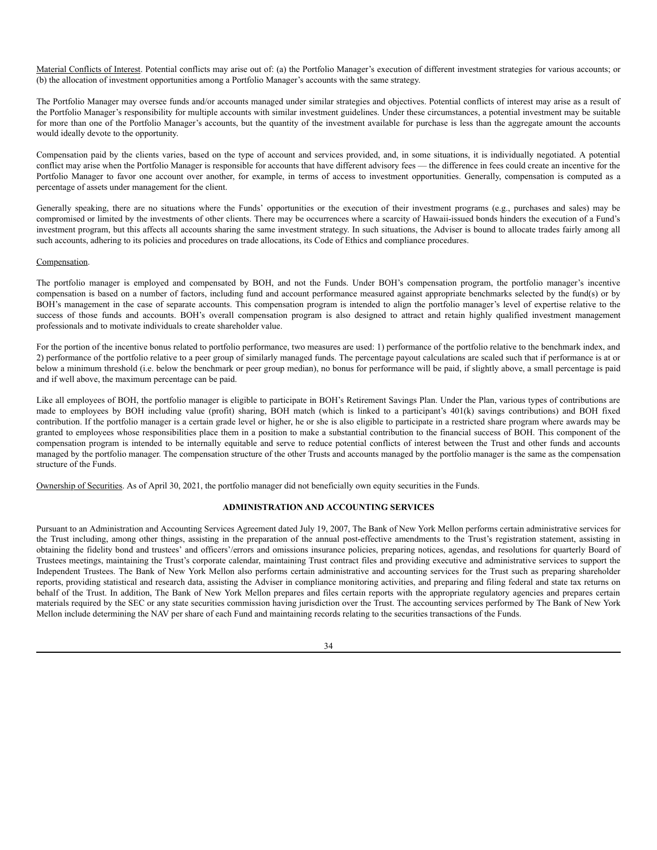Material Conflicts of Interest. Potential conflicts may arise out of: (a) the Portfolio Manager's execution of different investment strategies for various accounts; or (b) the allocation of investment opportunities among a Portfolio Manager's accounts with the same strategy.

The Portfolio Manager may oversee funds and/or accounts managed under similar strategies and objectives. Potential conflicts of interest may arise as a result of the Portfolio Manager's responsibility for multiple accounts with similar investment guidelines. Under these circumstances, a potential investment may be suitable for more than one of the Portfolio Manager's accounts, but the quantity of the investment available for purchase is less than the aggregate amount the accounts would ideally devote to the opportunity.

Compensation paid by the clients varies, based on the type of account and services provided, and, in some situations, it is individually negotiated. A potential conflict may arise when the Portfolio Manager is responsible for accounts that have different advisory fees — the difference in fees could create an incentive for the Portfolio Manager to favor one account over another, for example, in terms of access to investment opportunities. Generally, compensation is computed as a percentage of assets under management for the client.

Generally speaking, there are no situations where the Funds' opportunities or the execution of their investment programs (e.g., purchases and sales) may be compromised or limited by the investments of other clients. There may be occurrences where a scarcity of Hawaii-issued bonds hinders the execution of a Fund's investment program, but this affects all accounts sharing the same investment strategy. In such situations, the Adviser is bound to allocate trades fairly among all such accounts, adhering to its policies and procedures on trade allocations, its Code of Ethics and compliance procedures.

### Compensation.

The portfolio manager is employed and compensated by BOH, and not the Funds. Under BOH's compensation program, the portfolio manager's incentive compensation is based on a number of factors, including fund and account performance measured against appropriate benchmarks selected by the fund(s) or by BOH's management in the case of separate accounts. This compensation program is intended to align the portfolio manager's level of expertise relative to the success of those funds and accounts. BOH's overall compensation program is also designed to attract and retain highly qualified investment management professionals and to motivate individuals to create shareholder value.

For the portion of the incentive bonus related to portfolio performance, two measures are used: 1) performance of the portfolio relative to the benchmark index, and 2) performance of the portfolio relative to a peer group of similarly managed funds. The percentage payout calculations are scaled such that if performance is at or below a minimum threshold (i.e. below the benchmark or peer group median), no bonus for performance will be paid, if slightly above, a small percentage is paid and if well above, the maximum percentage can be paid.

Like all employees of BOH, the portfolio manager is eligible to participate in BOH's Retirement Savings Plan. Under the Plan, various types of contributions are made to employees by BOH including value (profit) sharing, BOH match (which is linked to a participant's 401(k) savings contributions) and BOH fixed contribution. If the portfolio manager is a certain grade level or higher, he or she is also eligible to participate in a restricted share program where awards may be granted to employees whose responsibilities place them in a position to make a substantial contribution to the financial success of BOH. This component of the compensation program is intended to be internally equitable and serve to reduce potential conflicts of interest between the Trust and other funds and accounts managed by the portfolio manager. The compensation structure of the other Trusts and accounts managed by the portfolio manager is the same as the compensation structure of the Funds.

Ownership of Securities. As of April 30, 2021, the portfolio manager did not beneficially own equity securities in the Funds.

### **ADMINISTRATION AND ACCOUNTING SERVICES**

<span id="page-35-0"></span>Pursuant to an Administration and Accounting Services Agreement dated July 19, 2007, The Bank of New York Mellon performs certain administrative services for the Trust including, among other things, assisting in the preparation of the annual post-effective amendments to the Trust's registration statement, assisting in obtaining the fidelity bond and trustees' and officers'/errors and omissions insurance policies, preparing notices, agendas, and resolutions for quarterly Board of Trustees meetings, maintaining the Trust's corporate calendar, maintaining Trust contract files and providing executive and administrative services to support the Independent Trustees. The Bank of New York Mellon also performs certain administrative and accounting services for the Trust such as preparing shareholder reports, providing statistical and research data, assisting the Adviser in compliance monitoring activities, and preparing and filing federal and state tax returns on behalf of the Trust. In addition, The Bank of New York Mellon prepares and files certain reports with the appropriate regulatory agencies and prepares certain materials required by the SEC or any state securities commission having jurisdiction over the Trust. The accounting services performed by The Bank of New York Mellon include determining the NAV per share of each Fund and maintaining records relating to the securities transactions of the Funds.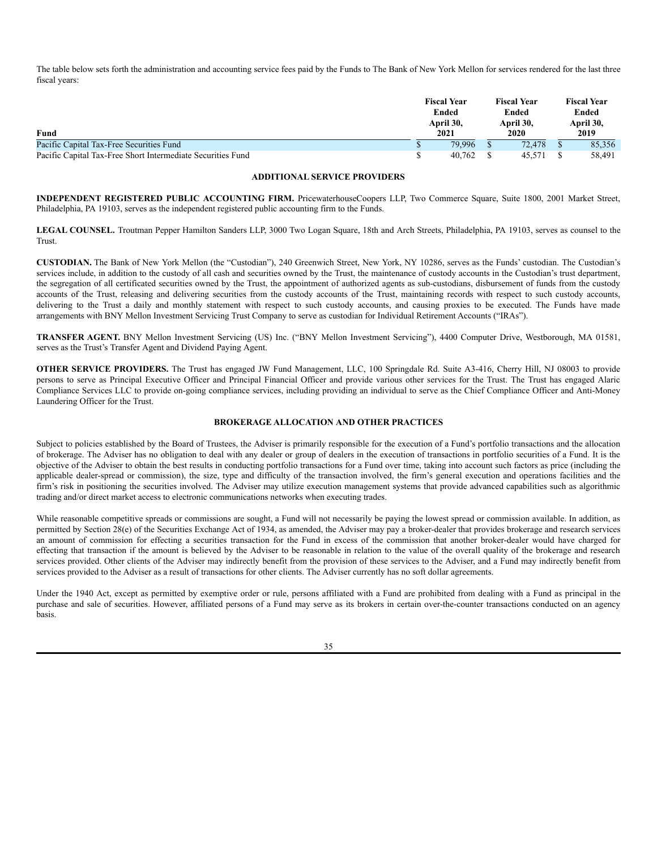The table below sets forth the administration and accounting service fees paid by the Funds to The Bank of New York Mellon for services rendered for the last three fiscal years:

|                                                             |  | <b>Fiscal Year</b> |  | <b>Fiscal Year</b> |      | <b>Fiscal Year</b> |  |       |
|-------------------------------------------------------------|--|--------------------|--|--------------------|------|--------------------|--|-------|
|                                                             |  | Ended<br>April 30. |  | Ended              |      |                    |  | Ended |
|                                                             |  |                    |  | April 30,          |      | April 30,          |  |       |
| Fund                                                        |  | 2021               |  | 2020               | 2019 |                    |  |       |
| Pacific Capital Tax-Free Securities Fund                    |  | 79.996             |  | 72,478             |      | 85,356             |  |       |
| Pacific Capital Tax-Free Short Intermediate Securities Fund |  | 40.762             |  | 45.571             |      | 58.491             |  |       |

## **ADDITIONAL SERVICE PROVIDERS**

<span id="page-36-0"></span>**INDEPENDENT REGISTERED PUBLIC ACCOUNTING FIRM.** PricewaterhouseCoopers LLP, Two Commerce Square, Suite 1800, 2001 Market Street, Philadelphia, PA 19103, serves as the independent registered public accounting firm to the Funds.

**LEGAL COUNSEL.** Troutman Pepper Hamilton Sanders LLP, 3000 Two Logan Square, 18th and Arch Streets, Philadelphia, PA 19103, serves as counsel to the Trust.

**CUSTODIAN.** The Bank of New York Mellon (the "Custodian"), 240 Greenwich Street, New York, NY 10286, serves as the Funds' custodian. The Custodian's services include, in addition to the custody of all cash and securities owned by the Trust, the maintenance of custody accounts in the Custodian's trust department, the segregation of all certificated securities owned by the Trust, the appointment of authorized agents as sub-custodians, disbursement of funds from the custody accounts of the Trust, releasing and delivering securities from the custody accounts of the Trust, maintaining records with respect to such custody accounts, delivering to the Trust a daily and monthly statement with respect to such custody accounts, and causing proxies to be executed. The Funds have made arrangements with BNY Mellon Investment Servicing Trust Company to serve as custodian for Individual Retirement Accounts ("IRAs").

**TRANSFER AGENT.** BNY Mellon Investment Servicing (US) Inc. ("BNY Mellon Investment Servicing"), 4400 Computer Drive, Westborough, MA 01581, serves as the Trust's Transfer Agent and Dividend Paying Agent.

**OTHER SERVICE PROVIDERS.** The Trust has engaged JW Fund Management, LLC, 100 Springdale Rd. Suite A3-416, Cherry Hill, NJ 08003 to provide persons to serve as Principal Executive Officer and Principal Financial Officer and provide various other services for the Trust. The Trust has engaged Alaric Compliance Services LLC to provide on-going compliance services, including providing an individual to serve as the Chief Compliance Officer and Anti-Money Laundering Officer for the Trust.

# **BROKERAGE ALLOCATION AND OTHER PRACTICES**

<span id="page-36-1"></span>Subject to policies established by the Board of Trustees, the Adviser is primarily responsible for the execution of a Fund's portfolio transactions and the allocation of brokerage. The Adviser has no obligation to deal with any dealer or group of dealers in the execution of transactions in portfolio securities of a Fund. It is the objective of the Adviser to obtain the best results in conducting portfolio transactions for a Fund over time, taking into account such factors as price (including the applicable dealer-spread or commission), the size, type and difficulty of the transaction involved, the firm's general execution and operations facilities and the firm's risk in positioning the securities involved. The Adviser may utilize execution management systems that provide advanced capabilities such as algorithmic trading and/or direct market access to electronic communications networks when executing trades.

While reasonable competitive spreads or commissions are sought, a Fund will not necessarily be paying the lowest spread or commission available. In addition, as permitted by Section 28(e) of the Securities Exchange Act of 1934, as amended, the Adviser may pay a broker-dealer that provides brokerage and research services an amount of commission for effecting a securities transaction for the Fund in excess of the commission that another broker-dealer would have charged for effecting that transaction if the amount is believed by the Adviser to be reasonable in relation to the value of the overall quality of the brokerage and research services provided. Other clients of the Adviser may indirectly benefit from the provision of these services to the Adviser, and a Fund may indirectly benefit from services provided to the Adviser as a result of transactions for other clients. The Adviser currently has no soft dollar agreements.

Under the 1940 Act, except as permitted by exemptive order or rule, persons affiliated with a Fund are prohibited from dealing with a Fund as principal in the purchase and sale of securities. However, affiliated persons of a Fund may serve as its brokers in certain over-the-counter transactions conducted on an agency basis.

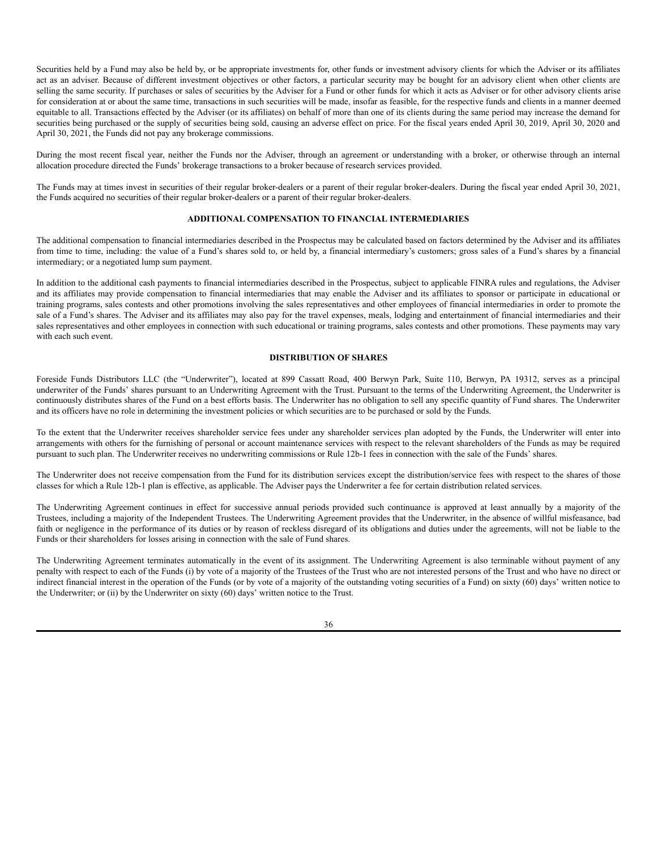Securities held by a Fund may also be held by, or be appropriate investments for, other funds or investment advisory clients for which the Adviser or its affiliates act as an adviser. Because of different investment objectives or other factors, a particular security may be bought for an advisory client when other clients are selling the same security. If purchases or sales of securities by the Adviser for a Fund or other funds for which it acts as Adviser or for other advisory clients arise for consideration at or about the same time, transactions in such securities will be made, insofar as feasible, for the respective funds and clients in a manner deemed equitable to all. Transactions effected by the Adviser (or its affiliates) on behalf of more than one of its clients during the same period may increase the demand for securities being purchased or the supply of securities being sold, causing an adverse effect on price. For the fiscal years ended April 30, 2019, April 30, 2020 and April 30, 2021, the Funds did not pay any brokerage commissions.

During the most recent fiscal year, neither the Funds nor the Adviser, through an agreement or understanding with a broker, or otherwise through an internal allocation procedure directed the Funds' brokerage transactions to a broker because of research services provided.

The Funds may at times invest in securities of their regular broker-dealers or a parent of their regular broker-dealers. During the fiscal year ended April 30, 2021, the Funds acquired no securities of their regular broker-dealers or a parent of their regular broker-dealers.

## **ADDITIONAL COMPENSATION TO FINANCIAL INTERMEDIARIES**

<span id="page-37-0"></span>The additional compensation to financial intermediaries described in the Prospectus may be calculated based on factors determined by the Adviser and its affiliates from time to time, including: the value of a Fund's shares sold to, or held by, a financial intermediary's customers; gross sales of a Fund's shares by a financial intermediary; or a negotiated lump sum payment.

In addition to the additional cash payments to financial intermediaries described in the Prospectus, subject to applicable FINRA rules and regulations, the Adviser and its affiliates may provide compensation to financial intermediaries that may enable the Adviser and its affiliates to sponsor or participate in educational or training programs, sales contests and other promotions involving the sales representatives and other employees of financial intermediaries in order to promote the sale of a Fund's shares. The Adviser and its affiliates may also pay for the travel expenses, meals, lodging and entertainment of financial intermediaries and their sales representatives and other employees in connection with such educational or training programs, sales contests and other promotions. These payments may vary with each such event.

## **DISTRIBUTION OF SHARES**

<span id="page-37-1"></span>Foreside Funds Distributors LLC (the "Underwriter"), located at 899 Cassatt Road, 400 Berwyn Park, Suite 110, Berwyn, PA 19312, serves as a principal underwriter of the Funds' shares pursuant to an Underwriting Agreement with the Trust. Pursuant to the terms of the Underwriting Agreement, the Underwriter is continuously distributes shares of the Fund on a best efforts basis. The Underwriter has no obligation to sell any specific quantity of Fund shares. The Underwriter and its officers have no role in determining the investment policies or which securities are to be purchased or sold by the Funds.

To the extent that the Underwriter receives shareholder service fees under any shareholder services plan adopted by the Funds, the Underwriter will enter into arrangements with others for the furnishing of personal or account maintenance services with respect to the relevant shareholders of the Funds as may be required pursuant to such plan. The Underwriter receives no underwriting commissions or Rule 12b-1 fees in connection with the sale of the Funds' shares.

The Underwriter does not receive compensation from the Fund for its distribution services except the distribution/service fees with respect to the shares of those classes for which a Rule 12b-1 plan is effective, as applicable. The Adviser pays the Underwriter a fee for certain distribution related services.

The Underwriting Agreement continues in effect for successive annual periods provided such continuance is approved at least annually by a majority of the Trustees, including a majority of the Independent Trustees. The Underwriting Agreement provides that the Underwriter, in the absence of willful misfeasance, bad faith or negligence in the performance of its duties or by reason of reckless disregard of its obligations and duties under the agreements, will not be liable to the Funds or their shareholders for losses arising in connection with the sale of Fund shares.

The Underwriting Agreement terminates automatically in the event of its assignment. The Underwriting Agreement is also terminable without payment of any penalty with respect to each of the Funds (i) by vote of a majority of the Trustees of the Trust who are not interested persons of the Trust and who have no direct or indirect financial interest in the operation of the Funds (or by vote of a majority of the outstanding voting securities of a Fund) on sixty (60) days' written notice to the Underwriter; or (ii) by the Underwriter on sixty (60) days' written notice to the Trust.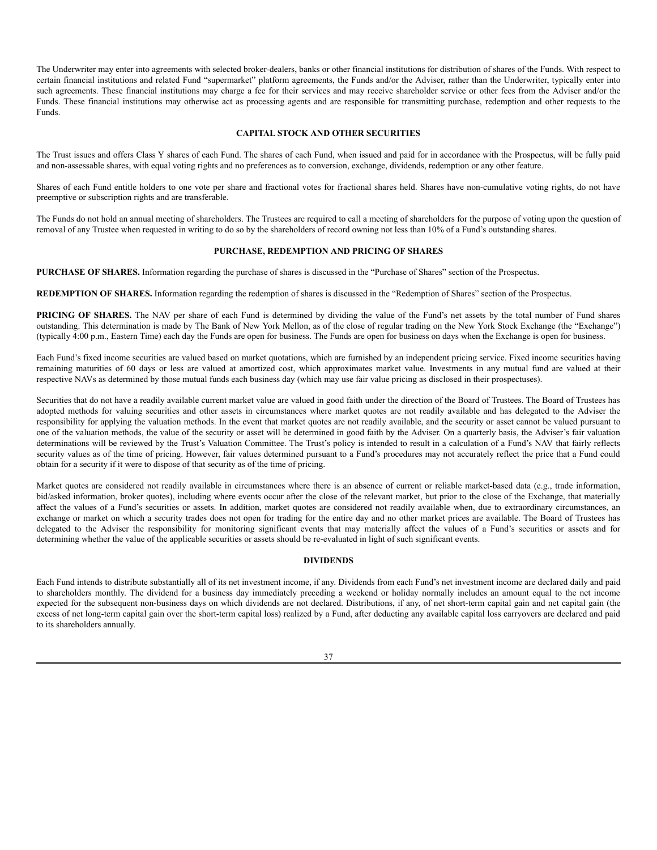The Underwriter may enter into agreements with selected broker-dealers, banks or other financial institutions for distribution of shares of the Funds. With respect to certain financial institutions and related Fund "supermarket" platform agreements, the Funds and/or the Adviser, rather than the Underwriter, typically enter into such agreements. These financial institutions may charge a fee for their services and may receive shareholder service or other fees from the Adviser and/or the Funds. These financial institutions may otherwise act as processing agents and are responsible for transmitting purchase, redemption and other requests to the Funds.

## **CAPITAL STOCK AND OTHER SECURITIES**

<span id="page-38-0"></span>The Trust issues and offers Class Y shares of each Fund. The shares of each Fund, when issued and paid for in accordance with the Prospectus, will be fully paid and non-assessable shares, with equal voting rights and no preferences as to conversion, exchange, dividends, redemption or any other feature.

Shares of each Fund entitle holders to one vote per share and fractional votes for fractional shares held. Shares have non-cumulative voting rights, do not have preemptive or subscription rights and are transferable.

The Funds do not hold an annual meeting of shareholders. The Trustees are required to call a meeting of shareholders for the purpose of voting upon the question of removal of any Trustee when requested in writing to do so by the shareholders of record owning not less than 10% of a Fund's outstanding shares.

## **PURCHASE, REDEMPTION AND PRICING OF SHARES**

<span id="page-38-1"></span>**PURCHASE OF SHARES.** Information regarding the purchase of shares is discussed in the "Purchase of Shares" section of the Prospectus.

**REDEMPTION OF SHARES.** Information regarding the redemption of shares is discussed in the "Redemption of Shares" section of the Prospectus.

**PRICING OF SHARES.** The NAV per share of each Fund is determined by dividing the value of the Fund's net assets by the total number of Fund shares outstanding. This determination is made by The Bank of New York Mellon, as of the close of regular trading on the New York Stock Exchange (the "Exchange") (typically 4:00 p.m., Eastern Time) each day the Funds are open for business. The Funds are open for business on days when the Exchange is open for business.

Each Fund's fixed income securities are valued based on market quotations, which are furnished by an independent pricing service. Fixed income securities having remaining maturities of 60 days or less are valued at amortized cost, which approximates market value. Investments in any mutual fund are valued at their respective NAVs as determined by those mutual funds each business day (which may use fair value pricing as disclosed in their prospectuses).

Securities that do not have a readily available current market value are valued in good faith under the direction of the Board of Trustees. The Board of Trustees has adopted methods for valuing securities and other assets in circumstances where market quotes are not readily available and has delegated to the Adviser the responsibility for applying the valuation methods. In the event that market quotes are not readily available, and the security or asset cannot be valued pursuant to one of the valuation methods, the value of the security or asset will be determined in good faith by the Adviser. On a quarterly basis, the Adviser's fair valuation determinations will be reviewed by the Trust's Valuation Committee. The Trust's policy is intended to result in a calculation of a Fund's NAV that fairly reflects security values as of the time of pricing. However, fair values determined pursuant to a Fund's procedures may not accurately reflect the price that a Fund could obtain for a security if it were to dispose of that security as of the time of pricing.

Market quotes are considered not readily available in circumstances where there is an absence of current or reliable market-based data (e.g., trade information, bid/asked information, broker quotes), including where events occur after the close of the relevant market, but prior to the close of the Exchange, that materially affect the values of a Fund's securities or assets. In addition, market quotes are considered not readily available when, due to extraordinary circumstances, an exchange or market on which a security trades does not open for trading for the entire day and no other market prices are available. The Board of Trustees has delegated to the Adviser the responsibility for monitoring significant events that may materially affect the values of a Fund's securities or assets and for determining whether the value of the applicable securities or assets should be re-evaluated in light of such significant events.

## **DIVIDENDS**

<span id="page-38-2"></span>Each Fund intends to distribute substantially all of its net investment income, if any. Dividends from each Fund's net investment income are declared daily and paid to shareholders monthly. The dividend for a business day immediately preceding a weekend or holiday normally includes an amount equal to the net income expected for the subsequent non-business days on which dividends are not declared. Distributions, if any, of net short-term capital gain and net capital gain (the excess of net long-term capital gain over the short-term capital loss) realized by a Fund, after deducting any available capital loss carryovers are declared and paid to its shareholders annually.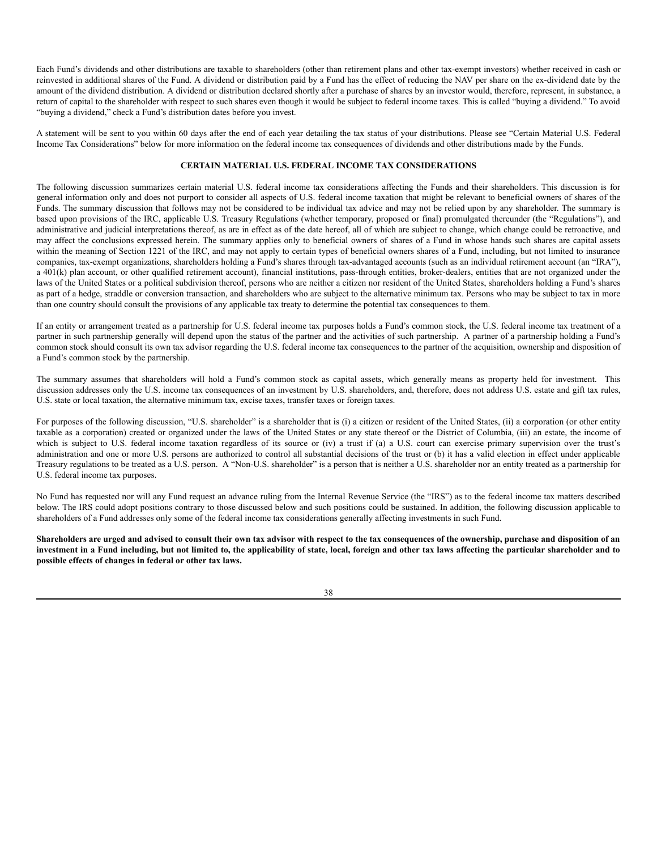Each Fund's dividends and other distributions are taxable to shareholders (other than retirement plans and other tax-exempt investors) whether received in cash or reinvested in additional shares of the Fund. A dividend or distribution paid by a Fund has the effect of reducing the NAV per share on the ex-dividend date by the amount of the dividend distribution. A dividend or distribution declared shortly after a purchase of shares by an investor would, therefore, represent, in substance, a return of capital to the shareholder with respect to such shares even though it would be subject to federal income taxes. This is called "buying a dividend." To avoid "buying a dividend," check a Fund's distribution dates before you invest.

A statement will be sent to you within 60 days after the end of each year detailing the tax status of your distributions. Please see "Certain Material U.S. Federal Income Tax Considerations" below for more information on the federal income tax consequences of dividends and other distributions made by the Funds.

## **CERTAIN MATERIAL U.S. FEDERAL INCOME TAX CONSIDERATIONS**

<span id="page-39-0"></span>The following discussion summarizes certain material U.S. federal income tax considerations affecting the Funds and their shareholders. This discussion is for general information only and does not purport to consider all aspects of U.S. federal income taxation that might be relevant to beneficial owners of shares of the Funds. The summary discussion that follows may not be considered to be individual tax advice and may not be relied upon by any shareholder. The summary is based upon provisions of the IRC, applicable U.S. Treasury Regulations (whether temporary, proposed or final) promulgated thereunder (the "Regulations"), and administrative and judicial interpretations thereof, as are in effect as of the date hereof, all of which are subject to change, which change could be retroactive, and may affect the conclusions expressed herein. The summary applies only to beneficial owners of shares of a Fund in whose hands such shares are capital assets within the meaning of Section 1221 of the IRC, and may not apply to certain types of beneficial owners shares of a Fund, including, but not limited to insurance companies, tax-exempt organizations, shareholders holding a Fund's shares through tax-advantaged accounts (such as an individual retirement account (an "IRA"), a 401(k) plan account, or other qualified retirement account), financial institutions, pass-through entities, broker-dealers, entities that are not organized under the laws of the United States or a political subdivision thereof, persons who are neither a citizen nor resident of the United States, shareholders holding a Fund's shares as part of a hedge, straddle or conversion transaction, and shareholders who are subject to the alternative minimum tax. Persons who may be subject to tax in more than one country should consult the provisions of any applicable tax treaty to determine the potential tax consequences to them.

If an entity or arrangement treated as a partnership for U.S. federal income tax purposes holds a Fund's common stock, the U.S. federal income tax treatment of a partner in such partnership generally will depend upon the status of the partner and the activities of such partnership. A partner of a partnership holding a Fund's common stock should consult its own tax advisor regarding the U.S. federal income tax consequences to the partner of the acquisition, ownership and disposition of a Fund's common stock by the partnership.

The summary assumes that shareholders will hold a Fund's common stock as capital assets, which generally means as property held for investment. This discussion addresses only the U.S. income tax consequences of an investment by U.S. shareholders, and, therefore, does not address U.S. estate and gift tax rules, U.S. state or local taxation, the alternative minimum tax, excise taxes, transfer taxes or foreign taxes.

For purposes of the following discussion, "U.S. shareholder" is a shareholder that is (i) a citizen or resident of the United States, (ii) a corporation (or other entity taxable as a corporation) created or organized under the laws of the United States or any state thereof or the District of Columbia, (iii) an estate, the income of which is subject to U.S. federal income taxation regardless of its source or (iv) a trust if (a) a U.S. court can exercise primary supervision over the trust's administration and one or more U.S. persons are authorized to control all substantial decisions of the trust or (b) it has a valid election in effect under applicable Treasury regulations to be treated as a U.S. person. A "Non-U.S. shareholder" is a person that is neither a U.S. shareholder nor an entity treated as a partnership for U.S. federal income tax purposes.

No Fund has requested nor will any Fund request an advance ruling from the Internal Revenue Service (the "IRS") as to the federal income tax matters described below. The IRS could adopt positions contrary to those discussed below and such positions could be sustained. In addition, the following discussion applicable to shareholders of a Fund addresses only some of the federal income tax considerations generally affecting investments in such Fund.

Shareholders are urged and advised to consult their own tax advisor with respect to the tax consequences of the ownership, purchase and disposition of an investment in a Fund including, but not limited to, the applicability of state, local, foreign and other tax laws affecting the particular shareholder and to **possible effects of changes in federal or other tax laws.**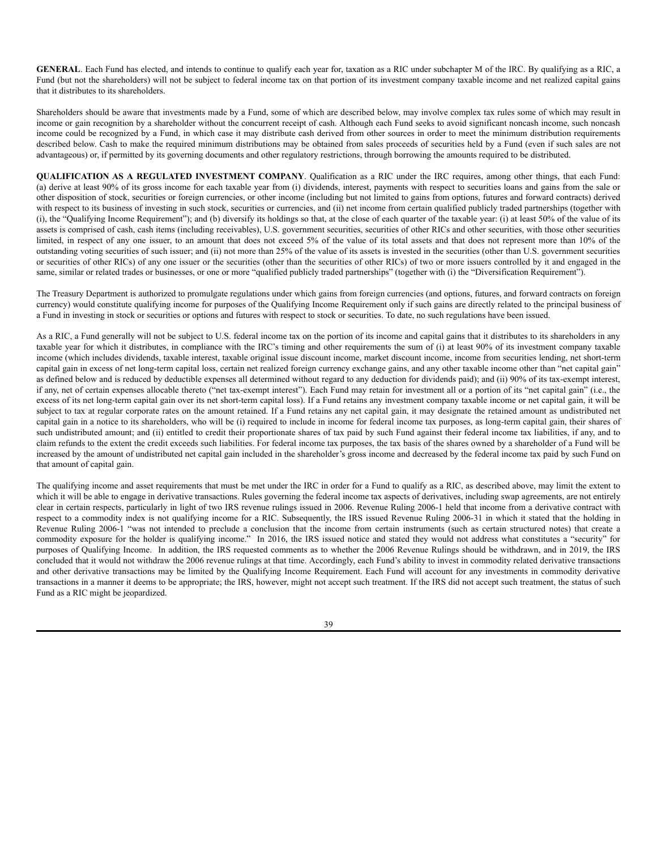**GENERAL**. Each Fund has elected, and intends to continue to qualify each year for, taxation as a RIC under subchapter M of the IRC. By qualifying as a RIC, a Fund (but not the shareholders) will not be subject to federal income tax on that portion of its investment company taxable income and net realized capital gains that it distributes to its shareholders.

Shareholders should be aware that investments made by a Fund, some of which are described below, may involve complex tax rules some of which may result in income or gain recognition by a shareholder without the concurrent receipt of cash. Although each Fund seeks to avoid significant noncash income, such noncash income could be recognized by a Fund, in which case it may distribute cash derived from other sources in order to meet the minimum distribution requirements described below. Cash to make the required minimum distributions may be obtained from sales proceeds of securities held by a Fund (even if such sales are not advantageous) or, if permitted by its governing documents and other regulatory restrictions, through borrowing the amounts required to be distributed.

**QUALIFICATION AS A REGULATED INVESTMENT COMPANY**. Qualification as a RIC under the IRC requires, among other things, that each Fund: (a) derive at least 90% of its gross income for each taxable year from (i) dividends, interest, payments with respect to securities loans and gains from the sale or other disposition of stock, securities or foreign currencies, or other income (including but not limited to gains from options, futures and forward contracts) derived with respect to its business of investing in such stock, securities or currencies, and (ii) net income from certain qualified publicly traded partnerships (together with (i), the "Qualifying Income Requirement"); and (b) diversify its holdings so that, at the close of each quarter of the taxable year: (i) at least 50% of the value of its assets is comprised of cash, cash items (including receivables), U.S. government securities, securities of other RICs and other securities, with those other securities limited, in respect of any one issuer, to an amount that does not exceed 5% of the value of its total assets and that does not represent more than 10% of the outstanding voting securities of such issuer; and (ii) not more than 25% of the value of its assets is invested in the securities (other than U.S. government securities or securities of other RICs) of any one issuer or the securities (other than the securities of other RICs) of two or more issuers controlled by it and engaged in the same, similar or related trades or businesses, or one or more "qualified publicly traded partnerships" (together with (i) the "Diversification Requirement").

The Treasury Department is authorized to promulgate regulations under which gains from foreign currencies (and options, futures, and forward contracts on foreign currency) would constitute qualifying income for purposes of the Qualifying Income Requirement only if such gains are directly related to the principal business of a Fund in investing in stock or securities or options and futures with respect to stock or securities. To date, no such regulations have been issued.

As a RIC, a Fund generally will not be subject to U.S. federal income tax on the portion of its income and capital gains that it distributes to its shareholders in any taxable year for which it distributes, in compliance with the IRC's timing and other requirements the sum of (i) at least 90% of its investment company taxable income (which includes dividends, taxable interest, taxable original issue discount income, market discount income, income from securities lending, net short-term capital gain in excess of net long-term capital loss, certain net realized foreign currency exchange gains, and any other taxable income other than "net capital gain" as defined below and is reduced by deductible expenses all determined without regard to any deduction for dividends paid); and (ii) 90% of its tax-exempt interest, if any, net of certain expenses allocable thereto ("net tax-exempt interest"). Each Fund may retain for investment all or a portion of its "net capital gain" (i.e., the excess of its net long-term capital gain over its net short-term capital loss). If a Fund retains any investment company taxable income or net capital gain, it will be subject to tax at regular corporate rates on the amount retained. If a Fund retains any net capital gain, it may designate the retained amount as undistributed net capital gain in a notice to its shareholders, who will be (i) required to include in income for federal income tax purposes, as long-term capital gain, their shares of such undistributed amount; and (ii) entitled to credit their proportionate shares of tax paid by such Fund against their federal income tax liabilities, if any, and to claim refunds to the extent the credit exceeds such liabilities. For federal income tax purposes, the tax basis of the shares owned by a shareholder of a Fund will be increased by the amount of undistributed net capital gain included in the shareholder's gross income and decreased by the federal income tax paid by such Fund on that amount of capital gain.

The qualifying income and asset requirements that must be met under the IRC in order for a Fund to qualify as a RIC, as described above, may limit the extent to which it will be able to engage in derivative transactions. Rules governing the federal income tax aspects of derivatives, including swap agreements, are not entirely clear in certain respects, particularly in light of two IRS revenue rulings issued in 2006. Revenue Ruling 2006-1 held that income from a derivative contract with respect to a commodity index is not qualifying income for a RIC. Subsequently, the IRS issued Revenue Ruling 2006-31 in which it stated that the holding in Revenue Ruling 2006-1 "was not intended to preclude a conclusion that the income from certain instruments (such as certain structured notes) that create a commodity exposure for the holder is qualifying income." In 2016, the IRS issued notice and stated they would not address what constitutes a "security" for purposes of Qualifying Income. In addition, the IRS requested comments as to whether the 2006 Revenue Rulings should be withdrawn, and in 2019, the IRS concluded that it would not withdraw the 2006 revenue rulings at that time. Accordingly, each Fund's ability to invest in commodity related derivative transactions and other derivative transactions may be limited by the Qualifying Income Requirement. Each Fund will account for any investments in commodity derivative transactions in a manner it deems to be appropriate; the IRS, however, might not accept such treatment. If the IRS did not accept such treatment, the status of such Fund as a RIC might be jeopardized.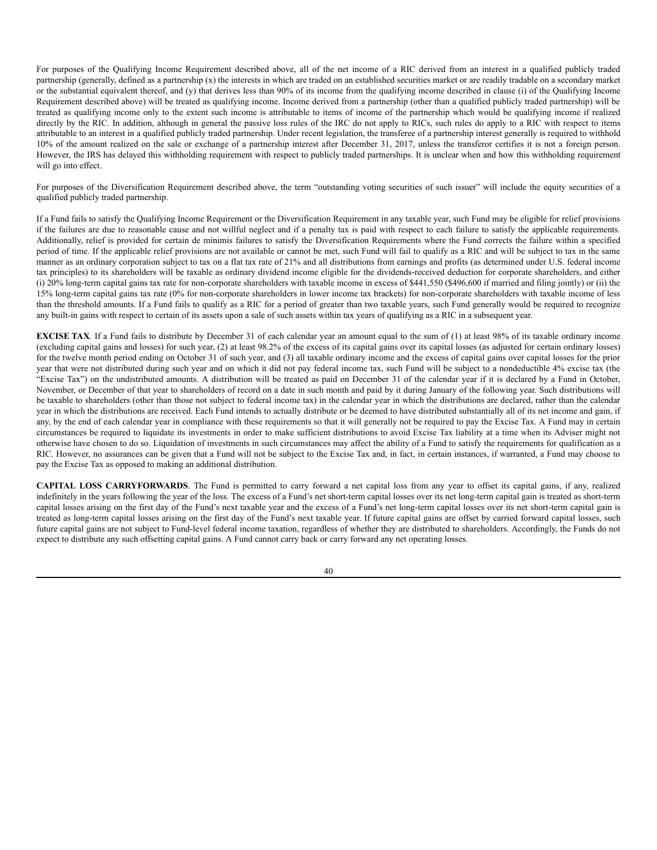For purposes of the Qualifying Income Requirement described above, all of the net income of a RIC derived from an interest in a qualified publicly traded partnership (generally, defined as a partnership (x) the interests in which are traded on an established securities market or are readily tradable on a secondary market or the substantial equivalent thereof, and (y) that derives less than 90% of its income from the qualifying income described in clause (i) of the Qualifying Income Requirement described above) will be treated as qualifying income. Income derived from a partnership (other than a qualified publicly traded partnership) will be treated as qualifying income only to the extent such income is attributable to items of income of the partnership which would be qualifying income if realized directly by the RIC. In addition, although in general the passive loss rules of the IRC do not apply to RICs, such rules do apply to a RIC with respect to items attributable to an interest in a qualified publicly traded partnership. Under recent legislation, the transferee of a partnership interest generally is required to withhold 10% of the amount realized on the sale or exchange of a partnership interest after December 31, 2017, unless the transferor certifies it is not a foreign person. However, the IRS has delayed this withholding requirement with respect to publicly traded partnerships. It is unclear when and how this withholding requirement will go into effect.

For purposes of the Diversification Requirement described above, the term "outstanding voting securities of such issuer" will include the equity securities of a qualified publicly traded partnership.

If a Fund fails to satisfy the Qualifying Income Requirement or the Diversification Requirement in any taxable year, such Fund may be eligible for relief provisions if the failures are due to reasonable cause and not willful neglect and if a penalty tax is paid with respect to each failure to satisfy the applicable requirements. Additionally, relief is provided for certain de minimis failures to satisfy the Diversification Requirements where the Fund corrects the failure within a specified period of time. If the applicable relief provisions are not available or cannot be met, such Fund will fail to qualify as a RIC and will be subject to tax in the same manner as an ordinary corporation subject to tax on a flat tax rate of 21% and all distributions from earnings and profits (as determined under U.S. federal income tax principles) to its shareholders will be taxable as ordinary dividend income eligible for the dividends-received deduction for corporate shareholders, and either (i) 20% long-term capital gains tax rate for non-corporate shareholders with taxable income in excess of \$441,550 (\$496,600 if married and filing jointly) or (ii) the 15% long-term capital gains tax rate (0% for non-corporate shareholders in lower income tax brackets) for non-corporate shareholders with taxable income of less than the threshold amounts. If a Fund fails to qualify as a RIC for a period of greater than two taxable years, such Fund generally would be required to recognize any built-in gains with respect to certain of its assets upon a sale of such assets within tax years of qualifying as a RIC in a subsequent year.

**EXCISE TAX**. If a Fund fails to distribute by December 31 of each calendar year an amount equal to the sum of (1) at least 98% of its taxable ordinary income (excluding capital gains and losses) for such year, (2) at least 98.2% of the excess of its capital gains over its capital losses (as adjusted for certain ordinary losses) for the twelve month period ending on October 31 of such year, and (3) all taxable ordinary income and the excess of capital gains over capital losses for the prior year that were not distributed during such year and on which it did not pay federal income tax, such Fund will be subject to a nondeductible 4% excise tax (the "Excise Tax") on the undistributed amounts. A distribution will be treated as paid on December 31 of the calendar year if it is declared by a Fund in October, November, or December of that year to shareholders of record on a date in such month and paid by it during January of the following year. Such distributions will be taxable to shareholders (other than those not subject to federal income tax) in the calendar year in which the distributions are declared, rather than the calendar year in which the distributions are received. Each Fund intends to actually distribute or be deemed to have distributed substantially all of its net income and gain, if any, by the end of each calendar year in compliance with these requirements so that it will generally not be required to pay the Excise Tax. A Fund may in certain circumstances be required to liquidate its investments in order to make sufficient distributions to avoid Excise Tax liability at a time when its Adviser might not otherwise have chosen to do so. Liquidation of investments in such circumstances may affect the ability of a Fund to satisfy the requirements for qualification as a RIC. However, no assurances can be given that a Fund will not be subject to the Excise Tax and, in fact, in certain instances, if warranted, a Fund may choose to pay the Excise Tax as opposed to making an additional distribution.

**CAPITAL LOSS CARRYFORWARDS**. The Fund is permitted to carry forward a net capital loss from any year to offset its capital gains, if any, realized indefinitely in the years following the year of the loss. The excess of a Fund's net short-term capital losses over its net long-term capital gain is treated as short-term capital losses arising on the first day of the Fund's next taxable year and the excess of a Fund's net long-term capital losses over its net short-term capital gain is treated as long-term capital losses arising on the first day of the Fund's next taxable year. If future capital gains are offset by carried forward capital losses, such future capital gains are not subject to Fund-level federal income taxation, regardless of whether they are distributed to shareholders. Accordingly, the Funds do not expect to distribute any such offsetting capital gains. A Fund cannot carry back or carry forward any net operating losses.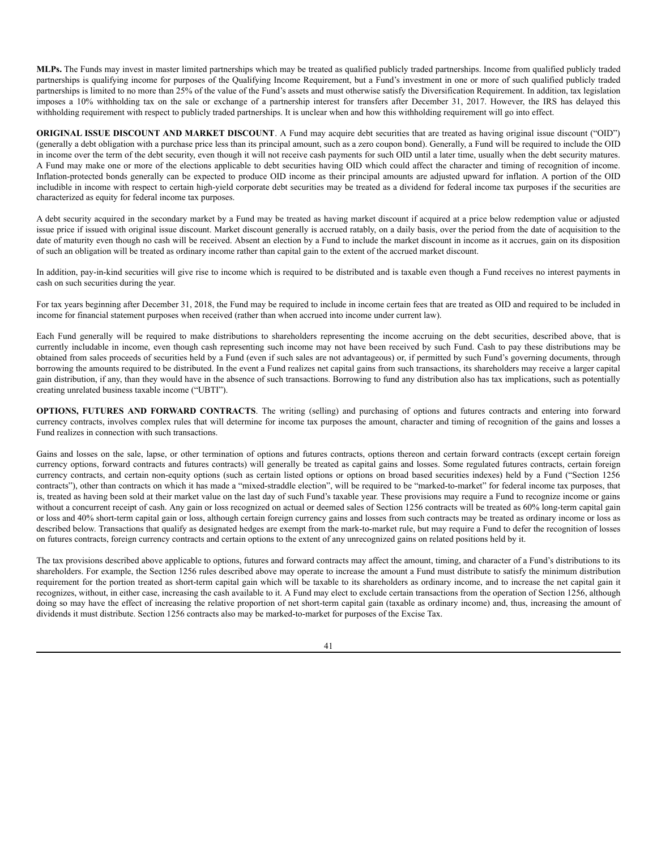**MLPs.** The Funds may invest in master limited partnerships which may be treated as qualified publicly traded partnerships. Income from qualified publicly traded partnerships is qualifying income for purposes of the Qualifying Income Requirement, but a Fund's investment in one or more of such qualified publicly traded partnerships is limited to no more than 25% of the value of the Fund's assets and must otherwise satisfy the Diversification Requirement. In addition, tax legislation imposes a 10% withholding tax on the sale or exchange of a partnership interest for transfers after December 31, 2017. However, the IRS has delayed this withholding requirement with respect to publicly traded partnerships. It is unclear when and how this withholding requirement will go into effect.

**ORIGINAL ISSUE DISCOUNT AND MARKET DISCOUNT**. A Fund may acquire debt securities that are treated as having original issue discount ("OID") (generally a debt obligation with a purchase price less than its principal amount, such as a zero coupon bond). Generally, a Fund will be required to include the OID in income over the term of the debt security, even though it will not receive cash payments for such OID until a later time, usually when the debt security matures. A Fund may make one or more of the elections applicable to debt securities having OID which could affect the character and timing of recognition of income. Inflation-protected bonds generally can be expected to produce OID income as their principal amounts are adjusted upward for inflation. A portion of the OID includible in income with respect to certain high-yield corporate debt securities may be treated as a dividend for federal income tax purposes if the securities are characterized as equity for federal income tax purposes.

A debt security acquired in the secondary market by a Fund may be treated as having market discount if acquired at a price below redemption value or adjusted issue price if issued with original issue discount. Market discount generally is accrued ratably, on a daily basis, over the period from the date of acquisition to the date of maturity even though no cash will be received. Absent an election by a Fund to include the market discount in income as it accrues, gain on its disposition of such an obligation will be treated as ordinary income rather than capital gain to the extent of the accrued market discount.

In addition, pay-in-kind securities will give rise to income which is required to be distributed and is taxable even though a Fund receives no interest payments in cash on such securities during the year.

For tax years beginning after December 31, 2018, the Fund may be required to include in income certain fees that are treated as OID and required to be included in income for financial statement purposes when received (rather than when accrued into income under current law).

Each Fund generally will be required to make distributions to shareholders representing the income accruing on the debt securities, described above, that is currently includable in income, even though cash representing such income may not have been received by such Fund. Cash to pay these distributions may be obtained from sales proceeds of securities held by a Fund (even if such sales are not advantageous) or, if permitted by such Fund's governing documents, through borrowing the amounts required to be distributed. In the event a Fund realizes net capital gains from such transactions, its shareholders may receive a larger capital gain distribution, if any, than they would have in the absence of such transactions. Borrowing to fund any distribution also has tax implications, such as potentially creating unrelated business taxable income ("UBTI").

**OPTIONS, FUTURES AND FORWARD CONTRACTS**. The writing (selling) and purchasing of options and futures contracts and entering into forward currency contracts, involves complex rules that will determine for income tax purposes the amount, character and timing of recognition of the gains and losses a Fund realizes in connection with such transactions.

Gains and losses on the sale, lapse, or other termination of options and futures contracts, options thereon and certain forward contracts (except certain foreign currency options, forward contracts and futures contracts) will generally be treated as capital gains and losses. Some regulated futures contracts, certain foreign currency contracts, and certain non-equity options (such as certain listed options or options on broad based securities indexes) held by a Fund ("Section 1256 contracts"), other than contracts on which it has made a "mixed-straddle election", will be required to be "marked-to-market" for federal income tax purposes, that is, treated as having been sold at their market value on the last day of such Fund's taxable year. These provisions may require a Fund to recognize income or gains without a concurrent receipt of cash. Any gain or loss recognized on actual or deemed sales of Section 1256 contracts will be treated as 60% long-term capital gain or loss and 40% short-term capital gain or loss, although certain foreign currency gains and losses from such contracts may be treated as ordinary income or loss as described below. Transactions that qualify as designated hedges are exempt from the mark-to-market rule, but may require a Fund to defer the recognition of losses on futures contracts, foreign currency contracts and certain options to the extent of any unrecognized gains on related positions held by it.

The tax provisions described above applicable to options, futures and forward contracts may affect the amount, timing, and character of a Fund's distributions to its shareholders. For example, the Section 1256 rules described above may operate to increase the amount a Fund must distribute to satisfy the minimum distribution requirement for the portion treated as short-term capital gain which will be taxable to its shareholders as ordinary income, and to increase the net capital gain it recognizes, without, in either case, increasing the cash available to it. A Fund may elect to exclude certain transactions from the operation of Section 1256, although doing so may have the effect of increasing the relative proportion of net short-term capital gain (taxable as ordinary income) and, thus, increasing the amount of dividends it must distribute. Section 1256 contracts also may be marked-to-market for purposes of the Excise Tax.

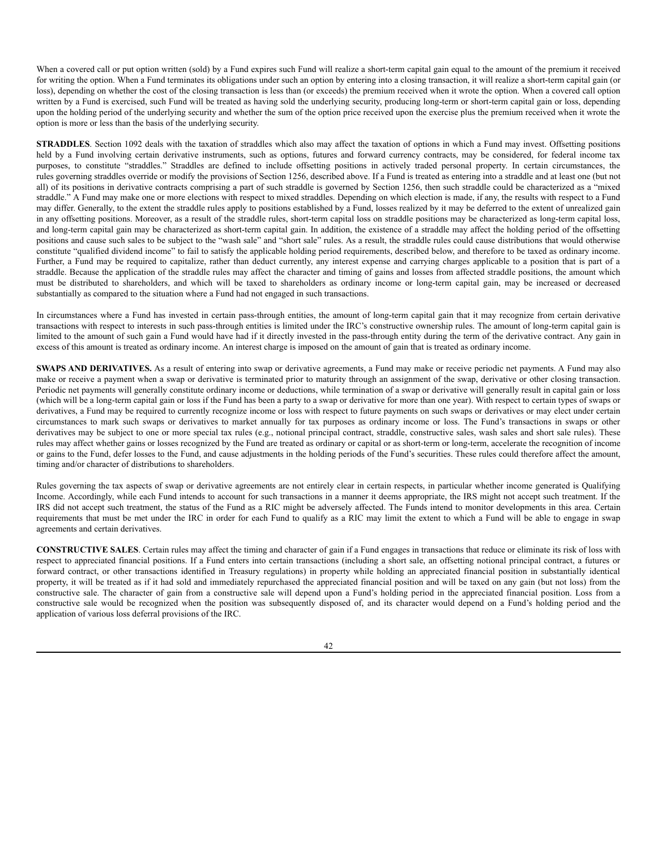When a covered call or put option written (sold) by a Fund expires such Fund will realize a short-term capital gain equal to the amount of the premium it received for writing the option. When a Fund terminates its obligations under such an option by entering into a closing transaction, it will realize a short-term capital gain (or loss), depending on whether the cost of the closing transaction is less than (or exceeds) the premium received when it wrote the option. When a covered call option written by a Fund is exercised, such Fund will be treated as having sold the underlying security, producing long-term or short-term capital gain or loss, depending upon the holding period of the underlying security and whether the sum of the option price received upon the exercise plus the premium received when it wrote the option is more or less than the basis of the underlying security.

**STRADDLES**. Section 1092 deals with the taxation of straddles which also may affect the taxation of options in which a Fund may invest. Offsetting positions held by a Fund involving certain derivative instruments, such as options, futures and forward currency contracts, may be considered, for federal income tax purposes, to constitute "straddles." Straddles are defined to include offsetting positions in actively traded personal property. In certain circumstances, the rules governing straddles override or modify the provisions of Section 1256, described above. If a Fund is treated as entering into a straddle and at least one (but not all) of its positions in derivative contracts comprising a part of such straddle is governed by Section 1256, then such straddle could be characterized as a "mixed straddle." A Fund may make one or more elections with respect to mixed straddles. Depending on which election is made, if any, the results with respect to a Fund may differ. Generally, to the extent the straddle rules apply to positions established by a Fund, losses realized by it may be deferred to the extent of unrealized gain in any offsetting positions. Moreover, as a result of the straddle rules, short-term capital loss on straddle positions may be characterized as long-term capital loss, and long-term capital gain may be characterized as short-term capital gain. In addition, the existence of a straddle may affect the holding period of the offsetting positions and cause such sales to be subject to the "wash sale" and "short sale" rules. As a result, the straddle rules could cause distributions that would otherwise constitute "qualified dividend income" to fail to satisfy the applicable holding period requirements, described below, and therefore to be taxed as ordinary income. Further, a Fund may be required to capitalize, rather than deduct currently, any interest expense and carrying charges applicable to a position that is part of a straddle. Because the application of the straddle rules may affect the character and timing of gains and losses from affected straddle positions, the amount which must be distributed to shareholders, and which will be taxed to shareholders as ordinary income or long-term capital gain, may be increased or decreased substantially as compared to the situation where a Fund had not engaged in such transactions.

In circumstances where a Fund has invested in certain pass-through entities, the amount of long-term capital gain that it may recognize from certain derivative transactions with respect to interests in such pass-through entities is limited under the IRC's constructive ownership rules. The amount of long-term capital gain is limited to the amount of such gain a Fund would have had if it directly invested in the pass-through entity during the term of the derivative contract. Any gain in excess of this amount is treated as ordinary income. An interest charge is imposed on the amount of gain that is treated as ordinary income.

**SWAPS AND DERIVATIVES.** As a result of entering into swap or derivative agreements, a Fund may make or receive periodic net payments. A Fund may also make or receive a payment when a swap or derivative is terminated prior to maturity through an assignment of the swap, derivative or other closing transaction. Periodic net payments will generally constitute ordinary income or deductions, while termination of a swap or derivative will generally result in capital gain or loss (which will be a long-term capital gain or loss if the Fund has been a party to a swap or derivative for more than one year). With respect to certain types of swaps or derivatives, a Fund may be required to currently recognize income or loss with respect to future payments on such swaps or derivatives or may elect under certain circumstances to mark such swaps or derivatives to market annually for tax purposes as ordinary income or loss. The Fund's transactions in swaps or other derivatives may be subject to one or more special tax rules (e.g., notional principal contract, straddle, constructive sales, wash sales and short sale rules). These rules may affect whether gains or losses recognized by the Fund are treated as ordinary or capital or as short-term or long-term, accelerate the recognition of income or gains to the Fund, defer losses to the Fund, and cause adjustments in the holding periods of the Fund's securities. These rules could therefore affect the amount, timing and/or character of distributions to shareholders.

Rules governing the tax aspects of swap or derivative agreements are not entirely clear in certain respects, in particular whether income generated is Qualifying Income. Accordingly, while each Fund intends to account for such transactions in a manner it deems appropriate, the IRS might not accept such treatment. If the IRS did not accept such treatment, the status of the Fund as a RIC might be adversely affected. The Funds intend to monitor developments in this area. Certain requirements that must be met under the IRC in order for each Fund to qualify as a RIC may limit the extent to which a Fund will be able to engage in swap agreements and certain derivatives.

**CONSTRUCTIVE SALES**. Certain rules may affect the timing and character of gain if a Fund engages in transactions that reduce or eliminate its risk of loss with respect to appreciated financial positions. If a Fund enters into certain transactions (including a short sale, an offsetting notional principal contract, a futures or forward contract, or other transactions identified in Treasury regulations) in property while holding an appreciated financial position in substantially identical property, it will be treated as if it had sold and immediately repurchased the appreciated financial position and will be taxed on any gain (but not loss) from the constructive sale. The character of gain from a constructive sale will depend upon a Fund's holding period in the appreciated financial position. Loss from a constructive sale would be recognized when the position was subsequently disposed of, and its character would depend on a Fund's holding period and the application of various loss deferral provisions of the IRC.

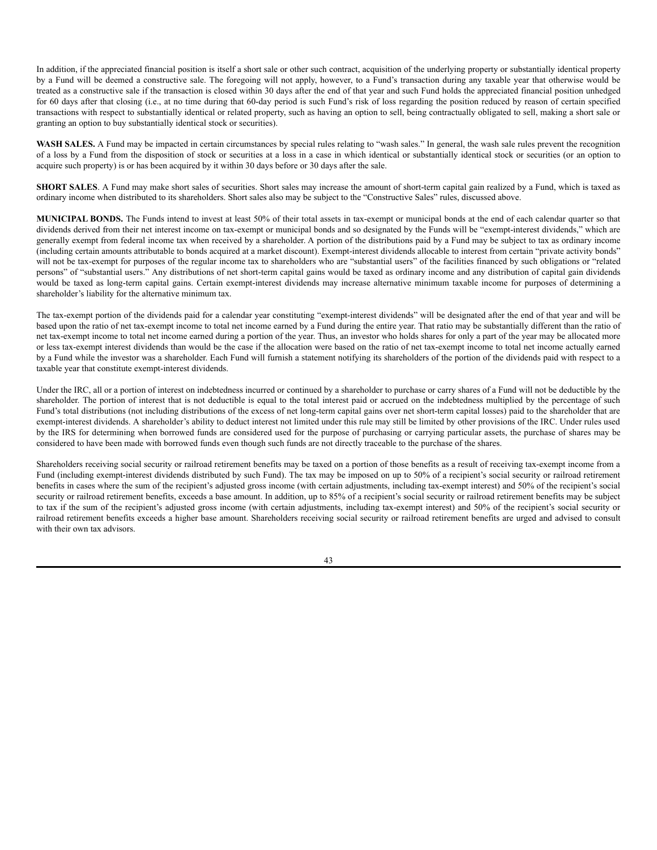In addition, if the appreciated financial position is itself a short sale or other such contract, acquisition of the underlying property or substantially identical property by a Fund will be deemed a constructive sale. The foregoing will not apply, however, to a Fund's transaction during any taxable year that otherwise would be treated as a constructive sale if the transaction is closed within 30 days after the end of that year and such Fund holds the appreciated financial position unhedged for 60 days after that closing (i.e., at no time during that 60-day period is such Fund's risk of loss regarding the position reduced by reason of certain specified transactions with respect to substantially identical or related property, such as having an option to sell, being contractually obligated to sell, making a short sale or granting an option to buy substantially identical stock or securities).

WASH SALES. A Fund may be impacted in certain circumstances by special rules relating to "wash sales." In general, the wash sale rules prevent the recognition of a loss by a Fund from the disposition of stock or securities at a loss in a case in which identical or substantially identical stock or securities (or an option to acquire such property) is or has been acquired by it within 30 days before or 30 days after the sale.

**SHORT SALES**. A Fund may make short sales of securities. Short sales may increase the amount of short-term capital gain realized by a Fund, which is taxed as ordinary income when distributed to its shareholders. Short sales also may be subject to the "Constructive Sales" rules, discussed above.

**MUNICIPAL BONDS.** The Funds intend to invest at least 50% of their total assets in tax-exempt or municipal bonds at the end of each calendar quarter so that dividends derived from their net interest income on tax-exempt or municipal bonds and so designated by the Funds will be "exempt-interest dividends," which are generally exempt from federal income tax when received by a shareholder. A portion of the distributions paid by a Fund may be subject to tax as ordinary income (including certain amounts attributable to bonds acquired at a market discount). Exempt-interest dividends allocable to interest from certain "private activity bonds" will not be tax-exempt for purposes of the regular income tax to shareholders who are "substantial users" of the facilities financed by such obligations or "related persons" of "substantial users." Any distributions of net short-term capital gains would be taxed as ordinary income and any distribution of capital gain dividends would be taxed as long-term capital gains. Certain exempt-interest dividends may increase alternative minimum taxable income for purposes of determining a shareholder's liability for the alternative minimum tax.

The tax-exempt portion of the dividends paid for a calendar year constituting "exempt-interest dividends" will be designated after the end of that year and will be based upon the ratio of net tax-exempt income to total net income earned by a Fund during the entire year. That ratio may be substantially different than the ratio of net tax-exempt income to total net income earned during a portion of the year. Thus, an investor who holds shares for only a part of the year may be allocated more or less tax-exempt interest dividends than would be the case if the allocation were based on the ratio of net tax-exempt income to total net income actually earned by a Fund while the investor was a shareholder. Each Fund will furnish a statement notifying its shareholders of the portion of the dividends paid with respect to a taxable year that constitute exempt-interest dividends.

Under the IRC, all or a portion of interest on indebtedness incurred or continued by a shareholder to purchase or carry shares of a Fund will not be deductible by the shareholder. The portion of interest that is not deductible is equal to the total interest paid or accrued on the indebtedness multiplied by the percentage of such Fund's total distributions (not including distributions of the excess of net long-term capital gains over net short-term capital losses) paid to the shareholder that are exempt-interest dividends. A shareholder's ability to deduct interest not limited under this rule may still be limited by other provisions of the IRC. Under rules used by the IRS for determining when borrowed funds are considered used for the purpose of purchasing or carrying particular assets, the purchase of shares may be considered to have been made with borrowed funds even though such funds are not directly traceable to the purchase of the shares.

Shareholders receiving social security or railroad retirement benefits may be taxed on a portion of those benefits as a result of receiving tax-exempt income from a Fund (including exempt-interest dividends distributed by such Fund). The tax may be imposed on up to 50% of a recipient's social security or railroad retirement benefits in cases where the sum of the recipient's adjusted gross income (with certain adjustments, including tax-exempt interest) and 50% of the recipient's social security or railroad retirement benefits, exceeds a base amount. In addition, up to 85% of a recipient's social security or railroad retirement benefits may be subject to tax if the sum of the recipient's adjusted gross income (with certain adjustments, including tax-exempt interest) and 50% of the recipient's social security or railroad retirement benefits exceeds a higher base amount. Shareholders receiving social security or railroad retirement benefits are urged and advised to consult with their own tax advisors.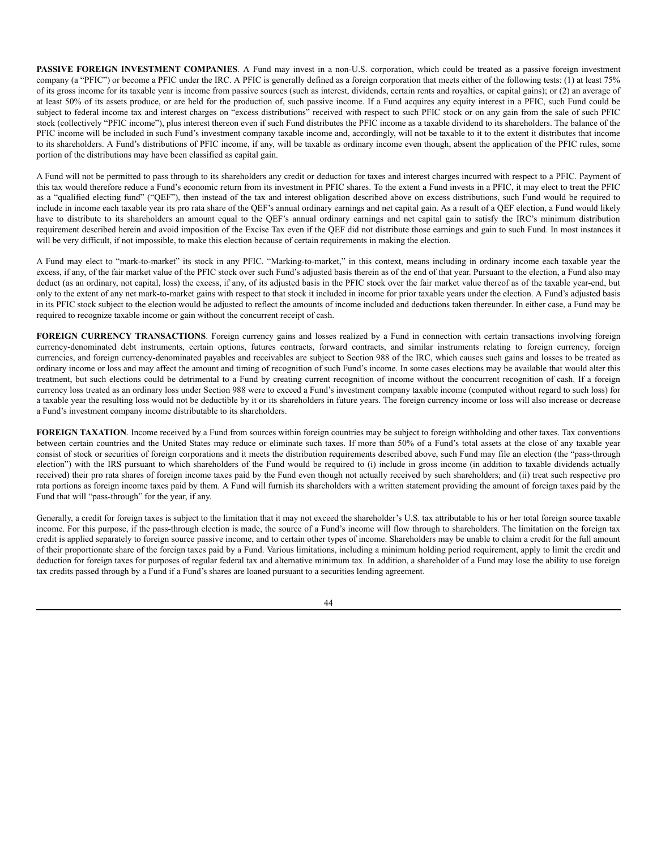**PASSIVE FOREIGN INVESTMENT COMPANIES**. A Fund may invest in a non-U.S. corporation, which could be treated as a passive foreign investment company (a "PFIC") or become a PFIC under the IRC. A PFIC is generally defined as a foreign corporation that meets either of the following tests: (1) at least 75% of its gross income for its taxable year is income from passive sources (such as interest, dividends, certain rents and royalties, or capital gains); or (2) an average of at least 50% of its assets produce, or are held for the production of, such passive income. If a Fund acquires any equity interest in a PFIC, such Fund could be subject to federal income tax and interest charges on "excess distributions" received with respect to such PFIC stock or on any gain from the sale of such PFIC stock (collectively "PFIC income"), plus interest thereon even if such Fund distributes the PFIC income as a taxable dividend to its shareholders. The balance of the PFIC income will be included in such Fund's investment company taxable income and, accordingly, will not be taxable to it to the extent it distributes that income to its shareholders. A Fund's distributions of PFIC income, if any, will be taxable as ordinary income even though, absent the application of the PFIC rules, some portion of the distributions may have been classified as capital gain.

A Fund will not be permitted to pass through to its shareholders any credit or deduction for taxes and interest charges incurred with respect to a PFIC. Payment of this tax would therefore reduce a Fund's economic return from its investment in PFIC shares. To the extent a Fund invests in a PFIC, it may elect to treat the PFIC as a "qualified electing fund" ("QEF"), then instead of the tax and interest obligation described above on excess distributions, such Fund would be required to include in income each taxable year its pro rata share of the QEF's annual ordinary earnings and net capital gain. As a result of a QEF election, a Fund would likely have to distribute to its shareholders an amount equal to the QEF's annual ordinary earnings and net capital gain to satisfy the IRC's minimum distribution requirement described herein and avoid imposition of the Excise Tax even if the OEF did not distribute those earnings and gain to such Fund. In most instances it will be very difficult, if not impossible, to make this election because of certain requirements in making the election.

A Fund may elect to "mark-to-market" its stock in any PFIC. "Marking-to-market," in this context, means including in ordinary income each taxable year the excess, if any, of the fair market value of the PFIC stock over such Fund's adjusted basis therein as of the end of that year. Pursuant to the election, a Fund also may deduct (as an ordinary, not capital, loss) the excess, if any, of its adjusted basis in the PFIC stock over the fair market value thereof as of the taxable year-end, but only to the extent of any net mark-to-market gains with respect to that stock it included in income for prior taxable years under the election. A Fund's adjusted basis in its PFIC stock subject to the election would be adjusted to reflect the amounts of income included and deductions taken thereunder. In either case, a Fund may be required to recognize taxable income or gain without the concurrent receipt of cash.

**FOREIGN CURRENCY TRANSACTIONS**. Foreign currency gains and losses realized by a Fund in connection with certain transactions involving foreign currency-denominated debt instruments, certain options, futures contracts, forward contracts, and similar instruments relating to foreign currency, foreign currencies, and foreign currency-denominated payables and receivables are subject to Section 988 of the IRC, which causes such gains and losses to be treated as ordinary income or loss and may affect the amount and timing of recognition of such Fund's income. In some cases elections may be available that would alter this treatment, but such elections could be detrimental to a Fund by creating current recognition of income without the concurrent recognition of cash. If a foreign currency loss treated as an ordinary loss under Section 988 were to exceed a Fund's investment company taxable income (computed without regard to such loss) for a taxable year the resulting loss would not be deductible by it or its shareholders in future years. The foreign currency income or loss will also increase or decrease a Fund's investment company income distributable to its shareholders.

**FOREIGN TAXATION**. Income received by a Fund from sources within foreign countries may be subject to foreign withholding and other taxes. Tax conventions between certain countries and the United States may reduce or eliminate such taxes. If more than 50% of a Fund's total assets at the close of any taxable year consist of stock or securities of foreign corporations and it meets the distribution requirements described above, such Fund may file an election (the "pass-through election") with the IRS pursuant to which shareholders of the Fund would be required to (i) include in gross income (in addition to taxable dividends actually received) their pro rata shares of foreign income taxes paid by the Fund even though not actually received by such shareholders; and (ii) treat such respective pro rata portions as foreign income taxes paid by them. A Fund will furnish its shareholders with a written statement providing the amount of foreign taxes paid by the Fund that will "pass-through" for the year, if any.

Generally, a credit for foreign taxes is subject to the limitation that it may not exceed the shareholder's U.S. tax attributable to his or her total foreign source taxable income. For this purpose, if the pass-through election is made, the source of a Fund's income will flow through to shareholders. The limitation on the foreign tax credit is applied separately to foreign source passive income, and to certain other types of income. Shareholders may be unable to claim a credit for the full amount of their proportionate share of the foreign taxes paid by a Fund. Various limitations, including a minimum holding period requirement, apply to limit the credit and deduction for foreign taxes for purposes of regular federal tax and alternative minimum tax. In addition, a shareholder of a Fund may lose the ability to use foreign tax credits passed through by a Fund if a Fund's shares are loaned pursuant to a securities lending agreement.

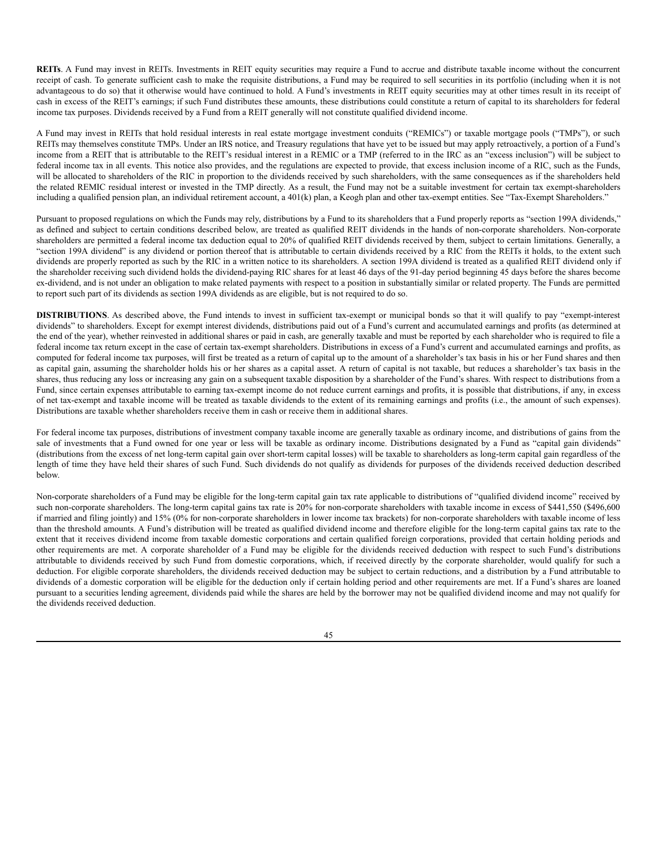**REITs**. A Fund may invest in REITs. Investments in REIT equity securities may require a Fund to accrue and distribute taxable income without the concurrent receipt of cash. To generate sufficient cash to make the requisite distributions, a Fund may be required to sell securities in its portfolio (including when it is not advantageous to do so) that it otherwise would have continued to hold. A Fund's investments in REIT equity securities may at other times result in its receipt of cash in excess of the REIT's earnings; if such Fund distributes these amounts, these distributions could constitute a return of capital to its shareholders for federal income tax purposes. Dividends received by a Fund from a REIT generally will not constitute qualified dividend income.

A Fund may invest in REITs that hold residual interests in real estate mortgage investment conduits ("REMICs") or taxable mortgage pools ("TMPs"), or such REITs may themselves constitute TMPs. Under an IRS notice, and Treasury regulations that have yet to be issued but may apply retroactively, a portion of a Fund's income from a REIT that is attributable to the REIT's residual interest in a REMIC or a TMP (referred to in the IRC as an "excess inclusion") will be subject to federal income tax in all events. This notice also provides, and the regulations are expected to provide, that excess inclusion income of a RIC, such as the Funds, will be allocated to shareholders of the RIC in proportion to the dividends received by such shareholders, with the same consequences as if the shareholders held the related REMIC residual interest or invested in the TMP directly. As a result, the Fund may not be a suitable investment for certain tax exempt-shareholders including a qualified pension plan, an individual retirement account, a 401(k) plan, a Keogh plan and other tax-exempt entities. See "Tax-Exempt Shareholders."

Pursuant to proposed regulations on which the Funds may rely, distributions by a Fund to its shareholders that a Fund properly reports as "section 199A dividends," as defined and subject to certain conditions described below, are treated as qualified REIT dividends in the hands of non-corporate shareholders. Non-corporate shareholders are permitted a federal income tax deduction equal to 20% of qualified REIT dividends received by them, subject to certain limitations. Generally, a "section 199A dividend" is any dividend or portion thereof that is attributable to certain dividends received by a RIC from the REITs it holds, to the extent such dividends are properly reported as such by the RIC in a written notice to its shareholders. A section 199A dividend is treated as a qualified REIT dividend only if the shareholder receiving such dividend holds the dividend-paying RIC shares for at least 46 days of the 91-day period beginning 45 days before the shares become ex-dividend, and is not under an obligation to make related payments with respect to a position in substantially similar or related property. The Funds are permitted to report such part of its dividends as section 199A dividends as are eligible, but is not required to do so.

**DISTRIBUTIONS**. As described above, the Fund intends to invest in sufficient tax-exempt or municipal bonds so that it will qualify to pay "exempt-interest dividends" to shareholders. Except for exempt interest dividends, distributions paid out of a Fund's current and accumulated earnings and profits (as determined at the end of the year), whether reinvested in additional shares or paid in cash, are generally taxable and must be reported by each shareholder who is required to file a federal income tax return except in the case of certain tax-exempt shareholders. Distributions in excess of a Fund's current and accumulated earnings and profits, as computed for federal income tax purposes, will first be treated as a return of capital up to the amount of a shareholder's tax basis in his or her Fund shares and then as capital gain, assuming the shareholder holds his or her shares as a capital asset. A return of capital is not taxable, but reduces a shareholder's tax basis in the shares, thus reducing any loss or increasing any gain on a subsequent taxable disposition by a shareholder of the Fund's shares. With respect to distributions from a Fund, since certain expenses attributable to earning tax-exempt income do not reduce current earnings and profits, it is possible that distributions, if any, in excess of net tax-exempt and taxable income will be treated as taxable dividends to the extent of its remaining earnings and profits (i.e., the amount of such expenses). Distributions are taxable whether shareholders receive them in cash or receive them in additional shares.

For federal income tax purposes, distributions of investment company taxable income are generally taxable as ordinary income, and distributions of gains from the sale of investments that a Fund owned for one year or less will be taxable as ordinary income. Distributions designated by a Fund as "capital gain dividends" (distributions from the excess of net long-term capital gain over short-term capital losses) will be taxable to shareholders as long-term capital gain regardless of the length of time they have held their shares of such Fund. Such dividends do not qualify as dividends for purposes of the dividends received deduction described below.

Non-corporate shareholders of a Fund may be eligible for the long-term capital gain tax rate applicable to distributions of "qualified dividend income" received by such non-corporate shareholders. The long-term capital gains tax rate is 20% for non-corporate shareholders with taxable income in excess of \$441,550 (\$496,600 if married and filing jointly) and 15% (0% for non-corporate shareholders in lower income tax brackets) for non-corporate shareholders with taxable income of less than the threshold amounts. A Fund's distribution will be treated as qualified dividend income and therefore eligible for the long-term capital gains tax rate to the extent that it receives dividend income from taxable domestic corporations and certain qualified foreign corporations, provided that certain holding periods and other requirements are met. A corporate shareholder of a Fund may be eligible for the dividends received deduction with respect to such Fund's distributions attributable to dividends received by such Fund from domestic corporations, which, if received directly by the corporate shareholder, would qualify for such a deduction. For eligible corporate shareholders, the dividends received deduction may be subject to certain reductions, and a distribution by a Fund attributable to dividends of a domestic corporation will be eligible for the deduction only if certain holding period and other requirements are met. If a Fund's shares are loaned pursuant to a securities lending agreement, dividends paid while the shares are held by the borrower may not be qualified dividend income and may not qualify for the dividends received deduction.

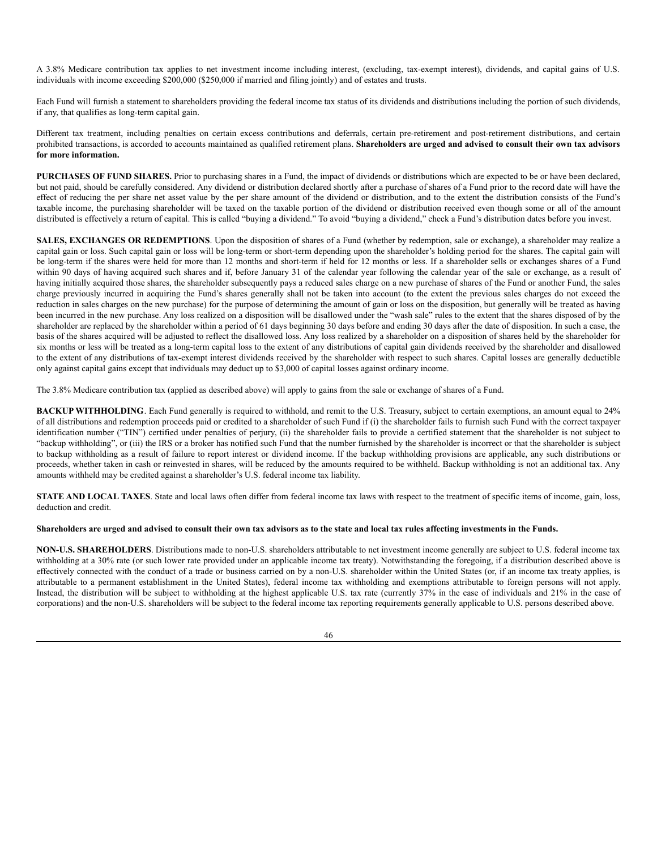A 3.8% Medicare contribution tax applies to net investment income including interest, (excluding, tax-exempt interest), dividends, and capital gains of U.S. individuals with income exceeding \$200,000 (\$250,000 if married and filing jointly) and of estates and trusts.

Each Fund will furnish a statement to shareholders providing the federal income tax status of its dividends and distributions including the portion of such dividends, if any, that qualifies as long-term capital gain.

Different tax treatment, including penalties on certain excess contributions and deferrals, certain pre-retirement and post-retirement distributions, and certain prohibited transactions, is accorded to accounts maintained as qualified retirement plans. Shareholders are urged and advised to consult their own tax advisors **for more information.**

**PURCHASES OF FUND SHARES.** Prior to purchasing shares in a Fund, the impact of dividends or distributions which are expected to be or have been declared, but not paid, should be carefully considered. Any dividend or distribution declared shortly after a purchase of shares of a Fund prior to the record date will have the effect of reducing the per share net asset value by the per share amount of the dividend or distribution, and to the extent the distribution consists of the Fund's taxable income, the purchasing shareholder will be taxed on the taxable portion of the dividend or distribution received even though some or all of the amount distributed is effectively a return of capital. This is called "buying a dividend." To avoid "buying a dividend," check a Fund's distribution dates before you invest.

**SALES, EXCHANGES OR REDEMPTIONS**. Upon the disposition of shares of a Fund (whether by redemption, sale or exchange), a shareholder may realize a capital gain or loss. Such capital gain or loss will be long-term or short-term depending upon the shareholder's holding period for the shares. The capital gain will be long-term if the shares were held for more than 12 months and short-term if held for 12 months or less. If a shareholder sells or exchanges shares of a Fund within 90 days of having acquired such shares and if, before January 31 of the calendar year following the calendar year of the sale or exchange, as a result of having initially acquired those shares, the shareholder subsequently pays a reduced sales charge on a new purchase of shares of the Fund or another Fund, the sales charge previously incurred in acquiring the Fund's shares generally shall not be taken into account (to the extent the previous sales charges do not exceed the reduction in sales charges on the new purchase) for the purpose of determining the amount of gain or loss on the disposition, but generally will be treated as having been incurred in the new purchase. Any loss realized on a disposition will be disallowed under the "wash sale" rules to the extent that the shares disposed of by the shareholder are replaced by the shareholder within a period of 61 days beginning 30 days before and ending 30 days after the date of disposition. In such a case, the basis of the shares acquired will be adjusted to reflect the disallowed loss. Any loss realized by a shareholder on a disposition of shares held by the shareholder for six months or less will be treated as a long-term capital loss to the extent of any distributions of capital gain dividends received by the shareholder and disallowed to the extent of any distributions of tax-exempt interest dividends received by the shareholder with respect to such shares. Capital losses are generally deductible only against capital gains except that individuals may deduct up to \$3,000 of capital losses against ordinary income.

The 3.8% Medicare contribution tax (applied as described above) will apply to gains from the sale or exchange of shares of a Fund.

**BACKUP WITHHOLDING**. Each Fund generally is required to withhold, and remit to the U.S. Treasury, subject to certain exemptions, an amount equal to 24% of all distributions and redemption proceeds paid or credited to a shareholder of such Fund if (i) the shareholder fails to furnish such Fund with the correct taxpayer identification number ("TIN") certified under penalties of perjury, (ii) the shareholder fails to provide a certified statement that the shareholder is not subject to "backup withholding", or (iii) the IRS or a broker has notified such Fund that the number furnished by the shareholder is incorrect or that the shareholder is subject to backup withholding as a result of failure to report interest or dividend income. If the backup withholding provisions are applicable, any such distributions or proceeds, whether taken in cash or reinvested in shares, will be reduced by the amounts required to be withheld. Backup withholding is not an additional tax. Any amounts withheld may be credited against a shareholder's U.S. federal income tax liability.

**STATE AND LOCAL TAXES**. State and local laws often differ from federal income tax laws with respect to the treatment of specific items of income, gain, loss, deduction and credit.

# Shareholders are urged and advised to consult their own tax advisors as to the state and local tax rules affecting investments in the Funds.

**NON-U.S. SHAREHOLDERS**. Distributions made to non-U.S. shareholders attributable to net investment income generally are subject to U.S. federal income tax withholding at a 30% rate (or such lower rate provided under an applicable income tax treaty). Notwithstanding the foregoing, if a distribution described above is effectively connected with the conduct of a trade or business carried on by a non-U.S. shareholder within the United States (or, if an income tax treaty applies, is attributable to a permanent establishment in the United States), federal income tax withholding and exemptions attributable to foreign persons will not apply. Instead, the distribution will be subject to withholding at the highest applicable U.S. tax rate (currently 37% in the case of individuals and 21% in the case of corporations) and the non-U.S. shareholders will be subject to the federal income tax reporting requirements generally applicable to U.S. persons described above.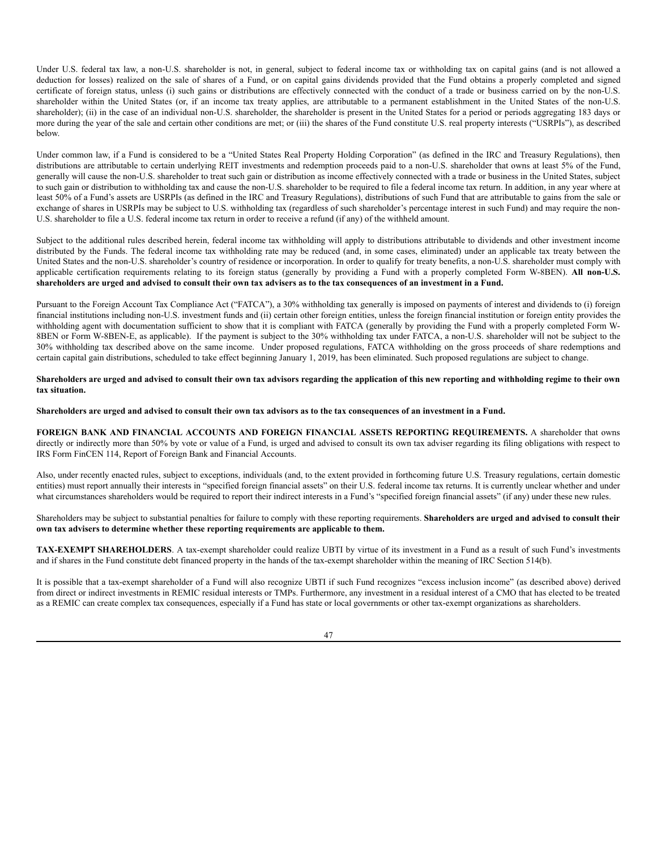Under U.S. federal tax law, a non-U.S. shareholder is not, in general, subject to federal income tax or withholding tax on capital gains (and is not allowed a deduction for losses) realized on the sale of shares of a Fund, or on capital gains dividends provided that the Fund obtains a properly completed and signed certificate of foreign status, unless (i) such gains or distributions are effectively connected with the conduct of a trade or business carried on by the non-U.S. shareholder within the United States (or, if an income tax treaty applies, are attributable to a permanent establishment in the United States of the non-U.S. shareholder); (ii) in the case of an individual non-U.S. shareholder, the shareholder is present in the United States for a period or periods aggregating 183 days or more during the year of the sale and certain other conditions are met; or (iii) the shares of the Fund constitute U.S. real property interests ("USRPIs"), as described below.

Under common law, if a Fund is considered to be a "United States Real Property Holding Corporation" (as defined in the IRC and Treasury Regulations), then distributions are attributable to certain underlying REIT investments and redemption proceeds paid to a non-U.S. shareholder that owns at least 5% of the Fund, generally will cause the non-U.S. shareholder to treat such gain or distribution as income effectively connected with a trade or business in the United States, subject to such gain or distribution to withholding tax and cause the non-U.S. shareholder to be required to file a federal income tax return. In addition, in any year where at least 50% of a Fund's assets are USRPIs (as defined in the IRC and Treasury Regulations), distributions of such Fund that are attributable to gains from the sale or exchange of shares in USRPIs may be subject to U.S. withholding tax (regardless of such shareholder's percentage interest in such Fund) and may require the non-U.S. shareholder to file a U.S. federal income tax return in order to receive a refund (if any) of the withheld amount.

Subject to the additional rules described herein, federal income tax withholding will apply to distributions attributable to dividends and other investment income distributed by the Funds. The federal income tax withholding rate may be reduced (and, in some cases, eliminated) under an applicable tax treaty between the United States and the non-U.S. shareholder's country of residence or incorporation. In order to qualify for treaty benefits, a non-U.S. shareholder must comply with applicable certification requirements relating to its foreign status (generally by providing a Fund with a properly completed Form W-8BEN). **All non-U.S.** shareholders are urged and advised to consult their own tax advisers as to the tax consequences of an investment in a Fund.

Pursuant to the Foreign Account Tax Compliance Act ("FATCA"), a 30% withholding tax generally is imposed on payments of interest and dividends to (i) foreign financial institutions including non-U.S. investment funds and (ii) certain other foreign entities, unless the foreign financial institution or foreign entity provides the withholding agent with documentation sufficient to show that it is compliant with FATCA (generally by providing the Fund with a properly completed Form W-8BEN or Form W-8BEN-E, as applicable). If the payment is subject to the 30% withholding tax under FATCA, a non-U.S. shareholder will not be subject to the 30% withholding tax described above on the same income. Under proposed regulations, FATCA withholding on the gross proceeds of share redemptions and certain capital gain distributions, scheduled to take effect beginning January 1, 2019, has been eliminated. Such proposed regulations are subject to change.

### Shareholders are urged and advised to consult their own tax advisors regarding the application of this new reporting and withholding regime to their own **tax situation.**

#### Shareholders are urged and advised to consult their own tax advisors as to the tax consequences of an investment in a Fund.

**FOREIGN BANK AND FINANCIAL ACCOUNTS AND FOREIGN FINANCIAL ASSETS REPORTING REQUIREMENTS.** A shareholder that owns directly or indirectly more than 50% by vote or value of a Fund, is urged and advised to consult its own tax adviser regarding its filing obligations with respect to IRS Form FinCEN 114, Report of Foreign Bank and Financial Accounts.

Also, under recently enacted rules, subject to exceptions, individuals (and, to the extent provided in forthcoming future U.S. Treasury regulations, certain domestic entities) must report annually their interests in "specified foreign financial assets" on their U.S. federal income tax returns. It is currently unclear whether and under what circumstances shareholders would be required to report their indirect interests in a Fund's "specified foreign financial assets" (if any) under these new rules.

Shareholders may be subject to substantial penalties for failure to comply with these reporting requirements. **Shareholders are urged and advised to consult their own tax advisers to determine whether these reporting requirements are applicable to them.**

**TAX-EXEMPT SHAREHOLDERS**. A tax-exempt shareholder could realize UBTI by virtue of its investment in a Fund as a result of such Fund's investments and if shares in the Fund constitute debt financed property in the hands of the tax-exempt shareholder within the meaning of IRC Section 514(b).

It is possible that a tax-exempt shareholder of a Fund will also recognize UBTI if such Fund recognizes "excess inclusion income" (as described above) derived from direct or indirect investments in REMIC residual interests or TMPs. Furthermore, any investment in a residual interest of a CMO that has elected to be treated as a REMIC can create complex tax consequences, especially if a Fund has state or local governments or other tax-exempt organizations as shareholders.

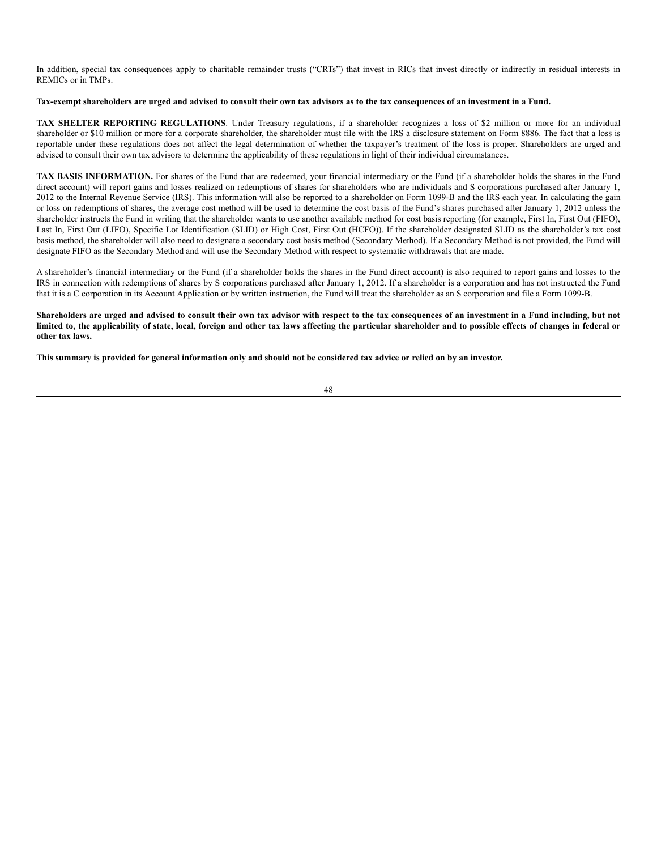In addition, special tax consequences apply to charitable remainder trusts ("CRTs") that invest in RICs that invest directly or indirectly in residual interests in REMICs or in TMPs.

### Tax-exempt shareholders are urged and advised to consult their own tax advisors as to the tax consequences of an investment in a Fund.

**TAX SHELTER REPORTING REGULATIONS**. Under Treasury regulations, if a shareholder recognizes a loss of \$2 million or more for an individual shareholder or \$10 million or more for a corporate shareholder, the shareholder must file with the IRS a disclosure statement on Form 8886. The fact that a loss is reportable under these regulations does not affect the legal determination of whether the taxpayer's treatment of the loss is proper. Shareholders are urged and advised to consult their own tax advisors to determine the applicability of these regulations in light of their individual circumstances.

**TAX BASIS INFORMATION.** For shares of the Fund that are redeemed, your financial intermediary or the Fund (if a shareholder holds the shares in the Fund direct account) will report gains and losses realized on redemptions of shares for shareholders who are individuals and S corporations purchased after January 1, 2012 to the Internal Revenue Service (IRS). This information will also be reported to a shareholder on Form 1099-B and the IRS each year. In calculating the gain or loss on redemptions of shares, the average cost method will be used to determine the cost basis of the Fund's shares purchased after January 1, 2012 unless the shareholder instructs the Fund in writing that the shareholder wants to use another available method for cost basis reporting (for example, First In, First Out (FIFO), Last In, First Out (LIFO), Specific Lot Identification (SLID) or High Cost, First Out (HCFO)). If the shareholder designated SLID as the shareholder's tax cost basis method, the shareholder will also need to designate a secondary cost basis method (Secondary Method). If a Secondary Method is not provided, the Fund will designate FIFO as the Secondary Method and will use the Secondary Method with respect to systematic withdrawals that are made.

A shareholder's financial intermediary or the Fund (if a shareholder holds the shares in the Fund direct account) is also required to report gains and losses to the IRS in connection with redemptions of shares by S corporations purchased after January 1, 2012. If a shareholder is a corporation and has not instructed the Fund that it is a C corporation in its Account Application or by written instruction, the Fund will treat the shareholder as an S corporation and file a Form 1099-B.

Shareholders are urged and advised to consult their own tax advisor with respect to the tax consequences of an investment in a Fund including, but not limited to, the applicability of state, local, foreign and other tax laws affecting the particular shareholder and to possible effects of changes in federal or **other tax laws.**

This summary is provided for general information only and should not be considered tax advice or relied on by an investor.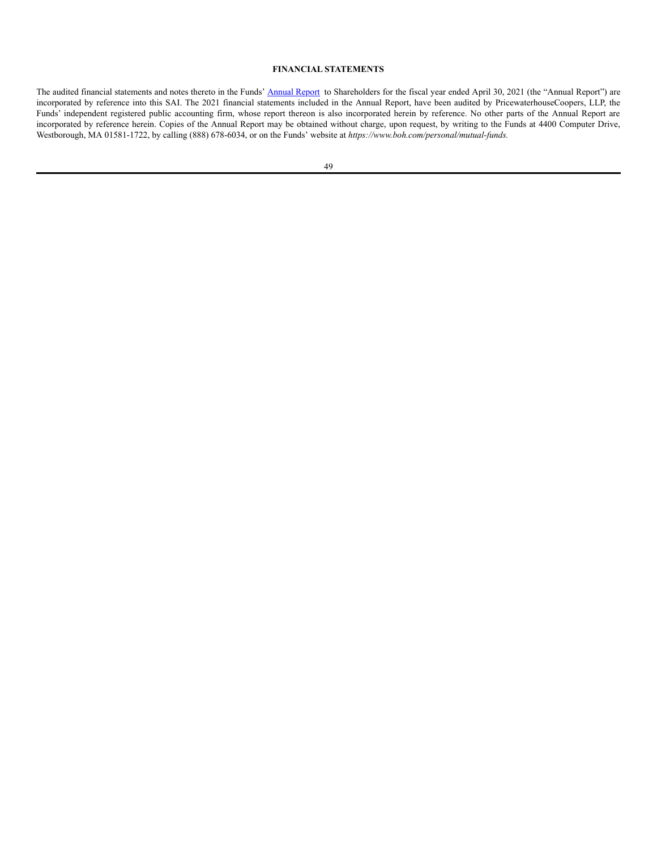# **FINANCIAL STATEMENTS**

<span id="page-50-0"></span>The audited financial statements and notes thereto in the Funds' [Annual](http://www.sec.gov/Archives/edgar/data/0001388485/000119312521205938/d178720dncsr.htm) Report to Shareholders for the fiscal year ended April 30, 2021 (the "Annual Report") are incorporated by reference into this SAI. The 2021 financial statements included in the Annual Report, have been audited by PricewaterhouseCoopers, LLP, the Funds' independent registered public accounting firm, whose report thereon is also incorporated herein by reference. No other parts of the Annual Report are incorporated by reference herein. Copies of the Annual Report may be obtained without charge, upon request, by writing to the Funds at 4400 Computer Drive, Westborough, MA 01581-1722, by calling (888) 678-6034, or on the Funds' website at *https://www.boh.com/personal/mutual-funds.*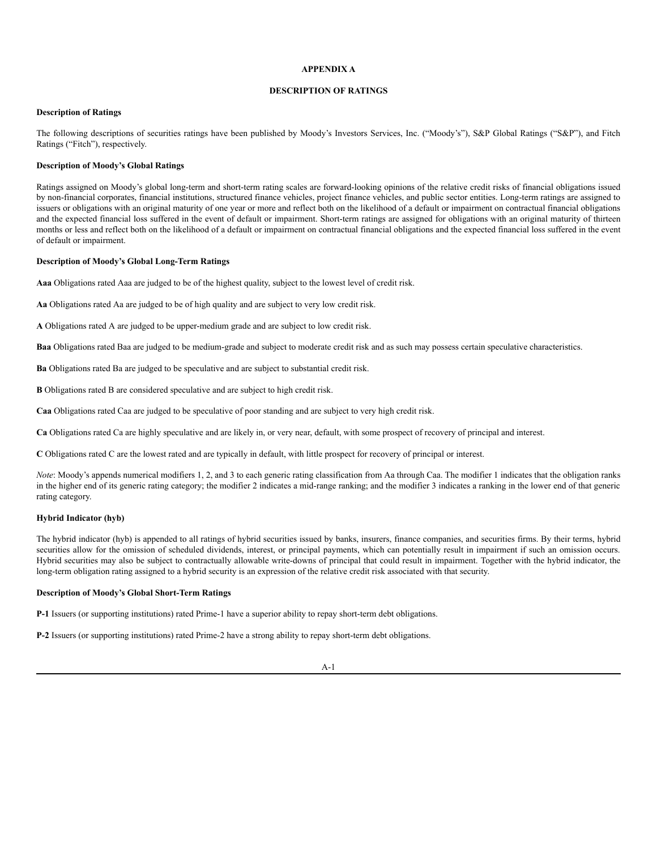### **APPENDIX A**

## **DESCRIPTION OF RATINGS**

### <span id="page-51-0"></span>**Description of Ratings**

The following descriptions of securities ratings have been published by Moody's Investors Services, Inc. ("Moody's"), S&P Global Ratings ("S&P"), and Fitch Ratings ("Fitch"), respectively.

### **Description of Moody's Global Ratings**

Ratings assigned on Moody's global long-term and short-term rating scales are forward-looking opinions of the relative credit risks of financial obligations issued by non-financial corporates, financial institutions, structured finance vehicles, project finance vehicles, and public sector entities. Long-term ratings are assigned to issuers or obligations with an original maturity of one year or more and reflect both on the likelihood of a default or impairment on contractual financial obligations and the expected financial loss suffered in the event of default or impairment. Short-term ratings are assigned for obligations with an original maturity of thirteen months or less and reflect both on the likelihood of a default or impairment on contractual financial obligations and the expected financial loss suffered in the event of default or impairment.

#### **Description of Moody's Global Long-Term Ratings**

**Aaa** Obligations rated Aaa are judged to be of the highest quality, subject to the lowest level of credit risk.

**Aa** Obligations rated Aa are judged to be of high quality and are subject to very low credit risk.

**A** Obligations rated A are judged to be upper-medium grade and are subject to low credit risk.

**Baa** Obligations rated Baa are judged to be medium-grade and subject to moderate credit risk and as such may possess certain speculative characteristics.

**Ba** Obligations rated Ba are judged to be speculative and are subject to substantial credit risk.

**B** Obligations rated B are considered speculative and are subject to high credit risk.

**Caa** Obligations rated Caa are judged to be speculative of poor standing and are subject to very high credit risk.

**Ca** Obligations rated Ca are highly speculative and are likely in, or very near, default, with some prospect of recovery of principal and interest.

**C** Obligations rated C are the lowest rated and are typically in default, with little prospect for recovery of principal or interest.

*Note*: Moody's appends numerical modifiers 1, 2, and 3 to each generic rating classification from Aa through Caa. The modifier 1 indicates that the obligation ranks in the higher end of its generic rating category; the modifier 2 indicates a mid-range ranking; and the modifier 3 indicates a ranking in the lower end of that generic rating category.

### **Hybrid Indicator (hyb)**

The hybrid indicator (hyb) is appended to all ratings of hybrid securities issued by banks, insurers, finance companies, and securities firms. By their terms, hybrid securities allow for the omission of scheduled dividends, interest, or principal payments, which can potentially result in impairment if such an omission occurs. Hybrid securities may also be subject to contractually allowable write-downs of principal that could result in impairment. Together with the hybrid indicator, the long-term obligation rating assigned to a hybrid security is an expression of the relative credit risk associated with that security.

# **Description of Moody's Global Short-Term Ratings**

**P-1** Issuers (or supporting institutions) rated Prime-1 have a superior ability to repay short-term debt obligations.

**P-2** Issuers (or supporting institutions) rated Prime-2 have a strong ability to repay short-term debt obligations.

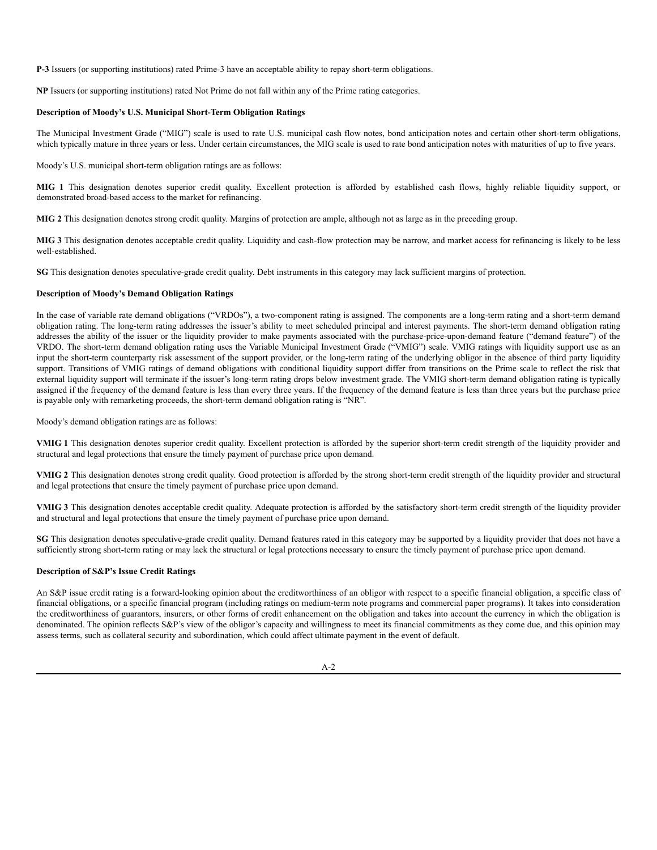**P-3** Issuers (or supporting institutions) rated Prime-3 have an acceptable ability to repay short-term obligations.

**NP** Issuers (or supporting institutions) rated Not Prime do not fall within any of the Prime rating categories.

#### **Description of Moody's U.S. Municipal Short-Term Obligation Ratings**

The Municipal Investment Grade ("MIG") scale is used to rate U.S. municipal cash flow notes, bond anticipation notes and certain other short-term obligations, which typically mature in three years or less. Under certain circumstances, the MIG scale is used to rate bond anticipation notes with maturities of up to five years.

Moody's U.S. municipal short-term obligation ratings are as follows:

**MIG 1** This designation denotes superior credit quality. Excellent protection is afforded by established cash flows, highly reliable liquidity support, or demonstrated broad-based access to the market for refinancing.

**MIG 2** This designation denotes strong credit quality. Margins of protection are ample, although not as large as in the preceding group.

**MIG 3** This designation denotes acceptable credit quality. Liquidity and cash-flow protection may be narrow, and market access for refinancing is likely to be less well-established.

**SG** This designation denotes speculative-grade credit quality. Debt instruments in this category may lack sufficient margins of protection.

#### **Description of Moody's Demand Obligation Ratings**

In the case of variable rate demand obligations ("VRDOs"), a two-component rating is assigned. The components are a long-term rating and a short-term demand obligation rating. The long-term rating addresses the issuer's ability to meet scheduled principal and interest payments. The short-term demand obligation rating addresses the ability of the issuer or the liquidity provider to make payments associated with the purchase-price-upon-demand feature ("demand feature") of the VRDO. The short-term demand obligation rating uses the Variable Municipal Investment Grade ("VMIG") scale. VMIG ratings with liquidity support use as an input the short-term counterparty risk assessment of the support provider, or the long-term rating of the underlying obligor in the absence of third party liquidity support. Transitions of VMIG ratings of demand obligations with conditional liquidity support differ from transitions on the Prime scale to reflect the risk that external liquidity support will terminate if the issuer's long-term rating drops below investment grade. The VMIG short-term demand obligation rating is typically assigned if the frequency of the demand feature is less than every three years. If the frequency of the demand feature is less than three years but the purchase price is payable only with remarketing proceeds, the short-term demand obligation rating is "NR".

Moody's demand obligation ratings are as follows:

**VMIG 1** This designation denotes superior credit quality. Excellent protection is afforded by the superior short-term credit strength of the liquidity provider and structural and legal protections that ensure the timely payment of purchase price upon demand.

**VMIG 2** This designation denotes strong credit quality. Good protection is afforded by the strong short-term credit strength of the liquidity provider and structural and legal protections that ensure the timely payment of purchase price upon demand.

**VMIG 3** This designation denotes acceptable credit quality. Adequate protection is afforded by the satisfactory short-term credit strength of the liquidity provider and structural and legal protections that ensure the timely payment of purchase price upon demand.

**SG** This designation denotes speculative-grade credit quality. Demand features rated in this category may be supported by a liquidity provider that does not have a sufficiently strong short-term rating or may lack the structural or legal protections necessary to ensure the timely payment of purchase price upon demand.

## **Description of S&P's Issue Credit Ratings**

An S&P issue credit rating is a forward-looking opinion about the creditworthiness of an obligor with respect to a specific financial obligation, a specific class of financial obligations, or a specific financial program (including ratings on medium-term note programs and commercial paper programs). It takes into consideration the creditworthiness of guarantors, insurers, or other forms of credit enhancement on the obligation and takes into account the currency in which the obligation is denominated. The opinion reflects S&P's view of the obligor's capacity and willingness to meet its financial commitments as they come due, and this opinion may assess terms, such as collateral security and subordination, which could affect ultimate payment in the event of default.

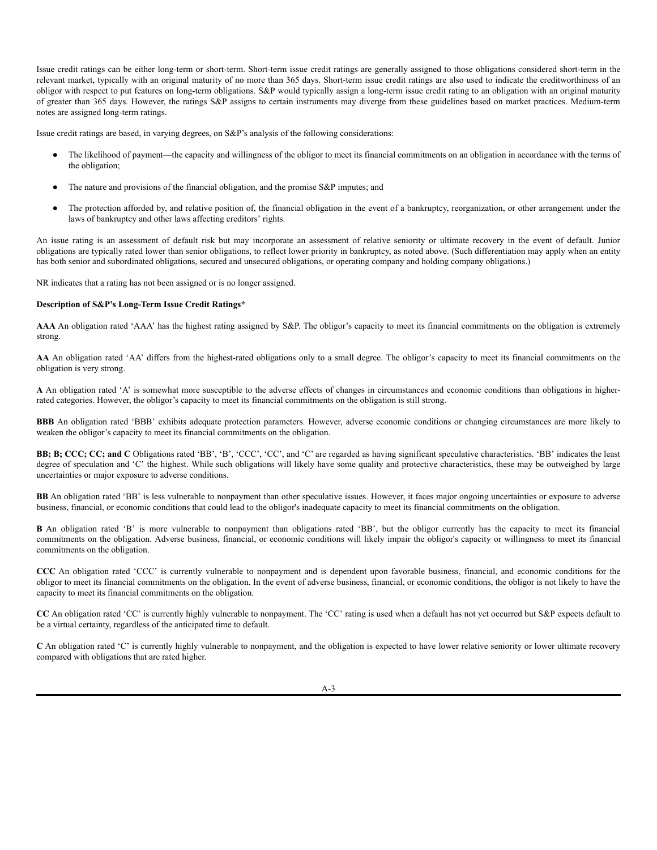Issue credit ratings can be either long-term or short-term. Short-term issue credit ratings are generally assigned to those obligations considered short-term in the relevant market, typically with an original maturity of no more than 365 days. Short-term issue credit ratings are also used to indicate the creditworthiness of an obligor with respect to put features on long-term obligations. S&P would typically assign a long-term issue credit rating to an obligation with an original maturity of greater than 365 days. However, the ratings S&P assigns to certain instruments may diverge from these guidelines based on market practices. Medium-term notes are assigned long-term ratings.

Issue credit ratings are based, in varying degrees, on S&P's analysis of the following considerations:

- The likelihood of payment—the capacity and willingness of the obligor to meet its financial commitments on an obligation in accordance with the terms of the obligation;
- The nature and provisions of the financial obligation, and the promise S&P imputes; and
- The protection afforded by, and relative position of, the financial obligation in the event of a bankruptcy, reorganization, or other arrangement under the laws of bankruptcy and other laws affecting creditors' rights.

An issue rating is an assessment of default risk but may incorporate an assessment of relative seniority or ultimate recovery in the event of default. Junior obligations are typically rated lower than senior obligations, to reflect lower priority in bankruptcy, as noted above. (Such differentiation may apply when an entity has both senior and subordinated obligations, secured and unsecured obligations, or operating company and holding company obligations.)

NR indicates that a rating has not been assigned or is no longer assigned.

# **Description of S&P's Long-Term Issue Credit Ratings\***

AAA An obligation rated 'AAA' has the highest rating assigned by S&P. The obligor's capacity to meet its financial commitments on the obligation is extremely strong.

**AA** An obligation rated 'AA' differs from the highest-rated obligations only to a small degree. The obligor's capacity to meet its financial commitments on the obligation is very strong.

**A** An obligation rated 'A' is somewhat more susceptible to the adverse effects of changes in circumstances and economic conditions than obligations in higherrated categories. However, the obligor's capacity to meet its financial commitments on the obligation is still strong.

**BBB** An obligation rated 'BBB' exhibits adequate protection parameters. However, adverse economic conditions or changing circumstances are more likely to weaken the obligor's capacity to meet its financial commitments on the obligation.

BB; B; CCC; CC; and C Obligations rated 'BB', 'B', 'CCC', 'CC', and 'C' are regarded as having significant speculative characteristics. 'BB' indicates the least degree of speculation and 'C' the highest. While such obligations will likely have some quality and protective characteristics, these may be outweighed by large uncertainties or major exposure to adverse conditions.

BB An obligation rated 'BB' is less vulnerable to nonpayment than other speculative issues. However, it faces major ongoing uncertainties or exposure to adverse business, financial, or economic conditions that could lead to the obligor's inadequate capacity to meet its financial commitments on the obligation.

**B** An obligation rated 'B' is more vulnerable to nonpayment than obligations rated 'BB', but the obligor currently has the capacity to meet its financial commitments on the obligation. Adverse business, financial, or economic conditions will likely impair the obligor's capacity or willingness to meet its financial commitments on the obligation.

**CCC** An obligation rated 'CCC' is currently vulnerable to nonpayment and is dependent upon favorable business, financial, and economic conditions for the obligor to meet its financial commitments on the obligation. In the event of adverse business, financial, or economic conditions, the obligor is not likely to have the capacity to meet its financial commitments on the obligation.

**CC** An obligation rated 'CC' is currently highly vulnerable to nonpayment. The 'CC' rating is used when a default has not yet occurred but S&P expects default to be a virtual certainty, regardless of the anticipated time to default.

**C** An obligation rated 'C' is currently highly vulnerable to nonpayment, and the obligation is expected to have lower relative seniority or lower ultimate recovery compared with obligations that are rated higher.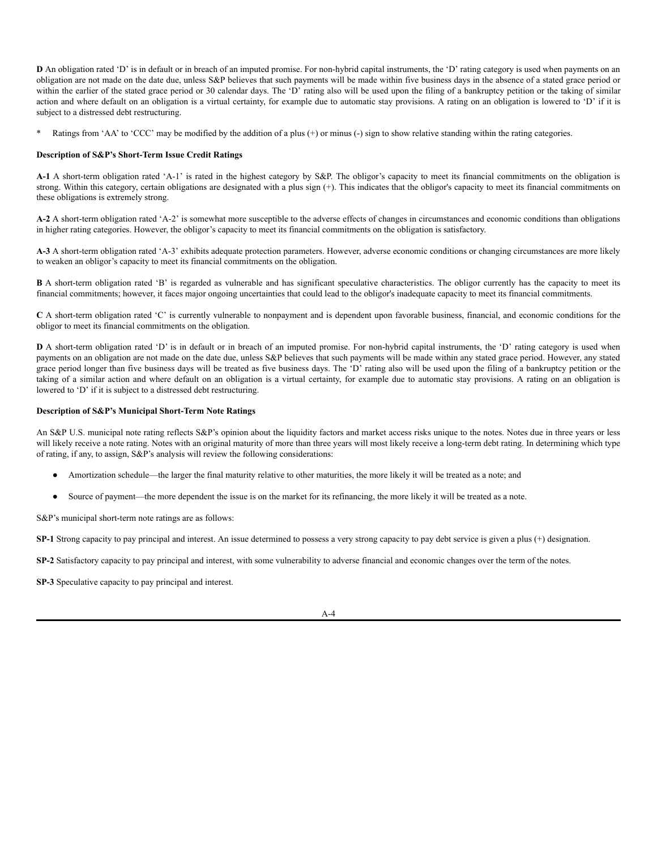**D** An obligation rated 'D' is in default or in breach of an imputed promise. For non-hybrid capital instruments, the 'D' rating category is used when payments on an obligation are not made on the date due, unless S&P believes that such payments will be made within five business days in the absence of a stated grace period or within the earlier of the stated grace period or 30 calendar days. The 'D' rating also will be used upon the filing of a bankruptcy petition or the taking of similar action and where default on an obligation is a virtual certainty, for example due to automatic stay provisions. A rating on an obligation is lowered to 'D' if it is subject to a distressed debt restructuring.

Ratings from 'AA' to 'CCC' may be modified by the addition of a plus  $(+)$  or minus (-) sign to show relative standing within the rating categories.

### **Description of S&P's Short-Term Issue Credit Ratings**

**A-1** A short-term obligation rated 'A-1' is rated in the highest category by S&P. The obligor's capacity to meet its financial commitments on the obligation is strong. Within this category, certain obligations are designated with a plus sign (+). This indicates that the obligor's capacity to meet its financial commitments on these obligations is extremely strong.

**A-2** A short-term obligation rated 'A-2' is somewhat more susceptible to the adverse effects of changes in circumstances and economic conditions than obligations in higher rating categories. However, the obligor's capacity to meet its financial commitments on the obligation is satisfactory.

**A-3** A short-term obligation rated 'A-3' exhibits adequate protection parameters. However, adverse economic conditions or changing circumstances are more likely to weaken an obligor's capacity to meet its financial commitments on the obligation.

**B** A short-term obligation rated 'B' is regarded as vulnerable and has significant speculative characteristics. The obligor currently has the capacity to meet its financial commitments; however, it faces major ongoing uncertainties that could lead to the obligor's inadequate capacity to meet its financial commitments.

**C** A short-term obligation rated 'C' is currently vulnerable to nonpayment and is dependent upon favorable business, financial, and economic conditions for the obligor to meet its financial commitments on the obligation.

**D** A short-term obligation rated 'D' is in default or in breach of an imputed promise. For non-hybrid capital instruments, the 'D' rating category is used when payments on an obligation are not made on the date due, unless S&P believes that such payments will be made within any stated grace period. However, any stated grace period longer than five business days will be treated as five business days. The 'D' rating also will be used upon the filing of a bankruptcy petition or the taking of a similar action and where default on an obligation is a virtual certainty, for example due to automatic stay provisions. A rating on an obligation is lowered to 'D' if it is subject to a distressed debt restructuring.

## **Description of S&P's Municipal Short-Term Note Ratings**

An S&P U.S. municipal note rating reflects S&P's opinion about the liquidity factors and market access risks unique to the notes. Notes due in three years or less will likely receive a note rating. Notes with an original maturity of more than three years will most likely receive a long-term debt rating. In determining which type of rating, if any, to assign, S&P's analysis will review the following considerations:

- Amortization schedule—the larger the final maturity relative to other maturities, the more likely it will be treated as a note; and
- Source of payment—the more dependent the issue is on the market for its refinancing, the more likely it will be treated as a note.

S&P's municipal short-term note ratings are as follows:

**SP-1** Strong capacity to pay principal and interest. An issue determined to possess a very strong capacity to pay debt service is given a plus (+) designation.

**SP-2** Satisfactory capacity to pay principal and interest, with some vulnerability to adverse financial and economic changes over the term of the notes.

**SP-3** Speculative capacity to pay principal and interest.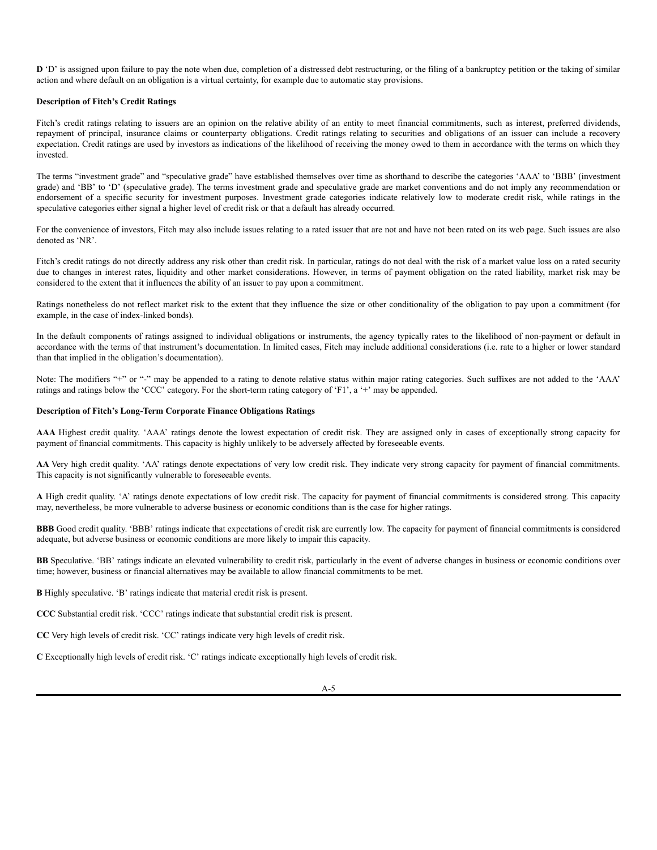**D** 'D' is assigned upon failure to pay the note when due, completion of a distressed debt restructuring, or the filing of a bankruptcy petition or the taking of similar action and where default on an obligation is a virtual certainty, for example due to automatic stay provisions.

## **Description of Fitch's Credit Ratings**

Fitch's credit ratings relating to issuers are an opinion on the relative ability of an entity to meet financial commitments, such as interest, preferred dividends, repayment of principal, insurance claims or counterparty obligations. Credit ratings relating to securities and obligations of an issuer can include a recovery expectation. Credit ratings are used by investors as indications of the likelihood of receiving the money owed to them in accordance with the terms on which they invested.

The terms "investment grade" and "speculative grade" have established themselves over time as shorthand to describe the categories 'AAA' to 'BBB' (investment grade) and 'BB' to 'D' (speculative grade). The terms investment grade and speculative grade are market conventions and do not imply any recommendation or endorsement of a specific security for investment purposes. Investment grade categories indicate relatively low to moderate credit risk, while ratings in the speculative categories either signal a higher level of credit risk or that a default has already occurred.

For the convenience of investors, Fitch may also include issues relating to a rated issuer that are not and have not been rated on its web page. Such issues are also denoted as 'NR'.

Fitch's credit ratings do not directly address any risk other than credit risk. In particular, ratings do not deal with the risk of a market value loss on a rated security due to changes in interest rates, liquidity and other market considerations. However, in terms of payment obligation on the rated liability, market risk may be considered to the extent that it influences the ability of an issuer to pay upon a commitment.

Ratings nonetheless do not reflect market risk to the extent that they influence the size or other conditionality of the obligation to pay upon a commitment (for example, in the case of index-linked bonds).

In the default components of ratings assigned to individual obligations or instruments, the agency typically rates to the likelihood of non-payment or default in accordance with the terms of that instrument's documentation. In limited cases, Fitch may include additional considerations (i.e. rate to a higher or lower standard than that implied in the obligation's documentation).

Note: The modifiers "+" or "-" may be appended to a rating to denote relative status within major rating categories. Such suffixes are not added to the 'AAA' ratings and ratings below the 'CCC' category. For the short-term rating category of 'F1', a '+' may be appended.

### **Description of Fitch's Long-Term Corporate Finance Obligations Ratings**

**AAA** Highest credit quality. 'AAA' ratings denote the lowest expectation of credit risk. They are assigned only in cases of exceptionally strong capacity for payment of financial commitments. This capacity is highly unlikely to be adversely affected by foreseeable events.

**AA** Very high credit quality. 'AA' ratings denote expectations of very low credit risk. They indicate very strong capacity for payment of financial commitments. This capacity is not significantly vulnerable to foreseeable events.

**A** High credit quality. 'A' ratings denote expectations of low credit risk. The capacity for payment of financial commitments is considered strong. This capacity may, nevertheless, be more vulnerable to adverse business or economic conditions than is the case for higher ratings.

**BBB** Good credit quality. 'BBB' ratings indicate that expectations of credit risk are currently low. The capacity for payment of financial commitments is considered adequate, but adverse business or economic conditions are more likely to impair this capacity.

BB Speculative. 'BB' ratings indicate an elevated vulnerability to credit risk, particularly in the event of adverse changes in business or economic conditions over time; however, business or financial alternatives may be available to allow financial commitments to be met.

**B** Highly speculative. 'B' ratings indicate that material credit risk is present.

**CCC** Substantial credit risk. 'CCC' ratings indicate that substantial credit risk is present.

**CC** Very high levels of credit risk. 'CC' ratings indicate very high levels of credit risk.

**C** Exceptionally high levels of credit risk. 'C' ratings indicate exceptionally high levels of credit risk.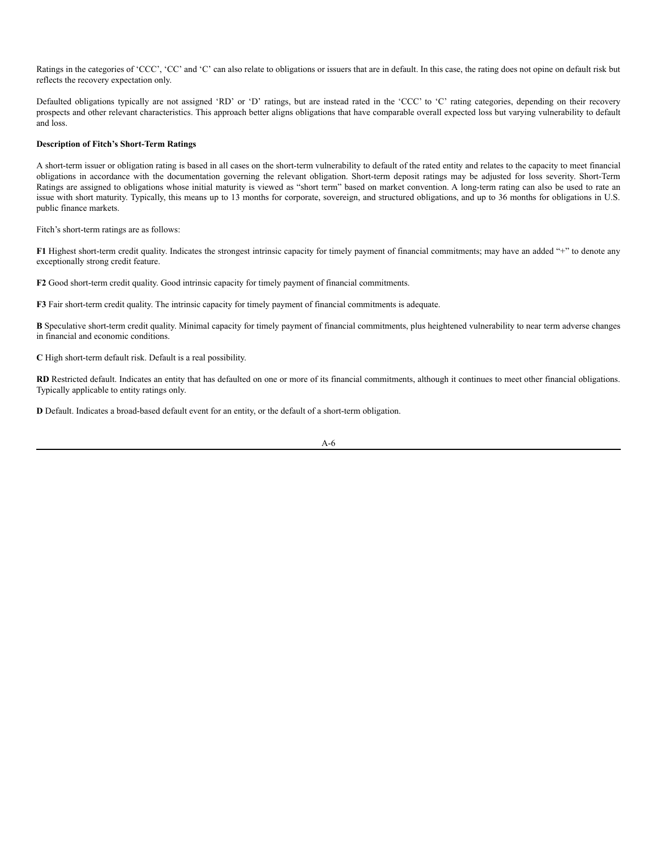Ratings in the categories of 'CCC', 'CC' and 'C' can also relate to obligations or issuers that are in default. In this case, the rating does not opine on default risk but reflects the recovery expectation only.

Defaulted obligations typically are not assigned 'RD' or 'D' ratings, but are instead rated in the 'CCC' to 'C' rating categories, depending on their recovery prospects and other relevant characteristics. This approach better aligns obligations that have comparable overall expected loss but varying vulnerability to default and loss.

### **Description of Fitch's Short-Term Ratings**

A short-term issuer or obligation rating is based in all cases on the short-term vulnerability to default of the rated entity and relates to the capacity to meet financial obligations in accordance with the documentation governing the relevant obligation. Short-term deposit ratings may be adjusted for loss severity. Short-Term Ratings are assigned to obligations whose initial maturity is viewed as "short term" based on market convention. A long-term rating can also be used to rate an issue with short maturity. Typically, this means up to 13 months for corporate, sovereign, and structured obligations, and up to 36 months for obligations in U.S. public finance markets.

Fitch's short-term ratings are as follows:

**F1** Highest short-term credit quality. Indicates the strongest intrinsic capacity for timely payment of financial commitments; may have an added "+" to denote any exceptionally strong credit feature.

**F2** Good short-term credit quality. Good intrinsic capacity for timely payment of financial commitments.

**F3** Fair short-term credit quality. The intrinsic capacity for timely payment of financial commitments is adequate.

**B** Speculative short-term credit quality. Minimal capacity for timely payment of financial commitments, plus heightened vulnerability to near term adverse changes in financial and economic conditions.

**C** High short-term default risk. Default is a real possibility.

**RD** Restricted default. Indicates an entity that has defaulted on one or more of its financial commitments, although it continues to meet other financial obligations. Typically applicable to entity ratings only.

**D** Default. Indicates a broad-based default event for an entity, or the default of a short-term obligation.

A-6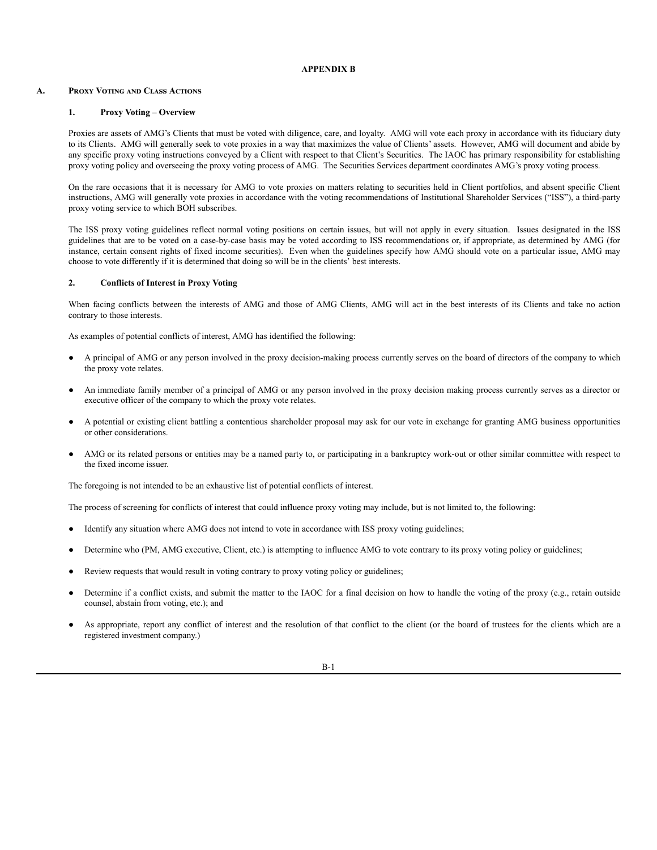# <span id="page-57-0"></span>**A. Proxy Voting and Class Actions**

## **1. Proxy Voting – Overview**

Proxies are assets of AMG's Clients that must be voted with diligence, care, and loyalty. AMG will vote each proxy in accordance with its fiduciary duty to its Clients. AMG will generally seek to vote proxies in a way that maximizes the value of Clients' assets. However, AMG will document and abide by any specific proxy voting instructions conveyed by a Client with respect to that Client's Securities. The IAOC has primary responsibility for establishing proxy voting policy and overseeing the proxy voting process of AMG. The Securities Services department coordinates AMG's proxy voting process.

On the rare occasions that it is necessary for AMG to vote proxies on matters relating to securities held in Client portfolios, and absent specific Client instructions, AMG will generally vote proxies in accordance with the voting recommendations of Institutional Shareholder Services ("ISS"), a third-party proxy voting service to which BOH subscribes.

The ISS proxy voting guidelines reflect normal voting positions on certain issues, but will not apply in every situation. Issues designated in the ISS guidelines that are to be voted on a case-by-case basis may be voted according to ISS recommendations or, if appropriate, as determined by AMG (for instance, certain consent rights of fixed income securities). Even when the guidelines specify how AMG should vote on a particular issue, AMG may choose to vote differently if it is determined that doing so will be in the clients' best interests.

### **2. Conflicts of Interest in Proxy Voting**

When facing conflicts between the interests of AMG and those of AMG Clients, AMG will act in the best interests of its Clients and take no action contrary to those interests.

As examples of potential conflicts of interest, AMG has identified the following:

- A principal of AMG or any person involved in the proxy decision-making process currently serves on the board of directors of the company to which the proxy vote relates.
- An immediate family member of a principal of AMG or any person involved in the proxy decision making process currently serves as a director or executive officer of the company to which the proxy vote relates.
- A potential or existing client battling a contentious shareholder proposal may ask for our vote in exchange for granting AMG business opportunities or other considerations.
- AMG or its related persons or entities may be a named party to, or participating in a bankruptcy work-out or other similar committee with respect to the fixed income issuer.

The foregoing is not intended to be an exhaustive list of potential conflicts of interest.

The process of screening for conflicts of interest that could influence proxy voting may include, but is not limited to, the following:

- Identify any situation where AMG does not intend to vote in accordance with ISS proxy voting guidelines;
- Determine who (PM, AMG executive, Client, etc.) is attempting to influence AMG to vote contrary to its proxy voting policy or guidelines;
- Review requests that would result in voting contrary to proxy voting policy or guidelines;
- Determine if a conflict exists, and submit the matter to the IAOC for a final decision on how to handle the voting of the proxy (e.g., retain outside counsel, abstain from voting, etc.); and
- As appropriate, report any conflict of interest and the resolution of that conflict to the client (or the board of trustees for the clients which are a registered investment company.)